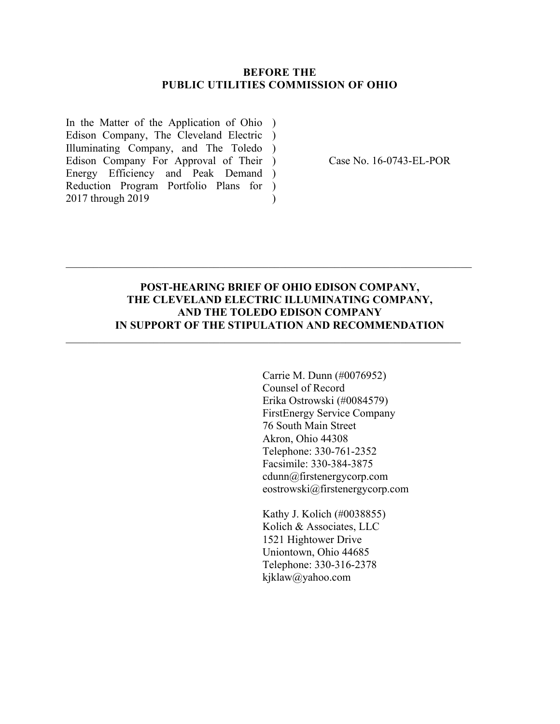#### **BEFORE THE PUBLIC UTILITIES COMMISSION OF OHIO**

In the Matter of the Application of Ohio ) Edison Company, The Cleveland Electric ) Illuminating Company, and The Toledo ) Edison Company For Approval of Their ) Energy Efficiency and Peak Demand ) Reduction Program Portfolio Plans for ) 2017 through 2019  $\mathcal{L}$ 

Case No. 16-0743-EL-POR

# **POST-HEARING BRIEF OF OHIO EDISON COMPANY, THE CLEVELAND ELECTRIC ILLUMINATING COMPANY, AND THE TOLEDO EDISON COMPANY IN SUPPORT OF THE STIPULATION AND RECOMMENDATION**

 $\mathcal{L}_\text{max} = \frac{1}{2} \sum_{i=1}^n \mathcal{L}_\text{max}(\mathbf{z}_i - \mathbf{z}_i)$ 

 $\_$  , and the contribution of the contribution of  $\mathcal{L}_\mathcal{A}$  , and the contribution of  $\mathcal{L}_\mathcal{A}$ 

Carrie M. Dunn (#0076952) Counsel of Record Erika Ostrowski (#0084579) FirstEnergy Service Company 76 South Main Street Akron, Ohio 44308 Telephone: 330-761-2352 Facsimile: 330-384-3875 cdunn@firstenergycorp.com eostrowski@firstenergycorp.com

Kathy J. Kolich (#0038855) Kolich & Associates, LLC 1521 Hightower Drive Uniontown, Ohio 44685 Telephone: 330-316-2378 kjklaw@yahoo.com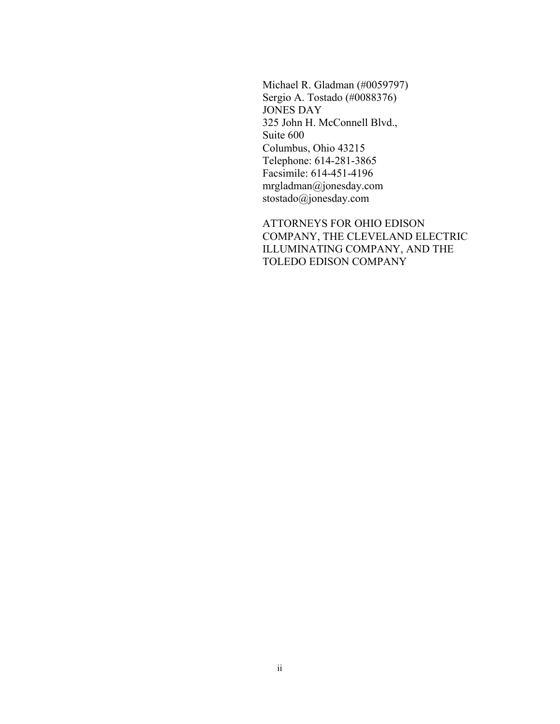Michael R. Gladman (#0059797) Sergio A. Tostado (#0088376) JONES DAY 325 John H. McConnell Blvd., Suite 600 Columbus, Ohio 43215 Telephone: 614-281-3865 Facsimile: 614-451-4196 mrgladman@jonesday.com stostado@jonesday.com

ATTORNEYS FOR OHIO EDISON COMPANY, THE CLEVELAND ELECTRIC ILLUMINATING COMPANY, AND THE TOLEDO EDISON COMPANY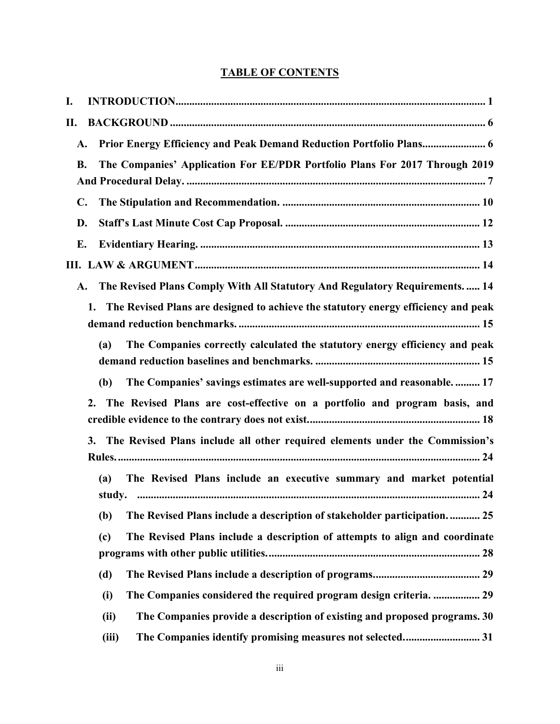# **TABLE OF CONTENTS**

| I.             |                                                                                          |
|----------------|------------------------------------------------------------------------------------------|
| П.             |                                                                                          |
| A.             | Prior Energy Efficiency and Peak Demand Reduction Portfolio Plans 6                      |
| <b>B.</b>      | The Companies' Application For EE/PDR Portfolio Plans For 2017 Through 2019              |
|                |                                                                                          |
| $\mathbf{C}$ . |                                                                                          |
| D.             |                                                                                          |
| Е.             |                                                                                          |
|                |                                                                                          |
| A.             | The Revised Plans Comply With All Statutory And Regulatory Requirements 14               |
|                | The Revised Plans are designed to achieve the statutory energy efficiency and peak<br>1. |
|                | The Companies correctly calculated the statutory energy efficiency and peak<br>(a)       |
|                | The Companies' savings estimates are well-supported and reasonable 17<br>(b)             |
|                | The Revised Plans are cost-effective on a portfolio and program basis, and<br>2.         |
|                | The Revised Plans include all other required elements under the Commission's<br>3.       |
|                | The Revised Plans include an executive summary and market potential<br>(a)               |
|                | The Revised Plans include a description of stakeholder participation 25<br>(b)           |
|                | The Revised Plans include a description of attempts to align and coordinate<br>(c)       |
|                | (d)                                                                                      |
|                | The Companies considered the required program design criteria.  29<br>(i)                |
|                | The Companies provide a description of existing and proposed programs. 30<br>(ii)        |
|                | (iii)                                                                                    |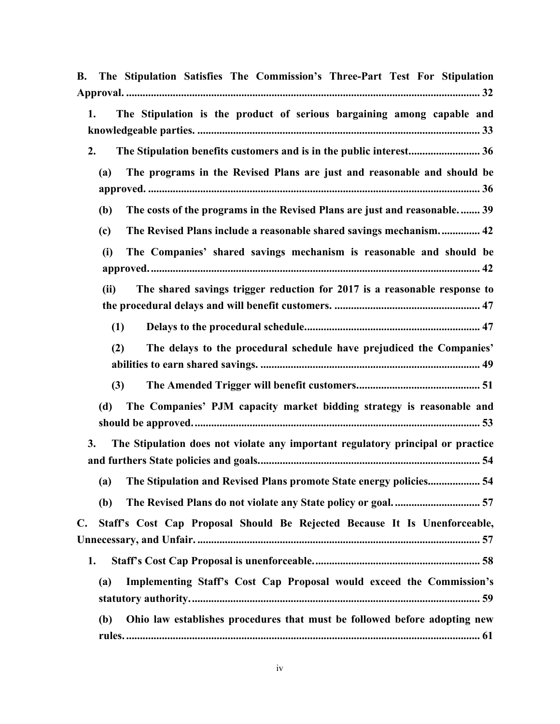| The Stipulation Satisfies The Commission's Three-Part Test For Stipulation<br>В.            |
|---------------------------------------------------------------------------------------------|
| The Stipulation is the product of serious bargaining among capable and<br>1.                |
| The Stipulation benefits customers and is in the public interest 36<br>2.                   |
| The programs in the Revised Plans are just and reasonable and should be<br>(a)              |
| The costs of the programs in the Revised Plans are just and reasonable 39<br>(b)            |
| The Revised Plans include a reasonable shared savings mechanism 42<br>(c)                   |
| The Companies' shared savings mechanism is reasonable and should be<br>(i)                  |
| The shared savings trigger reduction for 2017 is a reasonable response to<br>(ii)           |
| (1)                                                                                         |
| The delays to the procedural schedule have prejudiced the Companies'<br>(2)                 |
| (3)                                                                                         |
| The Companies' PJM capacity market bidding strategy is reasonable and<br>(d)                |
| The Stipulation does not violate any important regulatory principal or practice<br>3.       |
| (a) The Stipulation and Revised Plans promote State energy policies 54                      |
| (b)                                                                                         |
| Staff's Cost Cap Proposal Should Be Rejected Because It Is Unenforceable,<br>$\mathbf{C}$ . |
| 1.                                                                                          |
| Implementing Staff's Cost Cap Proposal would exceed the Commission's<br>(a)                 |
| Ohio law establishes procedures that must be followed before adopting new<br>(b)            |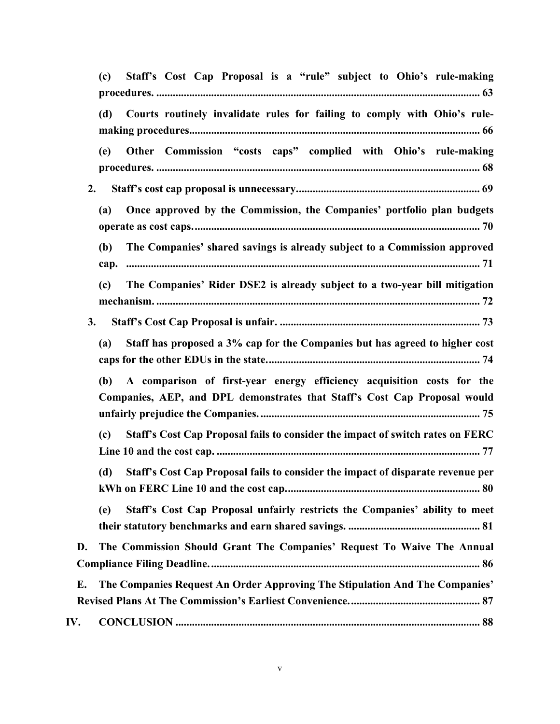| Staff's Cost Cap Proposal is a "rule" subject to Ohio's rule-making<br>(c)                                                                                 |  |  |  |  |
|------------------------------------------------------------------------------------------------------------------------------------------------------------|--|--|--|--|
| Courts routinely invalidate rules for failing to comply with Ohio's rule-<br>(d)                                                                           |  |  |  |  |
| Other Commission "costs caps" complied with Ohio's rule-making<br>(e)                                                                                      |  |  |  |  |
| 2.                                                                                                                                                         |  |  |  |  |
| Once approved by the Commission, the Companies' portfolio plan budgets<br>(a)                                                                              |  |  |  |  |
| (b)<br>The Companies' shared savings is already subject to a Commission approved<br>cap.                                                                   |  |  |  |  |
| The Companies' Rider DSE2 is already subject to a two-year bill mitigation<br>(c)                                                                          |  |  |  |  |
| 3.                                                                                                                                                         |  |  |  |  |
| Staff has proposed a 3% cap for the Companies but has agreed to higher cost<br>(a)                                                                         |  |  |  |  |
| A comparison of first-year energy efficiency acquisition costs for the<br>(b)<br>Companies, AEP, and DPL demonstrates that Staff's Cost Cap Proposal would |  |  |  |  |
| Staff's Cost Cap Proposal fails to consider the impact of switch rates on FERC<br>(c)                                                                      |  |  |  |  |
| (d)<br>Staff's Cost Cap Proposal fails to consider the impact of disparate revenue per                                                                     |  |  |  |  |
| Staff's Cost Cap Proposal unfairly restricts the Companies' ability to meet<br>(e)                                                                         |  |  |  |  |
| The Commission Should Grant The Companies' Request To Waive The Annual<br>D.                                                                               |  |  |  |  |
| The Companies Request An Order Approving The Stipulation And The Companies'<br>E.                                                                          |  |  |  |  |
| IV.                                                                                                                                                        |  |  |  |  |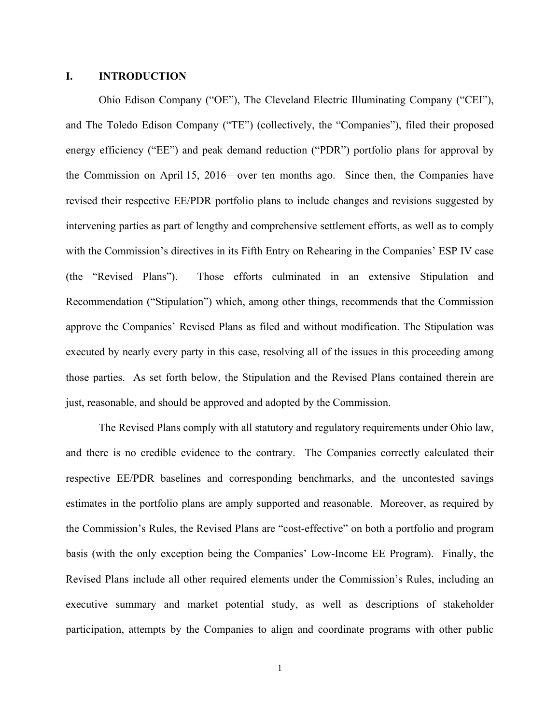#### **I. INTRODUCTION**

Ohio Edison Company ("OE"), The Cleveland Electric Illuminating Company ("CEI"), and The Toledo Edison Company ("TE") (collectively, the "Companies"), filed their proposed energy efficiency ("EE") and peak demand reduction ("PDR") portfolio plans for approval by the Commission on April 15, 2016—over ten months ago. Since then, the Companies have revised their respective EE/PDR portfolio plans to include changes and revisions suggested by intervening parties as part of lengthy and comprehensive settlement efforts, as well as to comply with the Commission's directives in its Fifth Entry on Rehearing in the Companies' ESP IV case (the "Revised Plans"). Those efforts culminated in an extensive Stipulation and Recommendation ("Stipulation") which, among other things, recommends that the Commission approve the Companies' Revised Plans as filed and without modification. The Stipulation was executed by nearly every party in this case, resolving all of the issues in this proceeding among those parties. As set forth below, the Stipulation and the Revised Plans contained therein are just, reasonable, and should be approved and adopted by the Commission.

The Revised Plans comply with all statutory and regulatory requirements under Ohio law, and there is no credible evidence to the contrary. The Companies correctly calculated their respective EE/PDR baselines and corresponding benchmarks, and the uncontested savings estimates in the portfolio plans are amply supported and reasonable. Moreover, as required by the Commission's Rules, the Revised Plans are "cost-effective" on both a portfolio and program basis (with the only exception being the Companies' Low-Income EE Program). Finally, the Revised Plans include all other required elements under the Commission's Rules, including an executive summary and market potential study, as well as descriptions of stakeholder participation, attempts by the Companies to align and coordinate programs with other public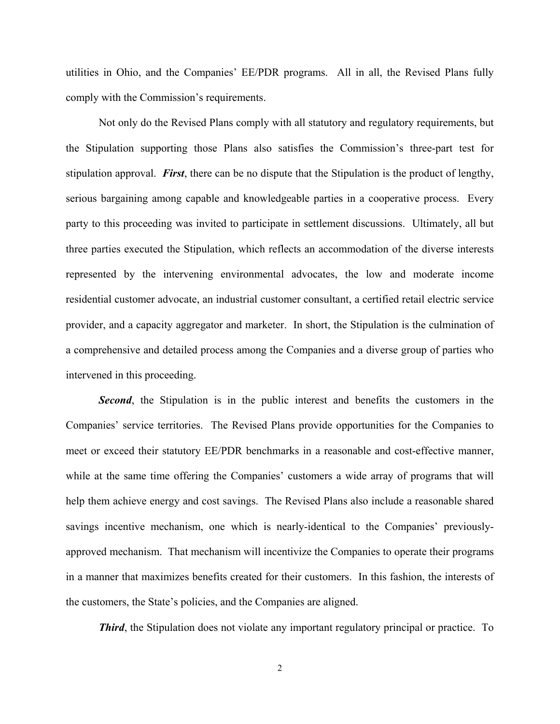utilities in Ohio, and the Companies' EE/PDR programs. All in all, the Revised Plans fully comply with the Commission's requirements.

Not only do the Revised Plans comply with all statutory and regulatory requirements, but the Stipulation supporting those Plans also satisfies the Commission's three-part test for stipulation approval. *First*, there can be no dispute that the Stipulation is the product of lengthy, serious bargaining among capable and knowledgeable parties in a cooperative process. Every party to this proceeding was invited to participate in settlement discussions. Ultimately, all but three parties executed the Stipulation, which reflects an accommodation of the diverse interests represented by the intervening environmental advocates, the low and moderate income residential customer advocate, an industrial customer consultant, a certified retail electric service provider, and a capacity aggregator and marketer. In short, the Stipulation is the culmination of a comprehensive and detailed process among the Companies and a diverse group of parties who intervened in this proceeding.

**Second**, the Stipulation is in the public interest and benefits the customers in the Companies' service territories. The Revised Plans provide opportunities for the Companies to meet or exceed their statutory EE/PDR benchmarks in a reasonable and cost-effective manner, while at the same time offering the Companies' customers a wide array of programs that will help them achieve energy and cost savings. The Revised Plans also include a reasonable shared savings incentive mechanism, one which is nearly-identical to the Companies' previouslyapproved mechanism. That mechanism will incentivize the Companies to operate their programs in a manner that maximizes benefits created for their customers. In this fashion, the interests of the customers, the State's policies, and the Companies are aligned.

*Third*, the Stipulation does not violate any important regulatory principal or practice. To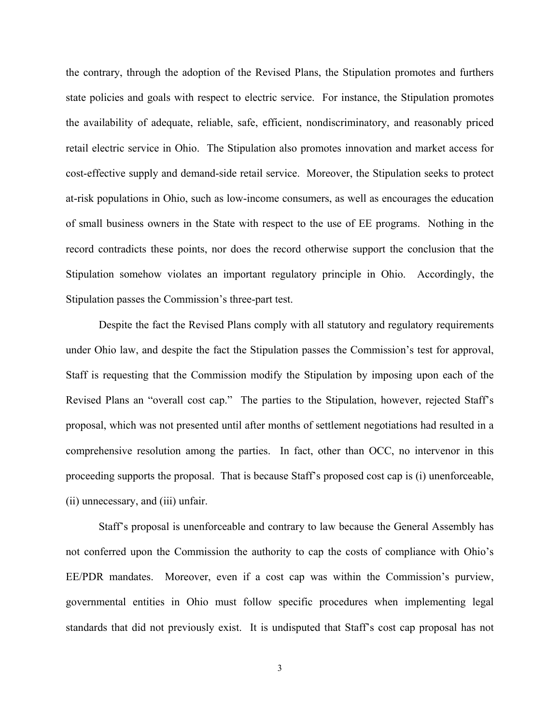the contrary, through the adoption of the Revised Plans, the Stipulation promotes and furthers state policies and goals with respect to electric service. For instance, the Stipulation promotes the availability of adequate, reliable, safe, efficient, nondiscriminatory, and reasonably priced retail electric service in Ohio. The Stipulation also promotes innovation and market access for cost-effective supply and demand-side retail service. Moreover, the Stipulation seeks to protect at-risk populations in Ohio, such as low-income consumers, as well as encourages the education of small business owners in the State with respect to the use of EE programs. Nothing in the record contradicts these points, nor does the record otherwise support the conclusion that the Stipulation somehow violates an important regulatory principle in Ohio. Accordingly, the Stipulation passes the Commission's three-part test.

Despite the fact the Revised Plans comply with all statutory and regulatory requirements under Ohio law, and despite the fact the Stipulation passes the Commission's test for approval, Staff is requesting that the Commission modify the Stipulation by imposing upon each of the Revised Plans an "overall cost cap." The parties to the Stipulation, however, rejected Staff's proposal, which was not presented until after months of settlement negotiations had resulted in a comprehensive resolution among the parties. In fact, other than OCC, no intervenor in this proceeding supports the proposal. That is because Staff's proposed cost cap is (i) unenforceable, (ii) unnecessary, and (iii) unfair.

Staff's proposal is unenforceable and contrary to law because the General Assembly has not conferred upon the Commission the authority to cap the costs of compliance with Ohio's EE/PDR mandates. Moreover, even if a cost cap was within the Commission's purview, governmental entities in Ohio must follow specific procedures when implementing legal standards that did not previously exist. It is undisputed that Staff's cost cap proposal has not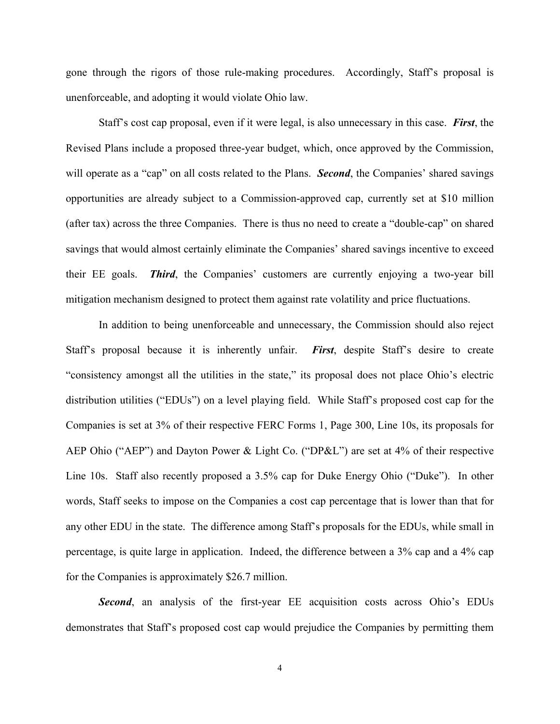gone through the rigors of those rule-making procedures. Accordingly, Staff's proposal is unenforceable, and adopting it would violate Ohio law.

Staff's cost cap proposal, even if it were legal, is also unnecessary in this case. *First*, the Revised Plans include a proposed three-year budget, which, once approved by the Commission, will operate as a "cap" on all costs related to the Plans. *Second*, the Companies' shared savings opportunities are already subject to a Commission-approved cap, currently set at \$10 million (after tax) across the three Companies. There is thus no need to create a "double-cap" on shared savings that would almost certainly eliminate the Companies' shared savings incentive to exceed their EE goals. *Third*, the Companies' customers are currently enjoying a two-year bill mitigation mechanism designed to protect them against rate volatility and price fluctuations.

In addition to being unenforceable and unnecessary, the Commission should also reject Staff's proposal because it is inherently unfair. *First*, despite Staff's desire to create "consistency amongst all the utilities in the state," its proposal does not place Ohio's electric distribution utilities ("EDUs") on a level playing field. While Staff's proposed cost cap for the Companies is set at 3% of their respective FERC Forms 1, Page 300, Line 10s, its proposals for AEP Ohio ("AEP") and Dayton Power & Light Co. ("DP&L") are set at 4% of their respective Line 10s. Staff also recently proposed a 3.5% cap for Duke Energy Ohio ("Duke"). In other words, Staff seeks to impose on the Companies a cost cap percentage that is lower than that for any other EDU in the state. The difference among Staff's proposals for the EDUs, while small in percentage, is quite large in application. Indeed, the difference between a 3% cap and a 4% cap for the Companies is approximately \$26.7 million.

**Second**, an analysis of the first-year EE acquisition costs across Ohio's EDUs demonstrates that Staff's proposed cost cap would prejudice the Companies by permitting them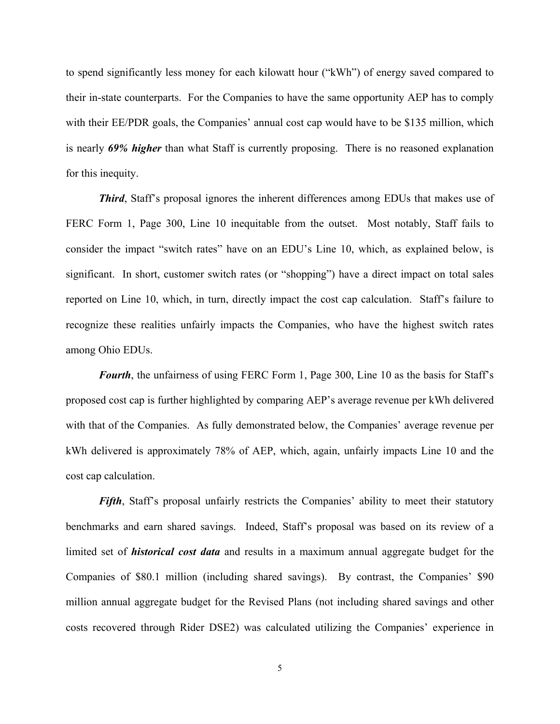to spend significantly less money for each kilowatt hour ("kWh") of energy saved compared to their in-state counterparts. For the Companies to have the same opportunity AEP has to comply with their EE/PDR goals, the Companies' annual cost cap would have to be \$135 million, which is nearly *69% higher* than what Staff is currently proposing. There is no reasoned explanation for this inequity.

*Third*, Staff's proposal ignores the inherent differences among EDUs that makes use of FERC Form 1, Page 300, Line 10 inequitable from the outset. Most notably, Staff fails to consider the impact "switch rates" have on an EDU's Line 10, which, as explained below, is significant. In short, customer switch rates (or "shopping") have a direct impact on total sales reported on Line 10, which, in turn, directly impact the cost cap calculation. Staff's failure to recognize these realities unfairly impacts the Companies, who have the highest switch rates among Ohio EDUs.

*Fourth*, the unfairness of using FERC Form 1, Page 300, Line 10 as the basis for Staff's proposed cost cap is further highlighted by comparing AEP's average revenue per kWh delivered with that of the Companies. As fully demonstrated below, the Companies' average revenue per kWh delivered is approximately 78% of AEP, which, again, unfairly impacts Line 10 and the cost cap calculation.

*Fifth*, Staff's proposal unfairly restricts the Companies' ability to meet their statutory benchmarks and earn shared savings. Indeed, Staff's proposal was based on its review of a limited set of *historical cost data* and results in a maximum annual aggregate budget for the Companies of \$80.1 million (including shared savings). By contrast, the Companies' \$90 million annual aggregate budget for the Revised Plans (not including shared savings and other costs recovered through Rider DSE2) was calculated utilizing the Companies' experience in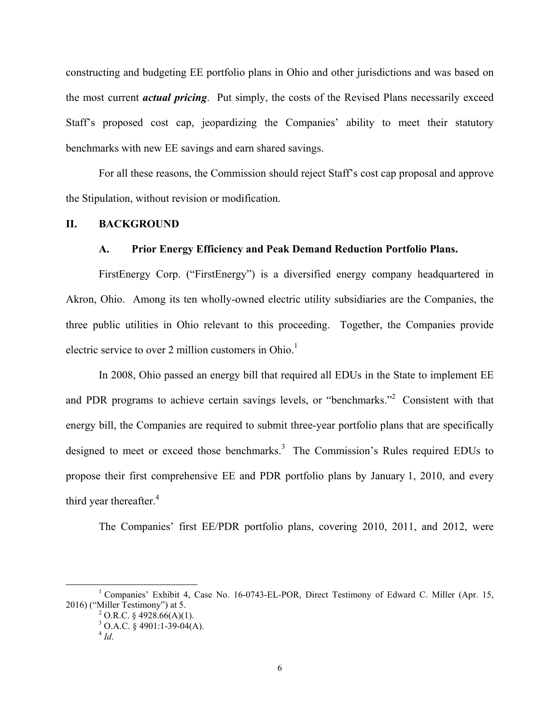constructing and budgeting EE portfolio plans in Ohio and other jurisdictions and was based on the most current *actual pricing*. Put simply, the costs of the Revised Plans necessarily exceed Staff's proposed cost cap, jeopardizing the Companies' ability to meet their statutory benchmarks with new EE savings and earn shared savings.

For all these reasons, the Commission should reject Staff's cost cap proposal and approve the Stipulation, without revision or modification.

#### **II. BACKGROUND**

#### **A. Prior Energy Efficiency and Peak Demand Reduction Portfolio Plans.**

FirstEnergy Corp. ("FirstEnergy") is a diversified energy company headquartered in Akron, Ohio. Among its ten wholly-owned electric utility subsidiaries are the Companies, the three public utilities in Ohio relevant to this proceeding. Together, the Companies provide electric service to over 2 million customers in  $Ohio<sup>1</sup>$ .

In 2008, Ohio passed an energy bill that required all EDUs in the State to implement EE and PDR programs to achieve certain savings levels, or "benchmarks."<sup>2</sup> Consistent with that energy bill, the Companies are required to submit three-year portfolio plans that are specifically designed to meet or exceed those benchmarks.<sup>3</sup> The Commission's Rules required EDUs to propose their first comprehensive EE and PDR portfolio plans by January 1, 2010, and every third year thereafter.<sup>4</sup>

The Companies' first EE/PDR portfolio plans, covering 2010, 2011, and 2012, were

<sup>&</sup>lt;u>1</u> <sup>1</sup> Companies' Exhibit 4, Case No. 16-0743-EL-POR, Direct Testimony of Edward C. Miller (Apr. 15, 2016) ("Miller Testimony") at 5. 2

 $^{2}$  O.R.C. § 4928.66(A)(1).

 $3$  O.A.C. § 4901:1-39-04(A).

 $^{4}$  *Id*.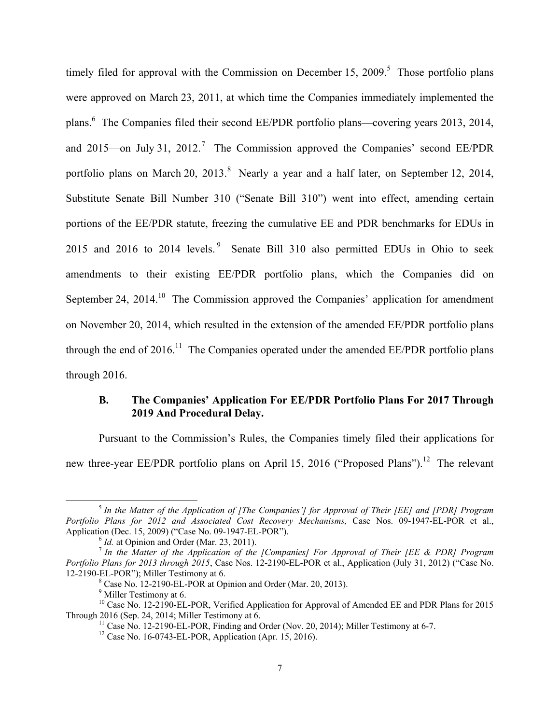timely filed for approval with the Commission on December 15,  $2009$ <sup>5</sup>. Those portfolio plans were approved on March 23, 2011, at which time the Companies immediately implemented the plans.<sup>6</sup> The Companies filed their second EE/PDR portfolio plans—covering years 2013, 2014, and 2015—on July 31, 2012.<sup>7</sup> The Commission approved the Companies' second EE/PDR portfolio plans on March 20, 2013. Nearly a year and a half later, on September 12, 2014, Substitute Senate Bill Number 310 ("Senate Bill 310") went into effect, amending certain portions of the EE/PDR statute, freezing the cumulative EE and PDR benchmarks for EDUs in 2015 and 2016 to 2014 levels.<sup>9</sup> Senate Bill 310 also permitted EDUs in Ohio to seek amendments to their existing EE/PDR portfolio plans, which the Companies did on September 24, 2014.<sup>10</sup> The Commission approved the Companies' application for amendment on November 20, 2014, which resulted in the extension of the amended EE/PDR portfolio plans through the end of  $2016$ .<sup>11</sup> The Companies operated under the amended EE/PDR portfolio plans through 2016.

# **B. The Companies' Application For EE/PDR Portfolio Plans For 2017 Through 2019 And Procedural Delay.**

Pursuant to the Commission's Rules, the Companies timely filed their applications for new three-year EE/PDR portfolio plans on April 15, 2016 ("Proposed Plans").<sup>12</sup> The relevant

 <sup>5</sup> *In the Matter of the Application of [The Companies'] for Approval of Their [EE] and [PDR] Program Portfolio Plans for 2012 and Associated Cost Recovery Mechanisms,* Case Nos. 09-1947-EL-POR et al., Application (Dec. 15, 2009) ("Case No. 09-1947-EL-POR").<br><sup>6</sup> *Id.* at Opinion and Order (Mar. 23, 2011).<br><sup>7</sup> *In the Matter of the Application of the [Companies] For Approval of Their [EE & PDR] Program* 

*Portfolio Plans for 2013 through 2015*, Case Nos. 12-2190-EL-POR et al., Application (July 31, 2012) ("Case No. 12-2190-EL-POR"); Miller Testimony at 6.

 $^8$  Case No. 12-2190-EL-POR at Opinion and Order (Mar. 20, 2013).

 $<sup>9</sup>$  Miller Testimony at 6.</sup>

<sup>&</sup>lt;sup>10</sup> Case No. 12-2190-EL-POR, Verified Application for Approval of Amended EE and PDR Plans for 2015<br>Through 2016 (Sep. 24, 2014; Miller Testimony at 6.

<sup>&</sup>lt;sup>11</sup> Case No. 12-2190-EL-POR, Finding and Order (Nov. 20, 2014); Miller Testimony at 6-7. <sup>12</sup> Case No. 16-0743-EL-POR, Application (Apr. 15, 2016).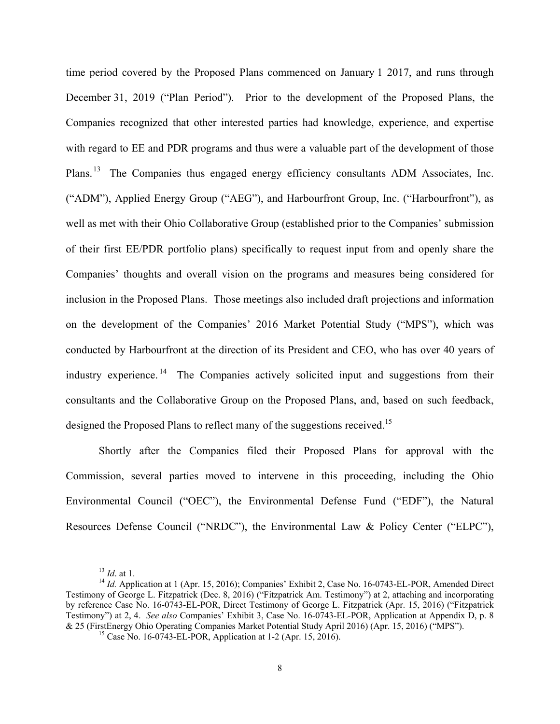time period covered by the Proposed Plans commenced on January 1 2017, and runs through December 31, 2019 ("Plan Period"). Prior to the development of the Proposed Plans, the Companies recognized that other interested parties had knowledge, experience, and expertise with regard to EE and PDR programs and thus were a valuable part of the development of those Plans.<sup>13</sup> The Companies thus engaged energy efficiency consultants ADM Associates, Inc. ("ADM"), Applied Energy Group ("AEG"), and Harbourfront Group, Inc. ("Harbourfront"), as well as met with their Ohio Collaborative Group (established prior to the Companies' submission of their first EE/PDR portfolio plans) specifically to request input from and openly share the Companies' thoughts and overall vision on the programs and measures being considered for inclusion in the Proposed Plans. Those meetings also included draft projections and information on the development of the Companies' 2016 Market Potential Study ("MPS"), which was conducted by Harbourfront at the direction of its President and CEO, who has over 40 years of industry experience. 14 The Companies actively solicited input and suggestions from their consultants and the Collaborative Group on the Proposed Plans, and, based on such feedback, designed the Proposed Plans to reflect many of the suggestions received.<sup>15</sup>

Shortly after the Companies filed their Proposed Plans for approval with the Commission, several parties moved to intervene in this proceeding, including the Ohio Environmental Council ("OEC"), the Environmental Defense Fund ("EDF"), the Natural Resources Defense Council ("NRDC"), the Environmental Law & Policy Center ("ELPC"),

<sup>&</sup>lt;sup>13</sup> *Id.* at 1.<br><sup>14</sup> *Id.* Application at 1 (Apr. 15, 2016); Companies' Exhibit 2, Case No. 16-0743-EL-POR, Amended Direct Testimony of George L. Fitzpatrick (Dec. 8, 2016) ("Fitzpatrick Am. Testimony") at 2, attaching and incorporating by reference Case No. 16-0743-EL-POR, Direct Testimony of George L. Fitzpatrick (Apr. 15, 2016) ("Fitzpatrick Testimony") at 2, 4. *See also* Companies' Exhibit 3, Case No. 16-0743-EL-POR, Application at Appendix D, p. 8 & 25 (FirstEnergy Ohio Operating Companies Market Potential Study April 2016) (Apr. 15, 2016) ("MPS"). 15 Case No. 16-0743-EL-POR, Application at 1-2 (Apr. 15, 2016).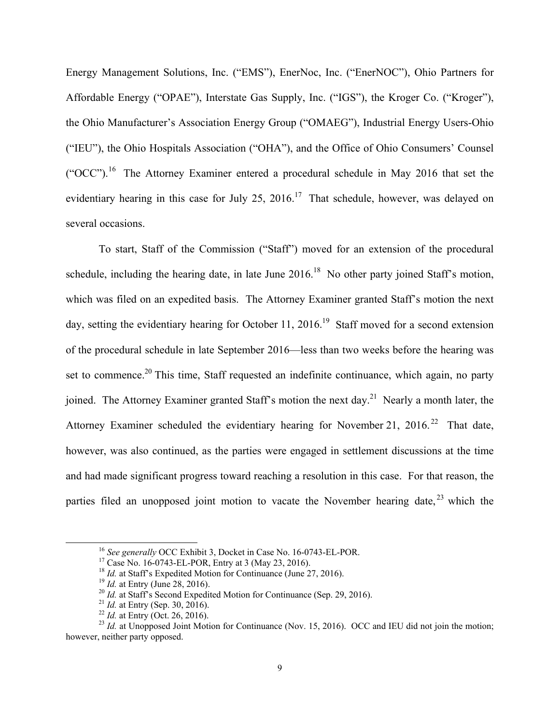Energy Management Solutions, Inc. ("EMS"), EnerNoc, Inc. ("EnerNOC"), Ohio Partners for Affordable Energy ("OPAE"), Interstate Gas Supply, Inc. ("IGS"), the Kroger Co. ("Kroger"), the Ohio Manufacturer's Association Energy Group ("OMAEG"), Industrial Energy Users-Ohio ("IEU"), the Ohio Hospitals Association ("OHA"), and the Office of Ohio Consumers' Counsel ("OCC").16 The Attorney Examiner entered a procedural schedule in May 2016 that set the evidentiary hearing in this case for July 25,  $2016<sup>17</sup>$  That schedule, however, was delayed on several occasions.

To start, Staff of the Commission ("Staff") moved for an extension of the procedural schedule, including the hearing date, in late June  $2016<sup>18</sup>$  No other party joined Staff's motion, which was filed on an expedited basis. The Attorney Examiner granted Staff's motion the next day, setting the evidentiary hearing for October 11, 2016.<sup>19</sup> Staff moved for a second extension of the procedural schedule in late September 2016—less than two weeks before the hearing was set to commence.<sup>20</sup> This time, Staff requested an indefinite continuance, which again, no party joined. The Attorney Examiner granted Staff's motion the next day.<sup>21</sup> Nearly a month later, the Attorney Examiner scheduled the evidentiary hearing for November 21, 2016.<sup>22</sup> That date, however, was also continued, as the parties were engaged in settlement discussions at the time and had made significant progress toward reaching a resolution in this case. For that reason, the parties filed an unopposed joint motion to vacate the November hearing date,  $2^3$  which the

<sup>&</sup>lt;sup>16</sup> *See generally* OCC Exhibit 3, Docket in Case No. 16-0743-EL-POR.<br><sup>17</sup> Case No. 16-0743-EL-POR, Entry at 3 (May 23, 2016).<br><sup>18</sup> *Id.* at Staff's Expedited Motion for Continuance (June 27, 2016).

<sup>&</sup>lt;sup>19</sup> *Id.* at Entry (June 28, 2016).<br>
<sup>20</sup> *Id.* at Staff's Second Expedited Motion for Continuance (Sep. 29, 2016).<br>
<sup>21</sup> *Id.* at Entry (Sep. 30, 2016).<br>
<sup>22</sup> *Id.* at Entry (Oct. 26, 2016).<br>
<sup>23</sup> *Id.* at Unopposed Joi however, neither party opposed.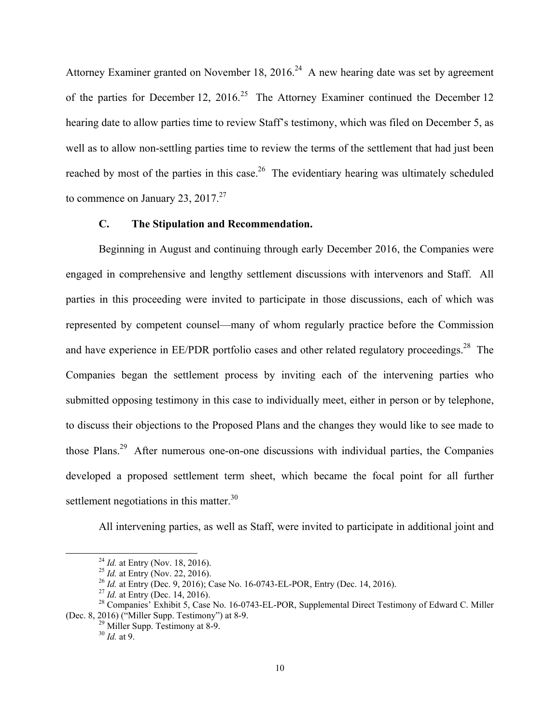Attorney Examiner granted on November 18, 2016.<sup>24</sup> A new hearing date was set by agreement of the parties for December 12,  $2016$ <sup>25</sup> The Attorney Examiner continued the December 12 hearing date to allow parties time to review Staff's testimony, which was filed on December 5, as well as to allow non-settling parties time to review the terms of the settlement that had just been reached by most of the parties in this case.<sup>26</sup> The evidentiary hearing was ultimately scheduled to commence on January 23,  $2017.<sup>27</sup>$ 

### **C. The Stipulation and Recommendation.**

Beginning in August and continuing through early December 2016, the Companies were engaged in comprehensive and lengthy settlement discussions with intervenors and Staff. All parties in this proceeding were invited to participate in those discussions, each of which was represented by competent counsel—many of whom regularly practice before the Commission and have experience in  $EE/PDF$  portfolio cases and other related regulatory proceedings.<sup>28</sup> The Companies began the settlement process by inviting each of the intervening parties who submitted opposing testimony in this case to individually meet, either in person or by telephone, to discuss their objections to the Proposed Plans and the changes they would like to see made to those Plans.29 After numerous one-on-one discussions with individual parties, the Companies developed a proposed settlement term sheet, which became the focal point for all further settlement negotiations in this matter. $30<sup>30</sup>$ 

All intervening parties, as well as Staff, were invited to participate in additional joint and

<sup>&</sup>lt;sup>24</sup> *Id.* at Entry (Nov. 18, 2016).<br>
<sup>25</sup> *Id.* at Entry (Nov. 22, 2016).<br>
<sup>26</sup> *Id.* at Entry (Dec. 9, 2016); Case No. 16-0743-EL-POR, Entry (Dec. 14, 2016).<br>
<sup>27</sup> *Id.* at Entry (Dec. 14, 2016).<br>
<sup>27</sup> *Id.* at Entry (D

<sup>(</sup>Dec. 8, 2016) ("Miller Supp. Testimony") at 8-9.<br>
<sup>29</sup> Miller Supp. Testimony at 8-9.

<sup>30</sup> *Id.* at 9.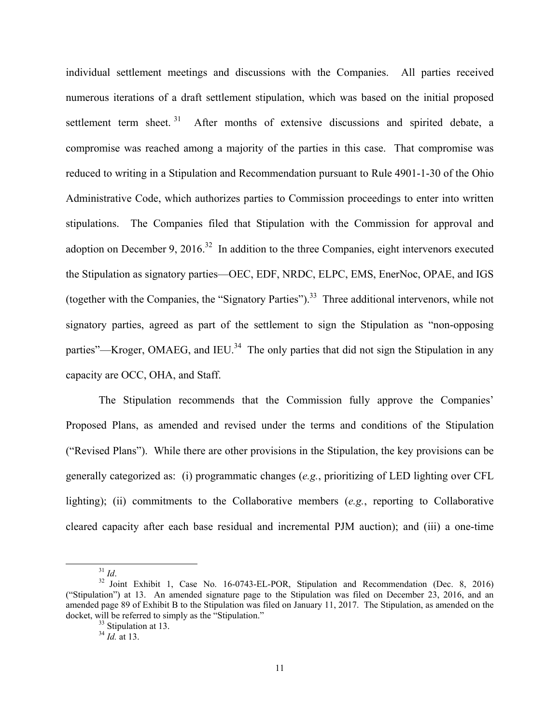individual settlement meetings and discussions with the Companies. All parties received numerous iterations of a draft settlement stipulation, which was based on the initial proposed settlement term sheet.<sup>31</sup> After months of extensive discussions and spirited debate, a compromise was reached among a majority of the parties in this case. That compromise was reduced to writing in a Stipulation and Recommendation pursuant to Rule 4901-1-30 of the Ohio Administrative Code, which authorizes parties to Commission proceedings to enter into written stipulations. The Companies filed that Stipulation with the Commission for approval and adoption on December 9, 2016.<sup>32</sup> In addition to the three Companies, eight intervenors executed the Stipulation as signatory parties—OEC, EDF, NRDC, ELPC, EMS, EnerNoc, OPAE, and IGS (together with the Companies, the "Signatory Parties").<sup>33</sup> Three additional intervenors, while not signatory parties, agreed as part of the settlement to sign the Stipulation as "non-opposing parties"—Kroger, OMAEG, and IEU.<sup>34</sup> The only parties that did not sign the Stipulation in any capacity are OCC, OHA, and Staff.

The Stipulation recommends that the Commission fully approve the Companies' Proposed Plans, as amended and revised under the terms and conditions of the Stipulation ("Revised Plans"). While there are other provisions in the Stipulation, the key provisions can be generally categorized as: (i) programmatic changes (*e.g.*, prioritizing of LED lighting over CFL lighting); (ii) commitments to the Collaborative members (*e.g.*, reporting to Collaborative cleared capacity after each base residual and incremental PJM auction); and (iii) a one-time

<sup>&</sup>lt;sup>31</sup> *Id.* <sup>32</sup> Joint Exhibit 1, Case No. 16-0743-EL-POR, Stipulation and Recommendation (Dec. 8, 2016) ("Stipulation") at 13. An amended signature page to the Stipulation was filed on December 23, 2016, and an amended page 89 of Exhibit B to the Stipulation was filed on January 11, 2017. The Stipulation, as amended on the docket, will be referred to simply as the "Stipulation."<br><sup>33</sup> Stipulation at 13.

<sup>34</sup> *Id.* at 13.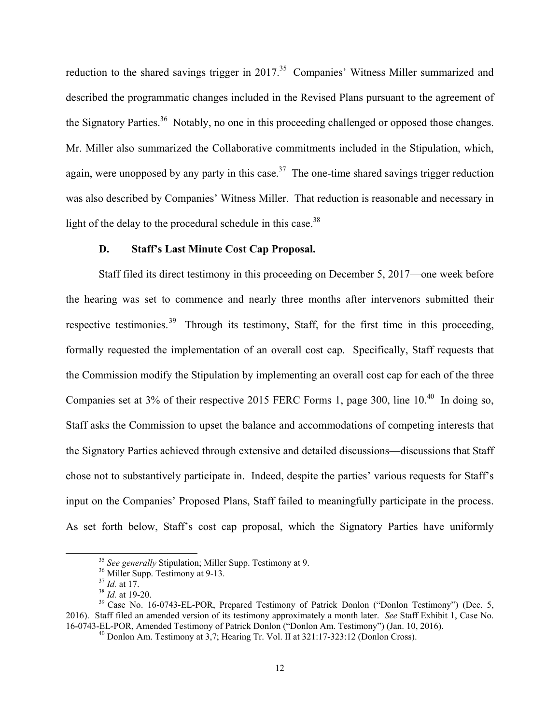reduction to the shared savings trigger in 2017.<sup>35</sup> Companies' Witness Miller summarized and described the programmatic changes included in the Revised Plans pursuant to the agreement of the Signatory Parties.<sup>36</sup> Notably, no one in this proceeding challenged or opposed those changes. Mr. Miller also summarized the Collaborative commitments included in the Stipulation, which, again, were unopposed by any party in this case.<sup>37</sup> The one-time shared savings trigger reduction was also described by Companies' Witness Miller. That reduction is reasonable and necessary in light of the delay to the procedural schedule in this case.<sup>38</sup>

#### **D. Staff's Last Minute Cost Cap Proposal.**

Staff filed its direct testimony in this proceeding on December 5, 2017—one week before the hearing was set to commence and nearly three months after intervenors submitted their respective testimonies.<sup>39</sup> Through its testimony, Staff, for the first time in this proceeding, formally requested the implementation of an overall cost cap. Specifically, Staff requests that the Commission modify the Stipulation by implementing an overall cost cap for each of the three Companies set at  $3\%$  of their respective 2015 FERC Forms 1, page 300, line  $10^{40}$  In doing so, Staff asks the Commission to upset the balance and accommodations of competing interests that the Signatory Parties achieved through extensive and detailed discussions—discussions that Staff chose not to substantively participate in. Indeed, despite the parties' various requests for Staff's input on the Companies' Proposed Plans, Staff failed to meaningfully participate in the process. As set forth below, Staff's cost cap proposal, which the Signatory Parties have uniformly

<sup>&</sup>lt;sup>35</sup> *See generally* Stipulation; Miller Supp. Testimony at 9.<br><sup>36</sup> Miller Supp. Testimony at 9-13.<br><sup>37</sup> *Id.* at 17.

<sup>&</sup>lt;sup>38</sup> *Id.* at 19-20.<br><sup>39</sup> Case No. 16-0743-EL-POR, Prepared Testimony of Patrick Donlon ("Donlon Testimony") (Dec. 5, 2016). Staff filed an amended version of its testimony approximately a month later. *See* Staff Exhibit 1, Case No. 16-0743-EL-POR, Amended Testimony of Patrick Donlon ("Donlon Am. Testimony") (Jan. 10, 2016). 40 Donlon Am. Testimony at 3,7; Hearing Tr. Vol. II at 321:17-323:12 (Donlon Cross).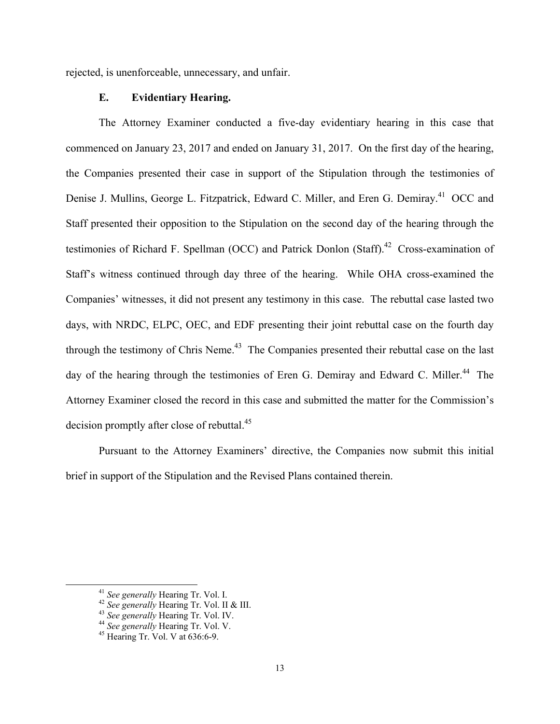rejected, is unenforceable, unnecessary, and unfair.

# **E. Evidentiary Hearing.**

The Attorney Examiner conducted a five-day evidentiary hearing in this case that commenced on January 23, 2017 and ended on January 31, 2017. On the first day of the hearing, the Companies presented their case in support of the Stipulation through the testimonies of Denise J. Mullins, George L. Fitzpatrick, Edward C. Miller, and Eren G. Demiray.<sup>41</sup> OCC and Staff presented their opposition to the Stipulation on the second day of the hearing through the testimonies of Richard F. Spellman (OCC) and Patrick Donlon (Staff).<sup>42</sup> Cross-examination of Staff's witness continued through day three of the hearing. While OHA cross-examined the Companies' witnesses, it did not present any testimony in this case. The rebuttal case lasted two days, with NRDC, ELPC, OEC, and EDF presenting their joint rebuttal case on the fourth day through the testimony of Chris Neme. $43$  The Companies presented their rebuttal case on the last day of the hearing through the testimonies of Eren G. Demiray and Edward C. Miller.<sup>44</sup> The Attorney Examiner closed the record in this case and submitted the matter for the Commission's decision promptly after close of rebuttal.<sup>45</sup>

Pursuant to the Attorney Examiners' directive, the Companies now submit this initial brief in support of the Stipulation and the Revised Plans contained therein.

<sup>&</sup>lt;sup>41</sup> *See generally* **Hearing Tr. Vol. I.** <br><sup>42</sup> *See generally* **Hearing Tr. Vol. II & III.** <br><sup>43</sup> *See generally* **Hearing Tr. Vol. V.** <br><sup>45</sup> **Hearing Tr. Vol. V at 636:6-9.**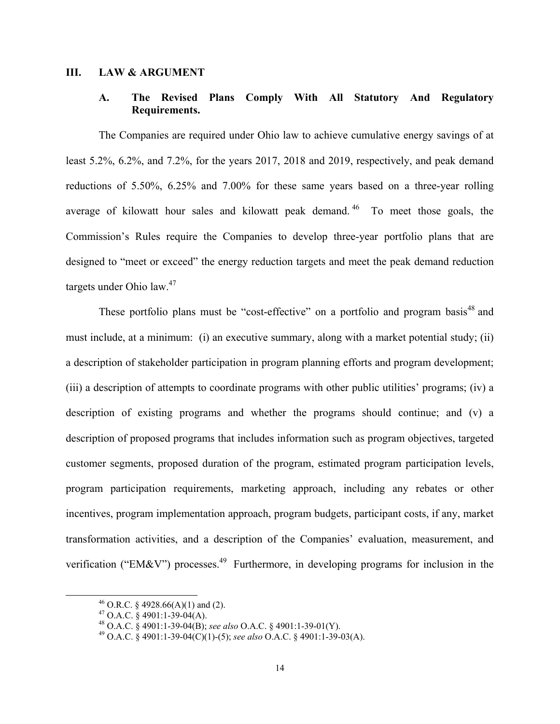#### **III. LAW & ARGUMENT**

# **A. The Revised Plans Comply With All Statutory And Regulatory Requirements.**

The Companies are required under Ohio law to achieve cumulative energy savings of at least 5.2%, 6.2%, and 7.2%, for the years 2017, 2018 and 2019, respectively, and peak demand reductions of 5.50%, 6.25% and 7.00% for these same years based on a three-year rolling average of kilowatt hour sales and kilowatt peak demand. 46 To meet those goals, the Commission's Rules require the Companies to develop three-year portfolio plans that are designed to "meet or exceed" the energy reduction targets and meet the peak demand reduction targets under Ohio law. $47$ 

These portfolio plans must be "cost-effective" on a portfolio and program basis<sup>48</sup> and must include, at a minimum: (i) an executive summary, along with a market potential study; (ii) a description of stakeholder participation in program planning efforts and program development; (iii) a description of attempts to coordinate programs with other public utilities' programs; (iv) a description of existing programs and whether the programs should continue; and (v) a description of proposed programs that includes information such as program objectives, targeted customer segments, proposed duration of the program, estimated program participation levels, program participation requirements, marketing approach, including any rebates or other incentives, program implementation approach, program budgets, participant costs, if any, market transformation activities, and a description of the Companies' evaluation, measurement, and verification ("EM&V") processes.<sup>49</sup> Furthermore, in developing programs for inclusion in the

<sup>&</sup>lt;sup>46</sup> O.R.C. § 4928.66(A)(1) and (2).

<sup>&</sup>lt;sup>47</sup> O.A.C. § 4901:1-39-04(A).<br><sup>48</sup> O.A.C. § 4901:1-39-04(B); see also O.A.C. § 4901:1-39-01(Y).

<sup>48</sup> O.A.C. § 4901:1-39-04(B); *see also* O.A.C. § 4901:1-39-01(Y). 49 O.A.C. § 4901:1-39-04(C)(1)-(5); *see also* O.A.C. § 4901:1-39-03(A).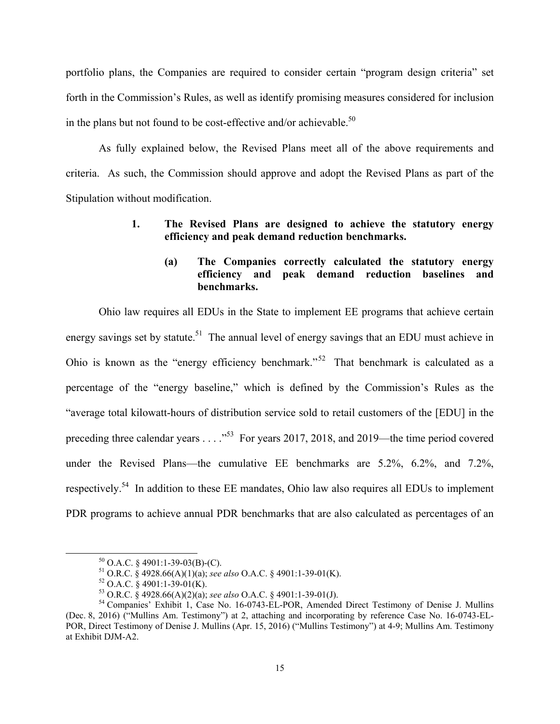portfolio plans, the Companies are required to consider certain "program design criteria" set forth in the Commission's Rules, as well as identify promising measures considered for inclusion in the plans but not found to be cost-effective and/or achievable.<sup>50</sup>

As fully explained below, the Revised Plans meet all of the above requirements and criteria. As such, the Commission should approve and adopt the Revised Plans as part of the Stipulation without modification.

# **1. The Revised Plans are designed to achieve the statutory energy efficiency and peak demand reduction benchmarks.**

# **(a) The Companies correctly calculated the statutory energy efficiency and peak demand reduction baselines and benchmarks.**

Ohio law requires all EDUs in the State to implement EE programs that achieve certain energy savings set by statute.<sup>51</sup> The annual level of energy savings that an EDU must achieve in Ohio is known as the "energy efficiency benchmark."<sup>52</sup> That benchmark is calculated as a percentage of the "energy baseline," which is defined by the Commission's Rules as the "average total kilowatt-hours of distribution service sold to retail customers of the [EDU] in the preceding three calendar years . . . ."53 For years 2017, 2018, and 2019—the time period covered under the Revised Plans—the cumulative EE benchmarks are 5.2%, 6.2%, and 7.2%, respectively.54 In addition to these EE mandates, Ohio law also requires all EDUs to implement PDR programs to achieve annual PDR benchmarks that are also calculated as percentages of an

 $50$  O.A.C. § 4901:1-39-03(B)-(C).

<sup>51</sup> O.R.C. § 4928.66(A)(1)(a); *see also* O.A.C. § 4901:1-39-01(K).<br><sup>52</sup> O.A.C. § 4901:1-39-01(K).<br><sup>53</sup> O.R.C. § 4928.66(A)(2)(a); *see also* O.A.C. § 4901:1-39-01(J).

<sup>&</sup>lt;sup>54</sup> Companies' Exhibit 1, Case No. 16-0743-EL-POR, Amended Direct Testimony of Denise J. Mullins (Dec. 8, 2016) ("Mullins Am. Testimony") at 2, attaching and incorporating by reference Case No. 16-0743-EL-POR, Direct Testimony of Denise J. Mullins (Apr. 15, 2016) ("Mullins Testimony") at 4-9; Mullins Am. Testimony at Exhibit DJM-A2.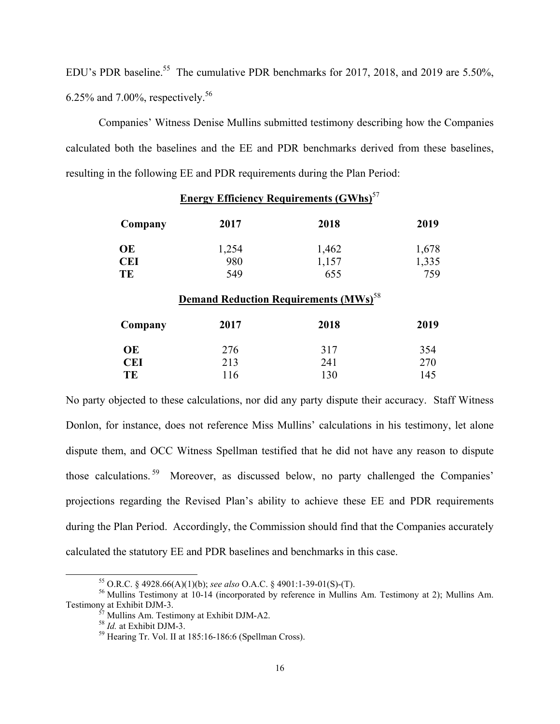EDU's PDR baseline.<sup>55</sup> The cumulative PDR benchmarks for 2017, 2018, and 2019 are 5.50%, 6.25% and 7.00%, respectively.<sup>56</sup>

Companies' Witness Denise Mullins submitted testimony describing how the Companies calculated both the baselines and the EE and PDR benchmarks derived from these baselines, resulting in the following EE and PDR requirements during the Plan Period:

| <b>Energy Efficiency Requirements (GWhs)</b> <sup>57</sup> |                                                          |       |       |  |  |  |
|------------------------------------------------------------|----------------------------------------------------------|-------|-------|--|--|--|
| Company                                                    | 2017                                                     | 2018  | 2019  |  |  |  |
| <b>OE</b>                                                  | 1,254                                                    | 1,462 | 1,678 |  |  |  |
| <b>CEI</b>                                                 | 980                                                      | 1,157 | 1,335 |  |  |  |
| TE                                                         | 549                                                      | 655   | 759   |  |  |  |
|                                                            | <b>Demand Reduction Requirements (MWs)</b> <sup>58</sup> |       |       |  |  |  |
| Company                                                    | 2017                                                     | 2018  | 2019  |  |  |  |
| <b>OE</b>                                                  | 276                                                      | 317   | 354   |  |  |  |
| CEI                                                        | 213                                                      | 241   | 270   |  |  |  |

**TE** 116 130 145

No party objected to these calculations, nor did any party dispute their accuracy. Staff Witness Donlon, for instance, does not reference Miss Mullins' calculations in his testimony, let alone dispute them, and OCC Witness Spellman testified that he did not have any reason to dispute those calculations. 59 Moreover, as discussed below, no party challenged the Companies' projections regarding the Revised Plan's ability to achieve these EE and PDR requirements during the Plan Period. Accordingly, the Commission should find that the Companies accurately calculated the statutory EE and PDR baselines and benchmarks in this case.

 <sup>55</sup> O.R.C. § 4928.66(A)(1)(b); *see also* O.A.C. § 4901:1-39-01(S)-(T). 56 Mullins Testimony at 10-14 (incorporated by reference in Mullins Am. Testimony at 2); Mullins Am.

 $57$  Mullins Am. Testimony at Exhibit DJM-A2.<br><sup>58</sup> *Id.* at Exhibit DJM-3.

<sup>&</sup>lt;sup>59</sup> Hearing Tr. Vol. II at 185:16-186:6 (Spellman Cross).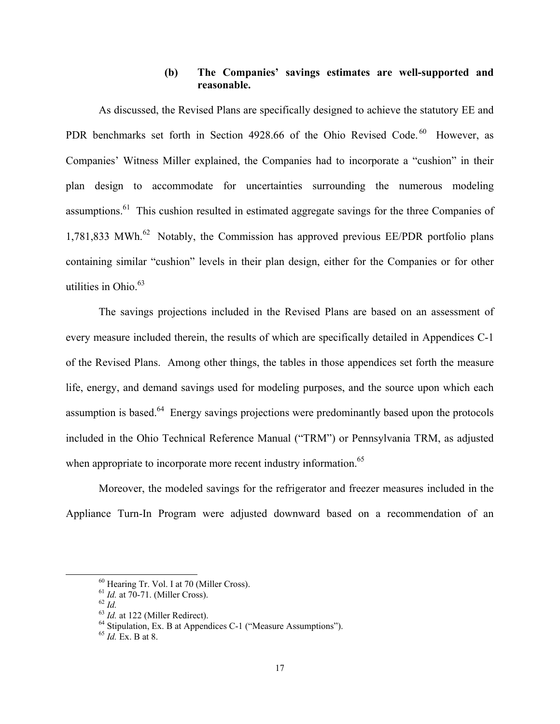# **(b) The Companies' savings estimates are well-supported and reasonable.**

As discussed, the Revised Plans are specifically designed to achieve the statutory EE and PDR benchmarks set forth in Section 4928.66 of the Ohio Revised Code.<sup>60</sup> However, as Companies' Witness Miller explained, the Companies had to incorporate a "cushion" in their plan design to accommodate for uncertainties surrounding the numerous modeling assumptions.<sup>61</sup> This cushion resulted in estimated aggregate savings for the three Companies of 1,781,833 MWh. $^{62}$  Notably, the Commission has approved previous EE/PDR portfolio plans containing similar "cushion" levels in their plan design, either for the Companies or for other utilities in Ohio. $63$ 

The savings projections included in the Revised Plans are based on an assessment of every measure included therein, the results of which are specifically detailed in Appendices C-1 of the Revised Plans. Among other things, the tables in those appendices set forth the measure life, energy, and demand savings used for modeling purposes, and the source upon which each assumption is based.<sup>64</sup> Energy savings projections were predominantly based upon the protocols included in the Ohio Technical Reference Manual ("TRM") or Pennsylvania TRM, as adjusted when appropriate to incorporate more recent industry information.<sup>65</sup>

Moreover, the modeled savings for the refrigerator and freezer measures included in the Appliance Turn-In Program were adjusted downward based on a recommendation of an

 $^{60}$  Hearing Tr. Vol. I at 70 (Miller Cross).<br> $^{61}$  *Id.* at 70-71. (Miller Cross).

 $62$  *Id.*<br><sup>63</sup> *Id.* at 122 (Miller Redirect). <sup>64</sup> Stipulation, Ex. B at Appendices C-1 ("Measure Assumptions").

<sup>65</sup> *Id.* Ex. B at 8.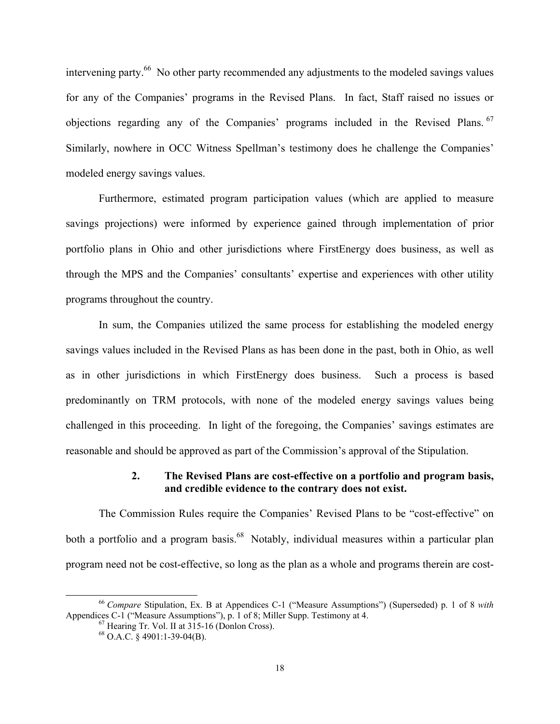intervening party.<sup>66</sup> No other party recommended any adjustments to the modeled savings values for any of the Companies' programs in the Revised Plans. In fact, Staff raised no issues or objections regarding any of the Companies' programs included in the Revised Plans. 67 Similarly, nowhere in OCC Witness Spellman's testimony does he challenge the Companies' modeled energy savings values.

Furthermore, estimated program participation values (which are applied to measure savings projections) were informed by experience gained through implementation of prior portfolio plans in Ohio and other jurisdictions where FirstEnergy does business, as well as through the MPS and the Companies' consultants' expertise and experiences with other utility programs throughout the country.

In sum, the Companies utilized the same process for establishing the modeled energy savings values included in the Revised Plans as has been done in the past, both in Ohio, as well as in other jurisdictions in which FirstEnergy does business. Such a process is based predominantly on TRM protocols, with none of the modeled energy savings values being challenged in this proceeding. In light of the foregoing, the Companies' savings estimates are reasonable and should be approved as part of the Commission's approval of the Stipulation.

### **2. The Revised Plans are cost-effective on a portfolio and program basis, and credible evidence to the contrary does not exist.**

The Commission Rules require the Companies' Revised Plans to be "cost-effective" on both a portfolio and a program basis.<sup>68</sup> Notably, individual measures within a particular plan program need not be cost-effective, so long as the plan as a whole and programs therein are cost-

 <sup>66</sup> *Compare* Stipulation, Ex. B at Appendices C-1 ("Measure Assumptions") (Superseded) p. 1 of 8 *with* Appendices C-1 ("Measure Assumptions"), p. 1 of 8; Miller Supp. Testimony at 4. <sup>67</sup> Hearing Tr. Vol. II at 315-16 (Donlon Cross).

 $68$  O.A.C. § 4901:1-39-04(B).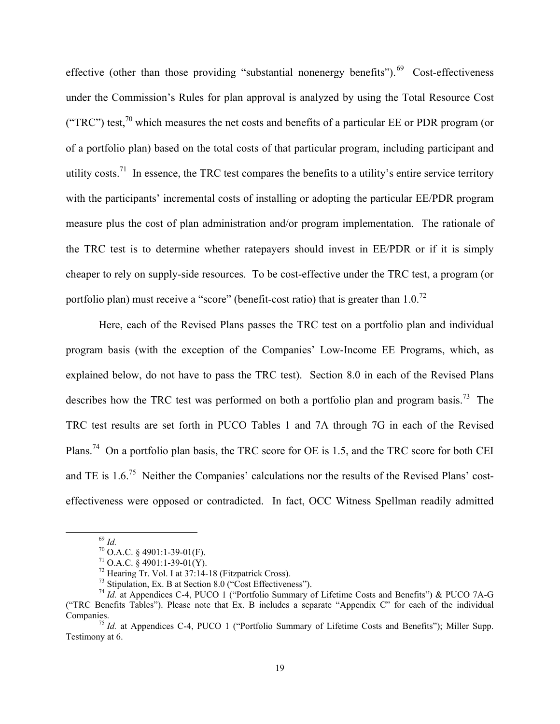effective (other than those providing "substantial nonenergy benefits"). $^{69}$  Cost-effectiveness under the Commission's Rules for plan approval is analyzed by using the Total Resource Cost ("TRC") test,<sup>70</sup> which measures the net costs and benefits of a particular EE or PDR program (or of a portfolio plan) based on the total costs of that particular program, including participant and utility costs.<sup>71</sup> In essence, the TRC test compares the benefits to a utility's entire service territory with the participants' incremental costs of installing or adopting the particular EE/PDR program measure plus the cost of plan administration and/or program implementation. The rationale of the TRC test is to determine whether ratepayers should invest in EE/PDR or if it is simply cheaper to rely on supply-side resources. To be cost-effective under the TRC test, a program (or portfolio plan) must receive a "score" (benefit-cost ratio) that is greater than  $1.0$ <sup>72</sup>

Here, each of the Revised Plans passes the TRC test on a portfolio plan and individual program basis (with the exception of the Companies' Low-Income EE Programs, which, as explained below, do not have to pass the TRC test). Section 8.0 in each of the Revised Plans describes how the TRC test was performed on both a portfolio plan and program basis.<sup>73</sup> The TRC test results are set forth in PUCO Tables 1 and 7A through 7G in each of the Revised Plans.74 On a portfolio plan basis, the TRC score for OE is 1.5, and the TRC score for both CEI and TE is  $1.6<sup>75</sup>$  Neither the Companies' calculations nor the results of the Revised Plans' costeffectiveness were opposed or contradicted. In fact, OCC Witness Spellman readily admitted

<sup>69</sup> *Id.* 70 O.A.C. § 4901:1-39-01(F).

 $71$  O.A.C.  $\frac{8}{9}$  4901:1-39-01(Y).

 $72$  Hearing Tr. Vol. I at 37:14-18 (Fitzpatrick Cross).

<sup>73</sup> Stipulation, Ex. B at Section 8.0 ("Cost Effectiveness").

<sup>&</sup>lt;sup>74</sup> *Id.* at Appendices C-4, PUCO 1 ("Portfolio Summary of Lifetime Costs and Benefits") & PUCO 7A-G ("TRC Benefits Tables"). Please note that Ex. B includes a separate "Appendix C" for each of the individual

<sup>&</sup>lt;sup>75</sup> *Id.* at Appendices C-4, PUCO 1 ("Portfolio Summary of Lifetime Costs and Benefits"); Miller Supp. Testimony at 6.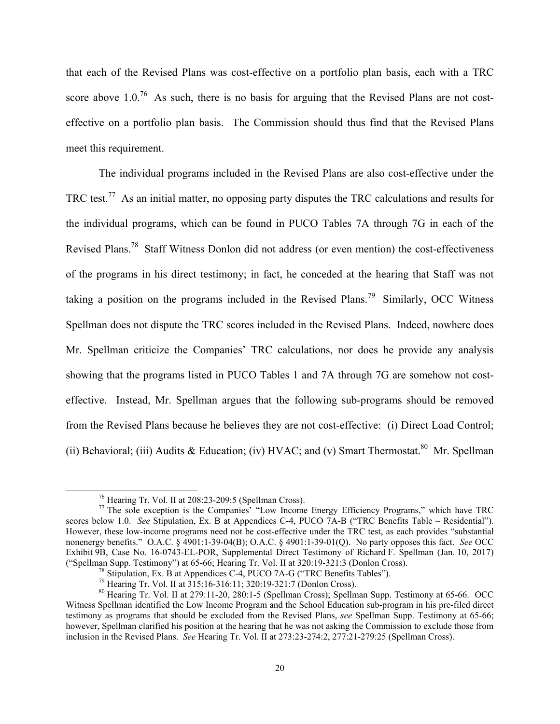that each of the Revised Plans was cost-effective on a portfolio plan basis, each with a TRC score above  $1.0^{76}$  As such, there is no basis for arguing that the Revised Plans are not costeffective on a portfolio plan basis. The Commission should thus find that the Revised Plans meet this requirement.

The individual programs included in the Revised Plans are also cost-effective under the TRC test.<sup>77</sup> As an initial matter, no opposing party disputes the TRC calculations and results for the individual programs, which can be found in PUCO Tables 7A through 7G in each of the Revised Plans.78 Staff Witness Donlon did not address (or even mention) the cost-effectiveness of the programs in his direct testimony; in fact, he conceded at the hearing that Staff was not taking a position on the programs included in the Revised Plans.<sup>79</sup> Similarly, OCC Witness Spellman does not dispute the TRC scores included in the Revised Plans. Indeed, nowhere does Mr. Spellman criticize the Companies' TRC calculations, nor does he provide any analysis showing that the programs listed in PUCO Tables 1 and 7A through 7G are somehow not costeffective. Instead, Mr. Spellman argues that the following sub-programs should be removed from the Revised Plans because he believes they are not cost-effective: (i) Direct Load Control; (ii) Behavioral; (iii) Audits & Education; (iv) HVAC; and (v) Smart Thermostat.<sup>80</sup> Mr. Spellman

 <sup>76</sup> Hearing Tr. Vol. II at 208:23-209:5 (Spellman Cross).

 $77$  The sole exception is the Companies' "Low Income Energy Efficiency Programs," which have TRC scores below 1.0. *See* Stipulation, Ex. B at Appendices C-4, PUCO 7A-B ("TRC Benefits Table – Residential"). However, these low-income programs need not be cost-effective under the TRC test, as each provides "substantial nonenergy benefits." O.A.C. § 4901:1-39-04(B); O.A.C. § 4901:1-39-01(Q). No party opposes this fact. *See* OCC Exhibit 9B, Case No. 16-0743-EL-POR, Supplemental Direct Testimony of Richard F. Spellman (Jan. 10, 2017) ("Spellman Supp. Testimony") at 65-66; Hearing Tr. Vol. II at 320:19-321:3 (Donlon Cross). 78 Stipulation, Ex. B at Appendices C-4, PUCO 7A-G ("TRC Benefits Tables").

<sup>79</sup> Hearing Tr. Vol. II at 315:16-316:11; 320:19-321:7 (Donlon Cross).

<sup>80</sup> Hearing Tr. Vol. II at 279:11-20, 280:1-5 (Spellman Cross); Spellman Supp. Testimony at 65-66. OCC Witness Spellman identified the Low Income Program and the School Education sub-program in his pre-filed direct testimony as programs that should be excluded from the Revised Plans, *see* Spellman Supp. Testimony at 65-66; however, Spellman clarified his position at the hearing that he was not asking the Commission to exclude those from inclusion in the Revised Plans. *See* Hearing Tr. Vol. II at 273:23-274:2, 277:21-279:25 (Spellman Cross).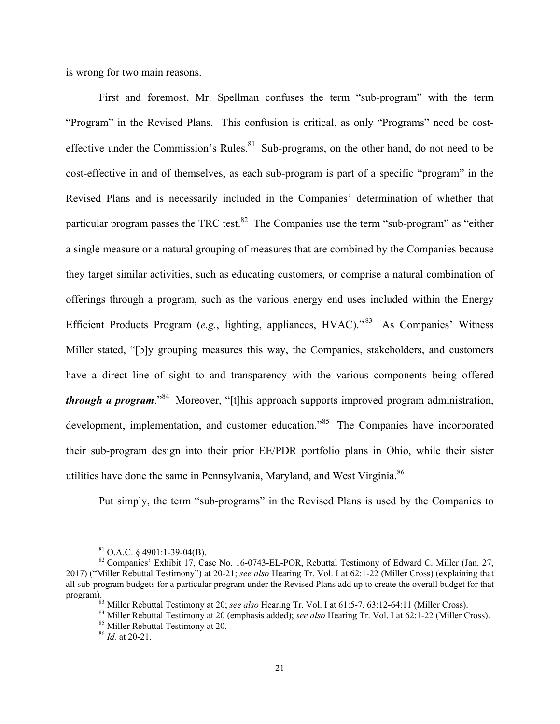is wrong for two main reasons.

First and foremost, Mr. Spellman confuses the term "sub-program" with the term "Program" in the Revised Plans. This confusion is critical, as only "Programs" need be costeffective under the Commission's Rules. $81$  Sub-programs, on the other hand, do not need to be cost-effective in and of themselves, as each sub-program is part of a specific "program" in the Revised Plans and is necessarily included in the Companies' determination of whether that particular program passes the TRC test. ${}^{82}$  The Companies use the term "sub-program" as "either a single measure or a natural grouping of measures that are combined by the Companies because they target similar activities, such as educating customers, or comprise a natural combination of offerings through a program, such as the various energy end uses included within the Energy Efficient Products Program (*e.g.*, lighting, appliances, HVAC).<sup>83</sup> As Companies' Witness Miller stated, "[b]y grouping measures this way, the Companies, stakeholders, and customers have a direct line of sight to and transparency with the various components being offered *through a program*."<sup>84</sup> Moreover, "[t]his approach supports improved program administration, development, implementation, and customer education.<sup>85</sup> The Companies have incorporated their sub-program design into their prior EE/PDR portfolio plans in Ohio, while their sister utilities have done the same in Pennsylvania, Maryland, and West Virginia.<sup>86</sup>

Put simply, the term "sub-programs" in the Revised Plans is used by the Companies to

 $81$  O.A.C. § 4901:1-39-04(B).

<sup>82</sup> Companies' Exhibit 17, Case No. 16-0743-EL-POR, Rebuttal Testimony of Edward C. Miller (Jan. 27, 2017) ("Miller Rebuttal Testimony") at 20-21; *see also* Hearing Tr. Vol. I at 62:1-22 (Miller Cross) (explaining that all sub-program budgets for a particular program under the Revised Plans add up to create the overall budget for that

program).<br><sup>83</sup> Miller Rebuttal Testimony at 20; see also Hearing Tr. Vol. I at 61:5-7, 63:12-64:11 (Miller Cross).<br><sup>84</sup> Miller Rebuttal Testimony at 20 (emphasis added); see also Hearing Tr. Vol. I at 62:1-22 (Miller Cross

<sup>86</sup> *Id.* at 20-21.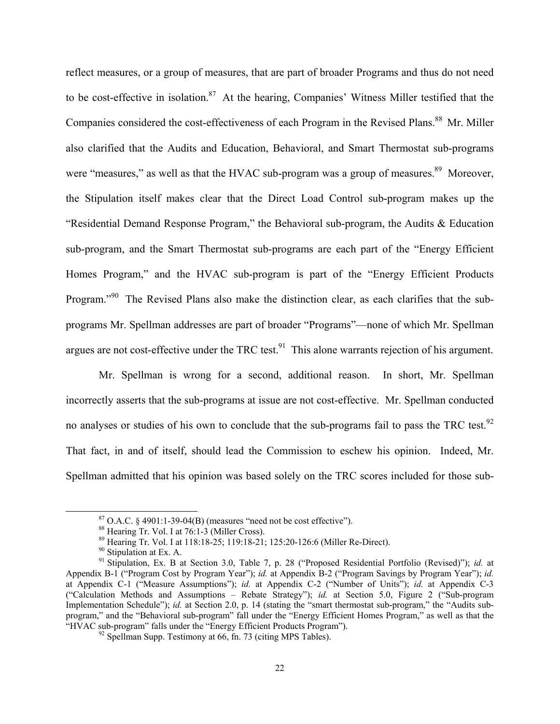reflect measures, or a group of measures, that are part of broader Programs and thus do not need to be cost-effective in isolation.<sup>87</sup> At the hearing, Companies' Witness Miller testified that the Companies considered the cost-effectiveness of each Program in the Revised Plans.<sup>88</sup> Mr. Miller also clarified that the Audits and Education, Behavioral, and Smart Thermostat sub-programs were "measures," as well as that the HVAC sub-program was a group of measures.<sup>89</sup> Moreover, the Stipulation itself makes clear that the Direct Load Control sub-program makes up the "Residential Demand Response Program," the Behavioral sub-program, the Audits & Education sub-program, and the Smart Thermostat sub-programs are each part of the "Energy Efficient Homes Program," and the HVAC sub-program is part of the "Energy Efficient Products Program."<sup>90</sup> The Revised Plans also make the distinction clear, as each clarifies that the subprograms Mr. Spellman addresses are part of broader "Programs"—none of which Mr. Spellman argues are not cost-effective under the TRC test.<sup>91</sup> This alone warrants rejection of his argument.

Mr. Spellman is wrong for a second, additional reason. In short, Mr. Spellman incorrectly asserts that the sub-programs at issue are not cost-effective. Mr. Spellman conducted no analyses or studies of his own to conclude that the sub-programs fail to pass the TRC test.<sup>92</sup> That fact, in and of itself, should lead the Commission to eschew his opinion. Indeed, Mr. Spellman admitted that his opinion was based solely on the TRC scores included for those sub-

 $87$  O.A.C. § 4901:1-39-04(B) (measures "need not be cost effective").

<sup>88</sup> Hearing Tr. Vol. I at 76:1-3 (Miller Cross).

<sup>89</sup> Hearing Tr. Vol. I at 118:18-25; 119:18-21; 125:20-126:6 (Miller Re-Direct).

<sup>&</sup>lt;sup>90</sup> Stipulation at Ex. A.

<sup>91</sup> Stipulation, Ex. B at Section 3.0, Table 7, p. 28 ("Proposed Residential Portfolio (Revised)"); *id.* at Appendix B-1 ("Program Cost by Program Year"); *id.* at Appendix B-2 ("Program Savings by Program Year"); *id.*  at Appendix C-1 ("Measure Assumptions"); *id.* at Appendix C-2 ("Number of Units"); *id.* at Appendix C-3 ("Calculation Methods and Assumptions – Rebate Strategy"); *id.* at Section 5.0, Figure 2 ("Sub-program Implementation Schedule"); *id.* at Section 2.0, p. 14 (stating the "smart thermostat sub-program," the "Audits subprogram," and the "Behavioral sub-program" fall under the "Energy Efficient Homes Program," as well as that the "HVAC sub-program" falls under the "Energy Efficient Products Program").<br><sup>92</sup> Spellman Supp. Testimony at 66, fn. 73 (citing MPS Tables).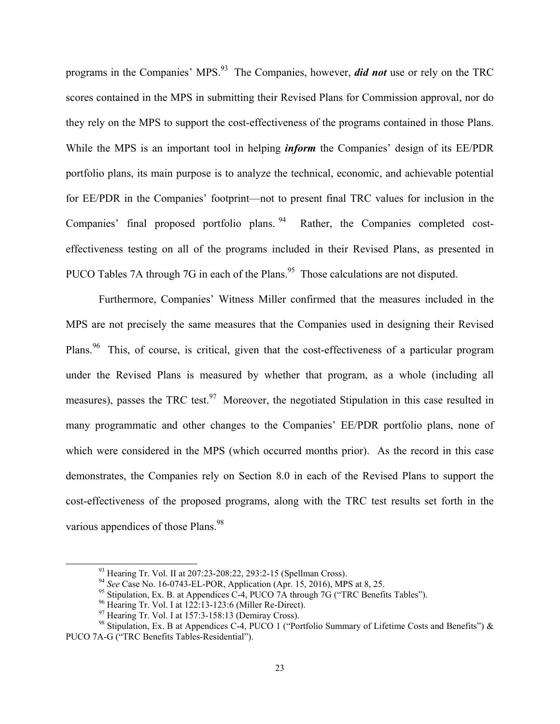programs in the Companies' MPS.93 The Companies, however, *did not* use or rely on the TRC scores contained in the MPS in submitting their Revised Plans for Commission approval, nor do they rely on the MPS to support the cost-effectiveness of the programs contained in those Plans. While the MPS is an important tool in helping *inform* the Companies' design of its EE/PDR portfolio plans, its main purpose is to analyze the technical, economic, and achievable potential for EE/PDR in the Companies' footprint—not to present final TRC values for inclusion in the Companies' final proposed portfolio plans. 94 Rather, the Companies completed costeffectiveness testing on all of the programs included in their Revised Plans, as presented in PUCO Tables 7A through 7G in each of the Plans.<sup>95</sup> Those calculations are not disputed.

Furthermore, Companies' Witness Miller confirmed that the measures included in the MPS are not precisely the same measures that the Companies used in designing their Revised Plans.<sup>96</sup> This, of course, is critical, given that the cost-effectiveness of a particular program under the Revised Plans is measured by whether that program, as a whole (including all measures), passes the TRC test.<sup>97</sup> Moreover, the negotiated Stipulation in this case resulted in many programmatic and other changes to the Companies' EE/PDR portfolio plans, none of which were considered in the MPS (which occurred months prior). As the record in this case demonstrates, the Companies rely on Section 8.0 in each of the Revised Plans to support the cost-effectiveness of the proposed programs, along with the TRC test results set forth in the various appendices of those Plans.<sup>98</sup>

<sup>&</sup>lt;sup>93</sup> Hearing Tr. Vol. II at 207:23-208:22, 293:2-15 (Spellman Cross).<br><sup>94</sup> See Case No. 16-0743-EL-POR, Application (Apr. 15, 2016), MPS at 8, 25.

<sup>&</sup>lt;sup>95</sup> Stipulation, Ex. B. at Appendices C-4, PUCO 7A through 7G ("TRC Benefits Tables").

<sup>96</sup> Hearing Tr. Vol. I at 122:13-123:6 (Miller Re-Direct).

 $^{97}$  Hearing Tr. Vol. I at 157:3-158:13 (Demiray Cross).

<sup>98</sup> Stipulation, Ex. B at Appendices C-4, PUCO 1 ("Portfolio Summary of Lifetime Costs and Benefits") & PUCO 7A-G ("TRC Benefits Tables-Residential").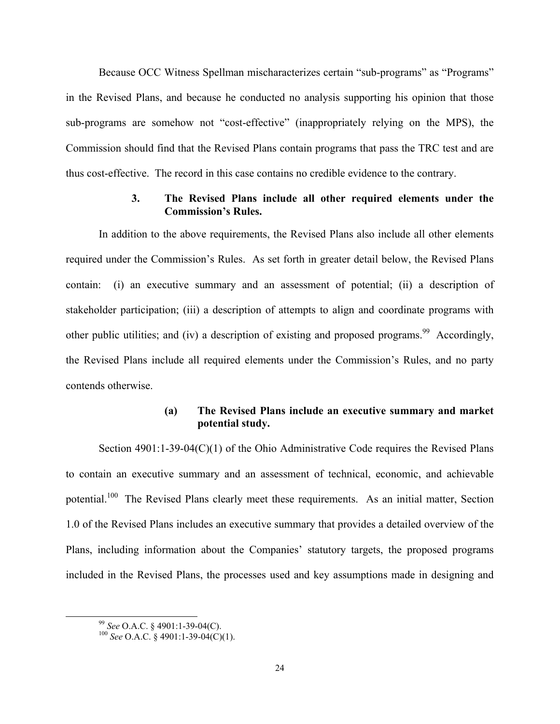Because OCC Witness Spellman mischaracterizes certain "sub-programs" as "Programs" in the Revised Plans, and because he conducted no analysis supporting his opinion that those sub-programs are somehow not "cost-effective" (inappropriately relying on the MPS), the Commission should find that the Revised Plans contain programs that pass the TRC test and are thus cost-effective. The record in this case contains no credible evidence to the contrary.

### **3. The Revised Plans include all other required elements under the Commission's Rules.**

In addition to the above requirements, the Revised Plans also include all other elements required under the Commission's Rules. As set forth in greater detail below, the Revised Plans contain: (i) an executive summary and an assessment of potential; (ii) a description of stakeholder participation; (iii) a description of attempts to align and coordinate programs with other public utilities; and (iv) a description of existing and proposed programs.<sup>99</sup> Accordingly, the Revised Plans include all required elements under the Commission's Rules, and no party contends otherwise.

# **(a) The Revised Plans include an executive summary and market potential study.**

Section 4901:1-39-04(C)(1) of the Ohio Administrative Code requires the Revised Plans to contain an executive summary and an assessment of technical, economic, and achievable potential.<sup>100</sup> The Revised Plans clearly meet these requirements. As an initial matter, Section 1.0 of the Revised Plans includes an executive summary that provides a detailed overview of the Plans, including information about the Companies' statutory targets, the proposed programs included in the Revised Plans, the processes used and key assumptions made in designing and

<sup>&</sup>lt;sup>99</sup> *See* O.A.C. § 4901:1-39-04(C).<br><sup>100</sup> *See* O.A.C. § 4901:1-39-04(C)(1).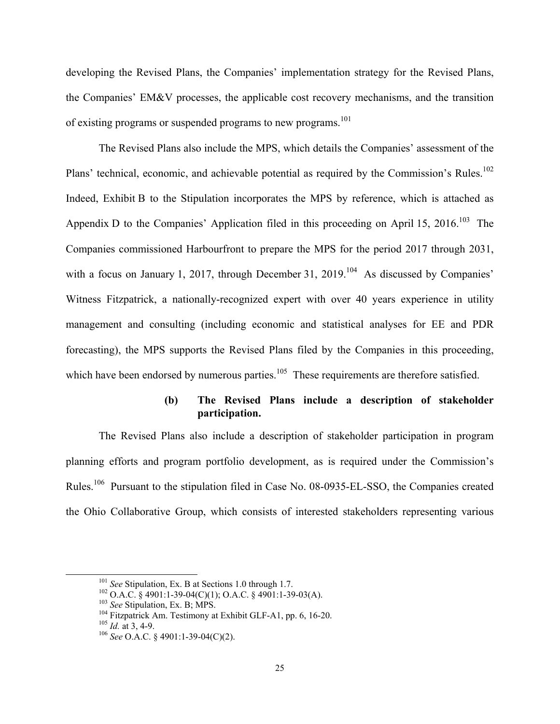developing the Revised Plans, the Companies' implementation strategy for the Revised Plans, the Companies' EM&V processes, the applicable cost recovery mechanisms, and the transition of existing programs or suspended programs to new programs.<sup>101</sup>

The Revised Plans also include the MPS, which details the Companies' assessment of the Plans' technical, economic, and achievable potential as required by the Commission's Rules.<sup>102</sup> Indeed, Exhibit B to the Stipulation incorporates the MPS by reference, which is attached as Appendix D to the Companies' Application filed in this proceeding on April 15, 2016.<sup>103</sup> The Companies commissioned Harbourfront to prepare the MPS for the period 2017 through 2031, with a focus on January 1, 2017, through December 31, 2019.<sup>104</sup> As discussed by Companies' Witness Fitzpatrick, a nationally-recognized expert with over 40 years experience in utility management and consulting (including economic and statistical analyses for EE and PDR forecasting), the MPS supports the Revised Plans filed by the Companies in this proceeding, which have been endorsed by numerous parties.<sup>105</sup> These requirements are therefore satisfied.

# **(b) The Revised Plans include a description of stakeholder participation.**

The Revised Plans also include a description of stakeholder participation in program planning efforts and program portfolio development, as is required under the Commission's Rules.106 Pursuant to the stipulation filed in Case No. 08-0935-EL-SSO, the Companies created the Ohio Collaborative Group, which consists of interested stakeholders representing various

<sup>&</sup>lt;sup>101</sup> See Stipulation, Ex. B at Sections 1.0 through 1.7.<br><sup>102</sup> O.A.C. § 4901:1-39-04(C)(1); O.A.C. § 4901:1-39-03(A).<br><sup>103</sup> See Stipulation, Ex. B; MPS.<br><sup>104</sup> Fitzpatrick Am. Testimony at Exhibit GLF-A1, pp. 6, 16-20.<br><sup>1</sup>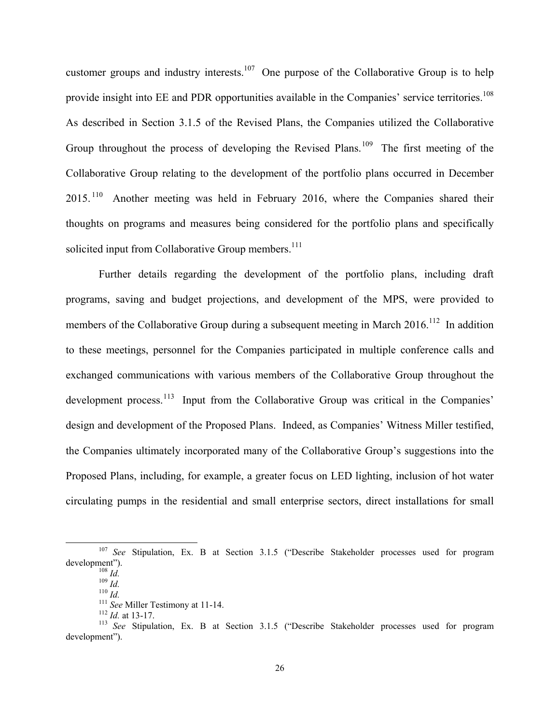customer groups and industry interests.<sup>107</sup> One purpose of the Collaborative Group is to help provide insight into EE and PDR opportunities available in the Companies' service territories.<sup>108</sup> As described in Section 3.1.5 of the Revised Plans, the Companies utilized the Collaborative Group throughout the process of developing the Revised Plans.<sup>109</sup> The first meeting of the Collaborative Group relating to the development of the portfolio plans occurred in December 2015. 110 Another meeting was held in February 2016, where the Companies shared their thoughts on programs and measures being considered for the portfolio plans and specifically solicited input from Collaborative Group members.<sup>111</sup>

Further details regarding the development of the portfolio plans, including draft programs, saving and budget projections, and development of the MPS, were provided to members of the Collaborative Group during a subsequent meeting in March 2016.<sup>112</sup> In addition to these meetings, personnel for the Companies participated in multiple conference calls and exchanged communications with various members of the Collaborative Group throughout the development process.<sup>113</sup> Input from the Collaborative Group was critical in the Companies' design and development of the Proposed Plans. Indeed, as Companies' Witness Miller testified, the Companies ultimately incorporated many of the Collaborative Group's suggestions into the Proposed Plans, including, for example, a greater focus on LED lighting, inclusion of hot water circulating pumps in the residential and small enterprise sectors, direct installations for small

 <sup>107</sup> *See* Stipulation, Ex. B at Section 3.1.5 ("Describe Stakeholder processes used for program development").<br>
<sup>108</sup> *Id.*<br>
<sup>109</sup> *Id.*<br>
<sup>111</sup> *See* Miller Testimony at 11-14.<br>
<sup>111</sup> *See* Miller Testimony at 11-14.<br>
<sup>112</sup> *Id.* at 13-17.<br>
<sup>113</sup> *See* Stipulation, Ex. B at Section 3.1.5 ("Describe Stakeholder proce

development").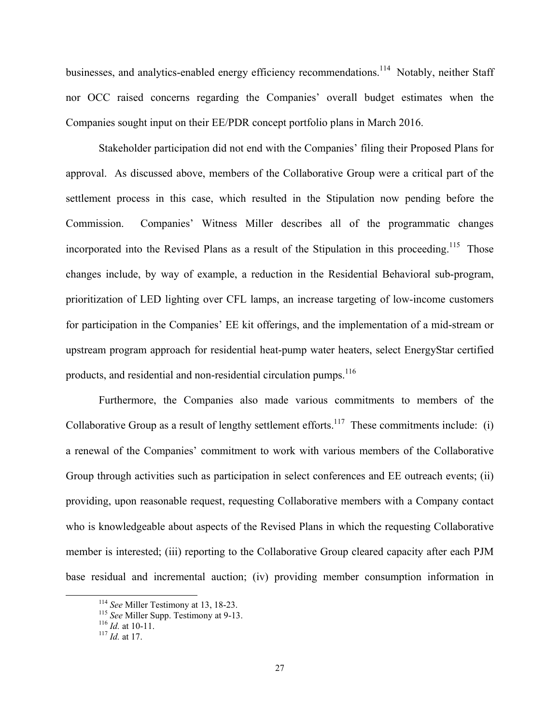businesses, and analytics-enabled energy efficiency recommendations.<sup>114</sup> Notably, neither Staff nor OCC raised concerns regarding the Companies' overall budget estimates when the Companies sought input on their EE/PDR concept portfolio plans in March 2016.

Stakeholder participation did not end with the Companies' filing their Proposed Plans for approval. As discussed above, members of the Collaborative Group were a critical part of the settlement process in this case, which resulted in the Stipulation now pending before the Commission. Companies' Witness Miller describes all of the programmatic changes incorporated into the Revised Plans as a result of the Stipulation in this proceeding.<sup>115</sup> Those changes include, by way of example, a reduction in the Residential Behavioral sub-program, prioritization of LED lighting over CFL lamps, an increase targeting of low-income customers for participation in the Companies' EE kit offerings, and the implementation of a mid-stream or upstream program approach for residential heat-pump water heaters, select EnergyStar certified products, and residential and non-residential circulation pumps.<sup>116</sup>

Furthermore, the Companies also made various commitments to members of the Collaborative Group as a result of lengthy settlement efforts.<sup>117</sup> These commitments include: (i) a renewal of the Companies' commitment to work with various members of the Collaborative Group through activities such as participation in select conferences and EE outreach events; (ii) providing, upon reasonable request, requesting Collaborative members with a Company contact who is knowledgeable about aspects of the Revised Plans in which the requesting Collaborative member is interested; (iii) reporting to the Collaborative Group cleared capacity after each PJM base residual and incremental auction; (iv) providing member consumption information in

<sup>114</sup> *See* Miller Testimony at 13, 18-23. 115 *See* Miller Supp. Testimony at 9-13. 116 *Id.* at 10-11. 117 *Id.* at 17.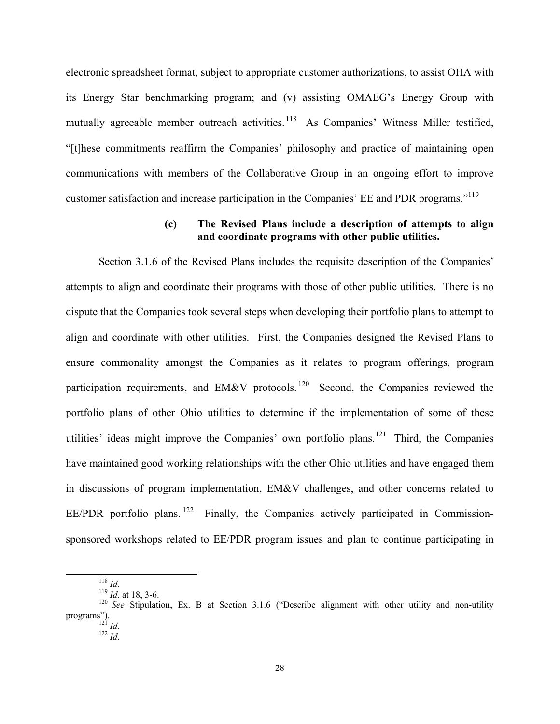electronic spreadsheet format, subject to appropriate customer authorizations, to assist OHA with its Energy Star benchmarking program; and (v) assisting OMAEG's Energy Group with mutually agreeable member outreach activities.<sup>118</sup> As Companies' Witness Miller testified, "[t]hese commitments reaffirm the Companies' philosophy and practice of maintaining open communications with members of the Collaborative Group in an ongoing effort to improve customer satisfaction and increase participation in the Companies' EE and PDR programs."119

### **(c) The Revised Plans include a description of attempts to align and coordinate programs with other public utilities.**

Section 3.1.6 of the Revised Plans includes the requisite description of the Companies' attempts to align and coordinate their programs with those of other public utilities. There is no dispute that the Companies took several steps when developing their portfolio plans to attempt to align and coordinate with other utilities. First, the Companies designed the Revised Plans to ensure commonality amongst the Companies as it relates to program offerings, program participation requirements, and EM&V protocols.<sup>120</sup> Second, the Companies reviewed the portfolio plans of other Ohio utilities to determine if the implementation of some of these utilities' ideas might improve the Companies' own portfolio plans.<sup>121</sup> Third, the Companies have maintained good working relationships with the other Ohio utilities and have engaged them in discussions of program implementation, EM&V challenges, and other concerns related to EE/PDR portfolio plans.<sup>122</sup> Finally, the Companies actively participated in Commissionsponsored workshops related to EE/PDR program issues and plan to continue participating in

<sup>&</sup>lt;sup>118</sup> *Id.* at 18, 3-6.<br><sup>119</sup> *Id.* at 18, 3-6.<br><sup>120</sup> *See* Stipulation, Ex. B at Section 3.1.6 ("Describe alignment with other utility and non-utility programs"). 121 *Id.* <sup>122</sup> *Id.*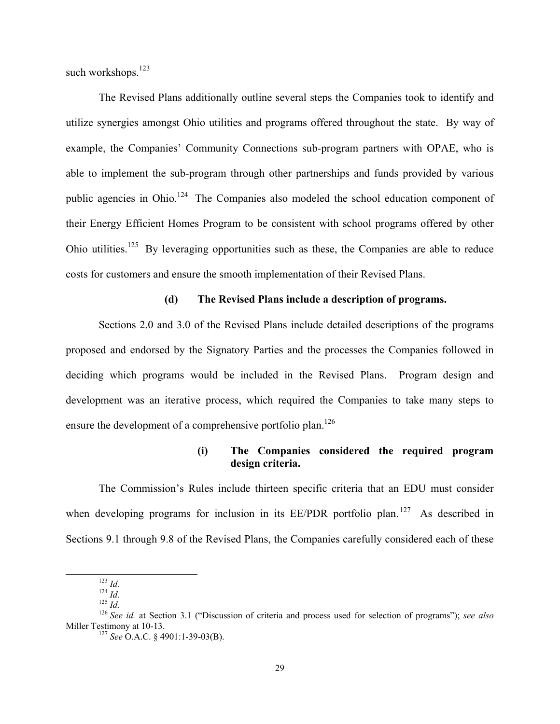such workshops.<sup>123</sup>

The Revised Plans additionally outline several steps the Companies took to identify and utilize synergies amongst Ohio utilities and programs offered throughout the state. By way of example, the Companies' Community Connections sub-program partners with OPAE, who is able to implement the sub-program through other partnerships and funds provided by various public agencies in Ohio.<sup>124</sup> The Companies also modeled the school education component of their Energy Efficient Homes Program to be consistent with school programs offered by other Ohio utilities.125 By leveraging opportunities such as these, the Companies are able to reduce costs for customers and ensure the smooth implementation of their Revised Plans.

### **(d) The Revised Plans include a description of programs.**

Sections 2.0 and 3.0 of the Revised Plans include detailed descriptions of the programs proposed and endorsed by the Signatory Parties and the processes the Companies followed in deciding which programs would be included in the Revised Plans. Program design and development was an iterative process, which required the Companies to take many steps to ensure the development of a comprehensive portfolio plan.<sup>126</sup>

# **(i) The Companies considered the required program design criteria.**

The Commission's Rules include thirteen specific criteria that an EDU must consider when developing programs for inclusion in its  $EE/PDF$  portfolio plan.<sup>127</sup> As described in Sections 9.1 through 9.8 of the Revised Plans, the Companies carefully considered each of these

<sup>123</sup> *Id.*<br>
<sup>124</sup> *Id.*<br>
<sup>125</sup> *Id.*<br>
<sup>126</sup> *See id.* at Section 3.1 ("Discussion of criteria and process used for selection of programs"); *see also*<br>
Miller Testimony at 10-13.

<sup>&</sup>lt;sup>127</sup> See O.A.C. § 4901:1-39-03(B).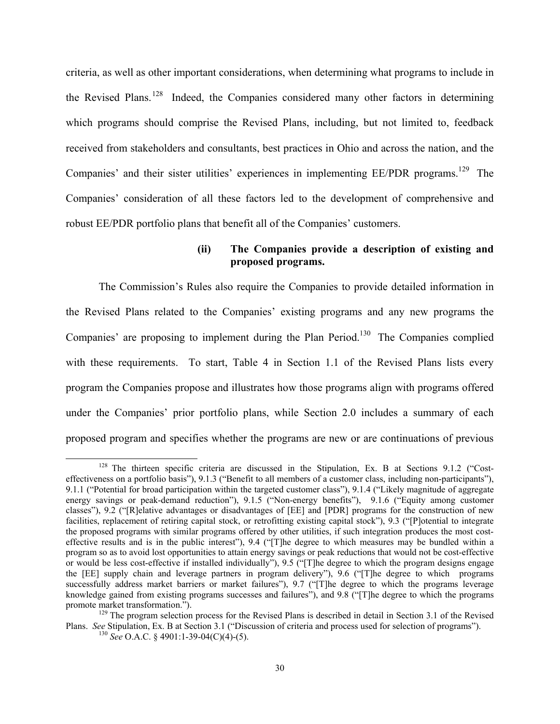criteria, as well as other important considerations, when determining what programs to include in the Revised Plans.<sup>128</sup> Indeed, the Companies considered many other factors in determining which programs should comprise the Revised Plans, including, but not limited to, feedback received from stakeholders and consultants, best practices in Ohio and across the nation, and the Companies' and their sister utilities' experiences in implementing EE/PDR programs.<sup>129</sup> The Companies' consideration of all these factors led to the development of comprehensive and robust EE/PDR portfolio plans that benefit all of the Companies' customers.

# **(ii) The Companies provide a description of existing and proposed programs.**

The Commission's Rules also require the Companies to provide detailed information in the Revised Plans related to the Companies' existing programs and any new programs the Companies' are proposing to implement during the Plan Period.<sup>130</sup> The Companies complied with these requirements. To start, Table 4 in Section 1.1 of the Revised Plans lists every program the Companies propose and illustrates how those programs align with programs offered under the Companies' prior portfolio plans, while Section 2.0 includes a summary of each proposed program and specifies whether the programs are new or are continuations of previous

<sup>&</sup>lt;sup>128</sup> The thirteen specific criteria are discussed in the Stipulation, Ex. B at Sections 9.1.2 ("Costeffectiveness on a portfolio basis"), 9.1.3 ("Benefit to all members of a customer class, including non-participants"), 9.1.1 ("Potential for broad participation within the targeted customer class"), 9.1.4 ("Likely magnitude of aggregate energy savings or peak-demand reduction"), 9.1.5 ("Non-energy benefits"), 9.1.6 ("Equity among customer classes"), 9.2 ("[R]elative advantages or disadvantages of [EE] and [PDR] programs for the construction of new facilities, replacement of retiring capital stock, or retrofitting existing capital stock"), 9.3 ("[P]otential to integrate the proposed programs with similar programs offered by other utilities, if such integration produces the most costeffective results and is in the public interest"), 9.4 ("[T]he degree to which measures may be bundled within a program so as to avoid lost opportunities to attain energy savings or peak reductions that would not be cost-effective or would be less cost-effective if installed individually"), 9.5 ("[T]he degree to which the program designs engage the [EE] supply chain and leverage partners in program delivery"), 9.6 ("[T]he degree to which programs successfully address market barriers or market failures"), 9.7 ("T]he degree to which the programs leverage knowledge gained from existing programs successes and failures"), and 9.8 ("[T]he degree to which the programs promote market transformation.").

 $129$  The program selection process for the Revised Plans is described in detail in Section 3.1 of the Revised Plans. *See* Stipulation, Ex. B at Section 3.1 ("Discussion of criteria and process used for selection of programs"). <sup>130</sup> *See* O.A.C. § 4901:1-39-04(C)(4)-(5).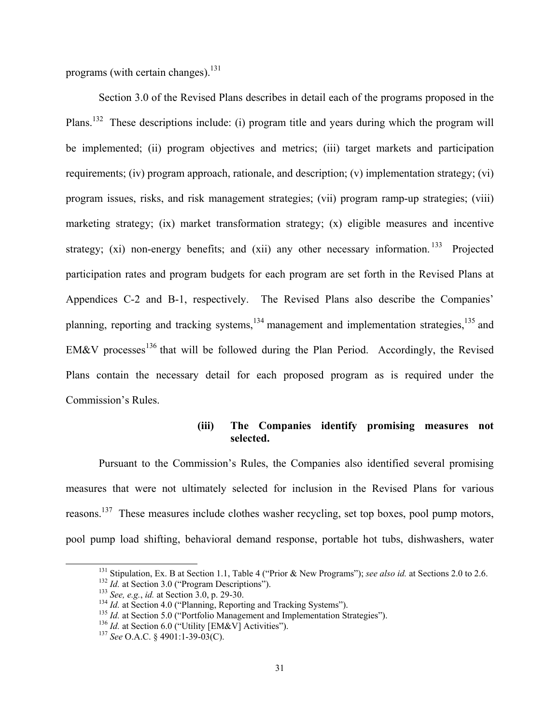programs (with certain changes). $^{131}$ 

Section 3.0 of the Revised Plans describes in detail each of the programs proposed in the Plans.132 These descriptions include: (i) program title and years during which the program will be implemented; (ii) program objectives and metrics; (iii) target markets and participation requirements; (iv) program approach, rationale, and description; (v) implementation strategy; (vi) program issues, risks, and risk management strategies; (vii) program ramp-up strategies; (viii) marketing strategy; (ix) market transformation strategy; (x) eligible measures and incentive strategy; (xi) non-energy benefits; and (xii) any other necessary information. <sup>133</sup> Projected participation rates and program budgets for each program are set forth in the Revised Plans at Appendices C-2 and B-1, respectively. The Revised Plans also describe the Companies' planning, reporting and tracking systems,<sup>134</sup> management and implementation strategies,<sup>135</sup> and EM&V processes<sup>136</sup> that will be followed during the Plan Period. Accordingly, the Revised Plans contain the necessary detail for each proposed program as is required under the Commission's Rules.

# **(iii) The Companies identify promising measures not selected.**

Pursuant to the Commission's Rules, the Companies also identified several promising measures that were not ultimately selected for inclusion in the Revised Plans for various reasons.<sup>137</sup> These measures include clothes washer recycling, set top boxes, pool pump motors, pool pump load shifting, behavioral demand response, portable hot tubs, dishwashers, water

<sup>&</sup>lt;sup>131</sup> Stipulation, Ex. B at Section 1.1, Table 4 ("Prior & New Programs"); *see also id.* at Sections 2.0 to 2.6.<br><sup>132</sup> *Id.* at Section 3.0 ("Program Descriptions").<br><sup>133</sup> *See, e.g., id.* at Section 3.0, p. 29-30.<br><sup>134</sup>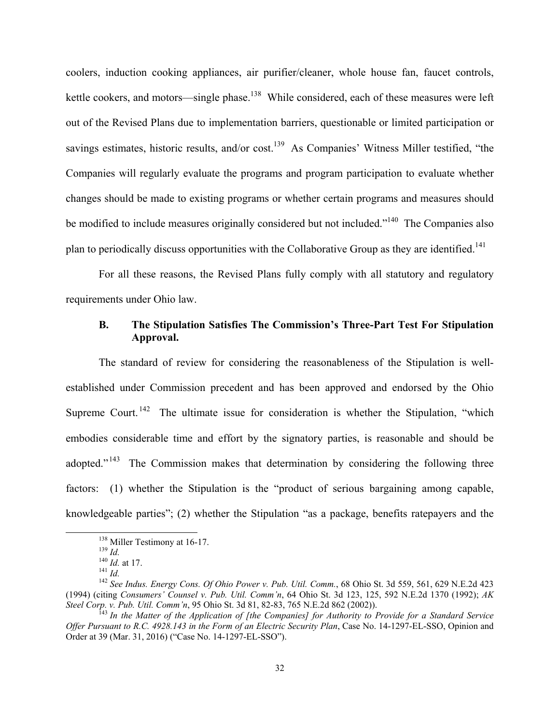coolers, induction cooking appliances, air purifier/cleaner, whole house fan, faucet controls, kettle cookers, and motors—single phase.<sup>138</sup> While considered, each of these measures were left out of the Revised Plans due to implementation barriers, questionable or limited participation or savings estimates, historic results, and/or cost.<sup>139</sup> As Companies' Witness Miller testified, "the Companies will regularly evaluate the programs and program participation to evaluate whether changes should be made to existing programs or whether certain programs and measures should be modified to include measures originally considered but not included."<sup>140</sup> The Companies also plan to periodically discuss opportunities with the Collaborative Group as they are identified.<sup>141</sup>

For all these reasons, the Revised Plans fully comply with all statutory and regulatory requirements under Ohio law.

### **B. The Stipulation Satisfies The Commission's Three-Part Test For Stipulation Approval.**

The standard of review for considering the reasonableness of the Stipulation is wellestablished under Commission precedent and has been approved and endorsed by the Ohio Supreme Court.<sup>142</sup> The ultimate issue for consideration is whether the Stipulation, "which embodies considerable time and effort by the signatory parties, is reasonable and should be adopted."<sup>143</sup> The Commission makes that determination by considering the following three factors: (1) whether the Stipulation is the "product of serious bargaining among capable, knowledgeable parties"; (2) whether the Stipulation "as a package, benefits ratepayers and the

<sup>138</sup> Miller Testimony at 16-17.<br>
<sup>139</sup> *Id.*<br>
<sup>140</sup> *Id.* at 17.<br>
<sup>141</sup> *Id.*<br>
<sup>142</sup> *See Indus. Energy Cons. Of Ohio Power v. Pub. Util. Comm.*, 68 Ohio St. 3d 559, 561, 629 N.E.2d 423 (1994) (citing *Consumers' Counsel v. Pub. Util. Comm'n*, 64 Ohio St. 3d 123, 125, 592 N.E.2d 1370 (1992); *AK Steel Corp. v. Pub. Util. Comm'n, 95 Ohio St. 3d 81, 82-83, 765 N.E.2d 862 (2002)).*<br><sup>143</sup> *In the Matter of the Application of [the Companies] for Authority to Provide for a Standard Service* 

*Offer Pursuant to R.C. 4928.143 in the Form of an Electric Security Plan*, Case No. 14-1297-EL-SSO, Opinion and Order at 39 (Mar. 31, 2016) ("Case No. 14-1297-EL-SSO").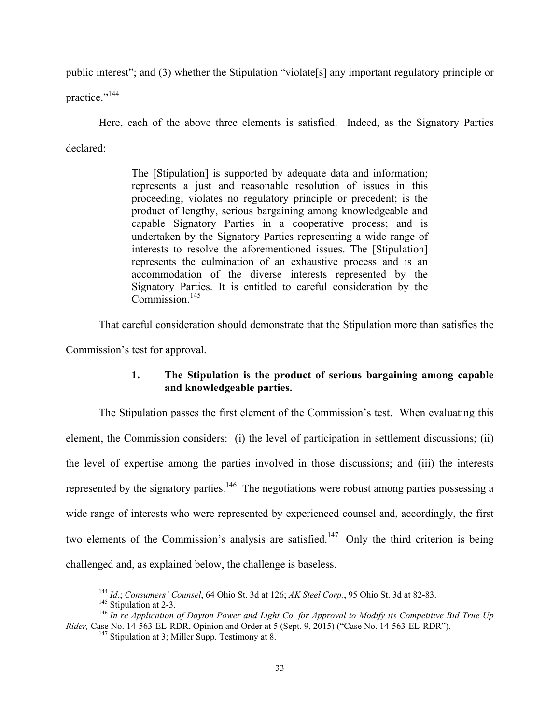public interest"; and (3) whether the Stipulation "violate[s] any important regulatory principle or

practice."<sup>144</sup>

Here, each of the above three elements is satisfied. Indeed, as the Signatory Parties declared:

> The [Stipulation] is supported by adequate data and information; represents a just and reasonable resolution of issues in this proceeding; violates no regulatory principle or precedent; is the product of lengthy, serious bargaining among knowledgeable and capable Signatory Parties in a cooperative process; and is undertaken by the Signatory Parties representing a wide range of interests to resolve the aforementioned issues. The [Stipulation] represents the culmination of an exhaustive process and is an accommodation of the diverse interests represented by the Signatory Parties. It is entitled to careful consideration by the  $Commission$ <sup>145</sup>

That careful consideration should demonstrate that the Stipulation more than satisfies the

Commission's test for approval.

# **1. The Stipulation is the product of serious bargaining among capable and knowledgeable parties.**

The Stipulation passes the first element of the Commission's test. When evaluating this element, the Commission considers: (i) the level of participation in settlement discussions; (ii) the level of expertise among the parties involved in those discussions; and (iii) the interests represented by the signatory parties.<sup>146</sup> The negotiations were robust among parties possessing a wide range of interests who were represented by experienced counsel and, accordingly, the first two elements of the Commission's analysis are satisfied.<sup>147</sup> Only the third criterion is being challenged and, as explained below, the challenge is baseless.

<sup>&</sup>lt;sup>144</sup> *Id.*; *Consumers' Counsel*, 64 Ohio St. 3d at 126; *AK Steel Corp.*, 95 Ohio St. 3d at 82-83.<br><sup>145</sup> Stipulation at 2-3.<br><sup>146</sup> *In re Application of Dayton Power and Light Co. for Approval to Modify its Competitiv Rider,* Case No. 14-563-EL-RDR, Opinion and Order at 5 (Sept. 9, 2015) ("Case No. 14-563-EL-RDR"). <sup>147</sup> Stipulation at 3; Miller Supp. Testimony at 8.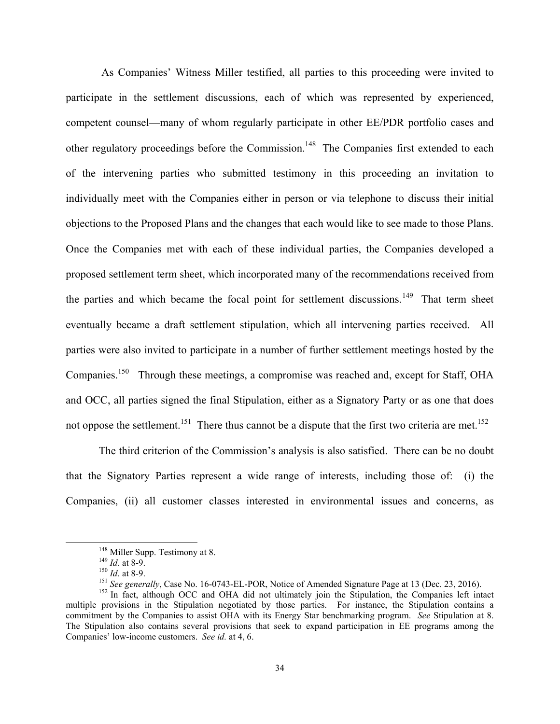As Companies' Witness Miller testified, all parties to this proceeding were invited to participate in the settlement discussions, each of which was represented by experienced, competent counsel—many of whom regularly participate in other EE/PDR portfolio cases and other regulatory proceedings before the Commission.<sup>148</sup> The Companies first extended to each of the intervening parties who submitted testimony in this proceeding an invitation to individually meet with the Companies either in person or via telephone to discuss their initial objections to the Proposed Plans and the changes that each would like to see made to those Plans. Once the Companies met with each of these individual parties, the Companies developed a proposed settlement term sheet, which incorporated many of the recommendations received from the parties and which became the focal point for settlement discussions.<sup>149</sup> That term sheet eventually became a draft settlement stipulation, which all intervening parties received. All parties were also invited to participate in a number of further settlement meetings hosted by the Companies.<sup>150</sup> Through these meetings, a compromise was reached and, except for Staff, OHA and OCC, all parties signed the final Stipulation, either as a Signatory Party or as one that does not oppose the settlement.<sup>151</sup> There thus cannot be a dispute that the first two criteria are met.<sup>152</sup>

The third criterion of the Commission's analysis is also satisfied. There can be no doubt that the Signatory Parties represent a wide range of interests, including those of: (i) the Companies, (ii) all customer classes interested in environmental issues and concerns, as

<sup>&</sup>lt;sup>148</sup> Miller Supp. Testimony at 8.<br><sup>149</sup> *Id.* at 8-9.<br><sup>150</sup> *Id.* at 8-9.<br><sup>151</sup> *See generally*, Case No. 16-0743-EL-POR, Notice of Amended Signature Page at 13 (Dec. 23, 2016).<br><sup>151</sup> *See generally*, Case No. 16-0743-EL multiple provisions in the Stipulation negotiated by those parties. For instance, the Stipulation contains a commitment by the Companies to assist OHA with its Energy Star benchmarking program. *See* Stipulation at 8. The Stipulation also contains several provisions that seek to expand participation in EE programs among the Companies' low-income customers. *See id.* at 4, 6.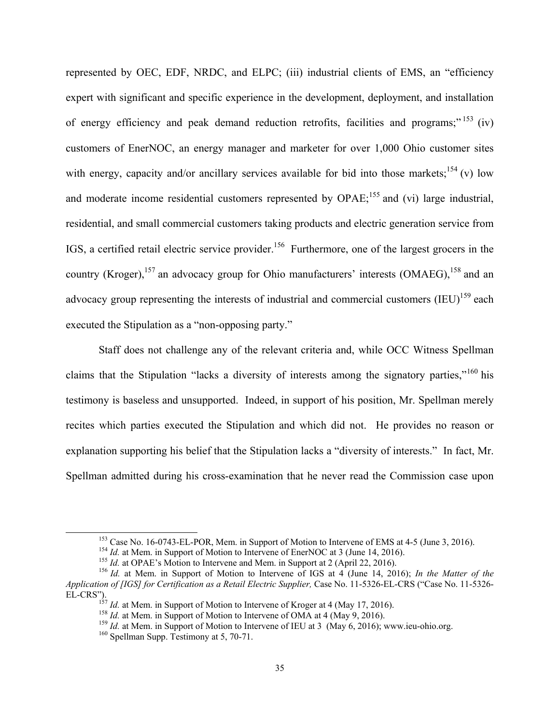represented by OEC, EDF, NRDC, and ELPC; (iii) industrial clients of EMS, an "efficiency expert with significant and specific experience in the development, deployment, and installation of energy efficiency and peak demand reduction retrofits, facilities and programs;" 153 (iv) customers of EnerNOC, an energy manager and marketer for over 1,000 Ohio customer sites with energy, capacity and/or ancillary services available for bid into those markets;  $^{154}$  (v) low and moderate income residential customers represented by OPAE;<sup>155</sup> and (vi) large industrial, residential, and small commercial customers taking products and electric generation service from IGS, a certified retail electric service provider.<sup>156</sup> Furthermore, one of the largest grocers in the country (Kroger),<sup>157</sup> an advocacy group for Ohio manufacturers' interests (OMAEG),<sup>158</sup> and an advocacy group representing the interests of industrial and commercial customers  $\text{(IEU)}^{159}$  each executed the Stipulation as a "non-opposing party."

Staff does not challenge any of the relevant criteria and, while OCC Witness Spellman claims that the Stipulation "lacks a diversity of interests among the signatory parties,"<sup>160</sup> his testimony is baseless and unsupported. Indeed, in support of his position, Mr. Spellman merely recites which parties executed the Stipulation and which did not. He provides no reason or explanation supporting his belief that the Stipulation lacks a "diversity of interests." In fact, Mr. Spellman admitted during his cross-examination that he never read the Commission case upon

<sup>&</sup>lt;sup>153</sup> Case No. 16-0743-EL-POR, Mem. in Support of Motion to Intervene of EMS at 4-5 (June 3, 2016).<br><sup>154</sup> *Id.* at Mem. in Support of Motion to Intervene of EnerNOC at 3 (June 14, 2016).<br><sup>155</sup> *Id.* at OPAE's Motion to In *Application of [IGS] for Certification as a Retail Electric Supplier,* Case No. 11-5326-EL-CRS ("Case No. 11-5326- EL-CRS").<br>
<sup>157</sup> *Id.* at Mem. in Support of Motion to Intervene of Kroger at 4 (May 17, 2016).<br>
<sup>158</sup> *Id.* at Mem. in Support of Motion to Intervene of OMA at 4 (May 9, 2016).<br>
<sup>159</sup> *Id.* at Mem. in Support of Motion t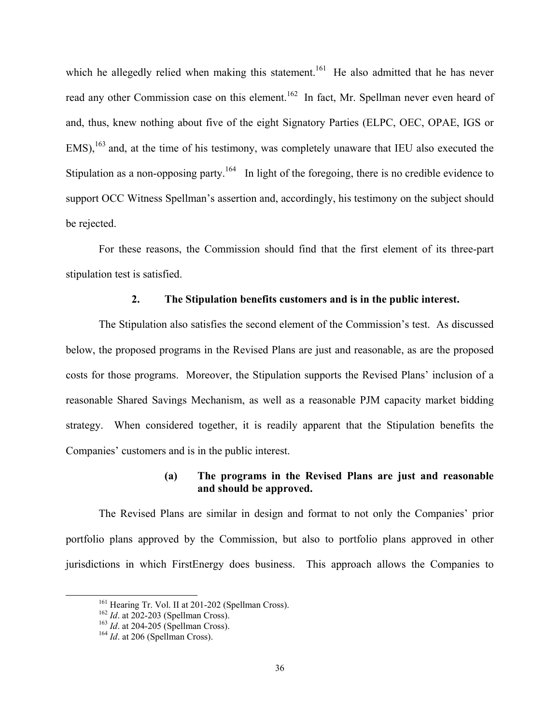which he allegedly relied when making this statement.<sup>161</sup> He also admitted that he has never read any other Commission case on this element.<sup>162</sup> In fact, Mr. Spellman never even heard of and, thus, knew nothing about five of the eight Signatory Parties (ELPC, OEC, OPAE, IGS or  $EMS$ ),<sup>163</sup> and, at the time of his testimony, was completely unaware that IEU also executed the Stipulation as a non-opposing party.<sup>164</sup> In light of the foregoing, there is no credible evidence to support OCC Witness Spellman's assertion and, accordingly, his testimony on the subject should be rejected.

For these reasons, the Commission should find that the first element of its three-part stipulation test is satisfied.

#### **2. The Stipulation benefits customers and is in the public interest.**

The Stipulation also satisfies the second element of the Commission's test. As discussed below, the proposed programs in the Revised Plans are just and reasonable, as are the proposed costs for those programs. Moreover, the Stipulation supports the Revised Plans' inclusion of a reasonable Shared Savings Mechanism, as well as a reasonable PJM capacity market bidding strategy. When considered together, it is readily apparent that the Stipulation benefits the Companies' customers and is in the public interest.

### **(a) The programs in the Revised Plans are just and reasonable and should be approved.**

The Revised Plans are similar in design and format to not only the Companies' prior portfolio plans approved by the Commission, but also to portfolio plans approved in other jurisdictions in which FirstEnergy does business. This approach allows the Companies to

<sup>&</sup>lt;sup>161</sup> Hearing Tr. Vol. II at 201-202 (Spellman Cross).<br><sup>162</sup> *Id.* at 202-203 (Spellman Cross).<br><sup>163</sup> *Id.* at 204-205 (Spellman Cross).<br><sup>164</sup> *Id.* at 206 (Spellman Cross).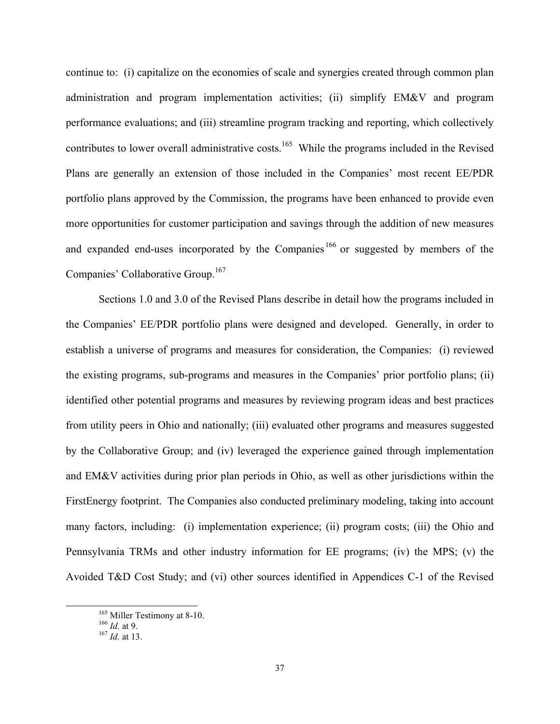continue to: (i) capitalize on the economies of scale and synergies created through common plan administration and program implementation activities; (ii) simplify EM&V and program performance evaluations; and (iii) streamline program tracking and reporting, which collectively contributes to lower overall administrative costs.<sup>165</sup> While the programs included in the Revised Plans are generally an extension of those included in the Companies' most recent EE/PDR portfolio plans approved by the Commission, the programs have been enhanced to provide even more opportunities for customer participation and savings through the addition of new measures and expanded end-uses incorporated by the Companies<sup>166</sup> or suggested by members of the Companies' Collaborative Group.<sup>167</sup>

Sections 1.0 and 3.0 of the Revised Plans describe in detail how the programs included in the Companies' EE/PDR portfolio plans were designed and developed. Generally, in order to establish a universe of programs and measures for consideration, the Companies: (i) reviewed the existing programs, sub-programs and measures in the Companies' prior portfolio plans; (ii) identified other potential programs and measures by reviewing program ideas and best practices from utility peers in Ohio and nationally; (iii) evaluated other programs and measures suggested by the Collaborative Group; and (iv) leveraged the experience gained through implementation and EM&V activities during prior plan periods in Ohio, as well as other jurisdictions within the FirstEnergy footprint. The Companies also conducted preliminary modeling, taking into account many factors, including: (i) implementation experience; (ii) program costs; (iii) the Ohio and Pennsylvania TRMs and other industry information for EE programs; (iv) the MPS; (v) the Avoided T&D Cost Study; and (vi) other sources identified in Appendices C-1 of the Revised

 <sup>165</sup> Miller Testimony at 8-10. 166 *Id.* at 9. 167 *Id.* at 13.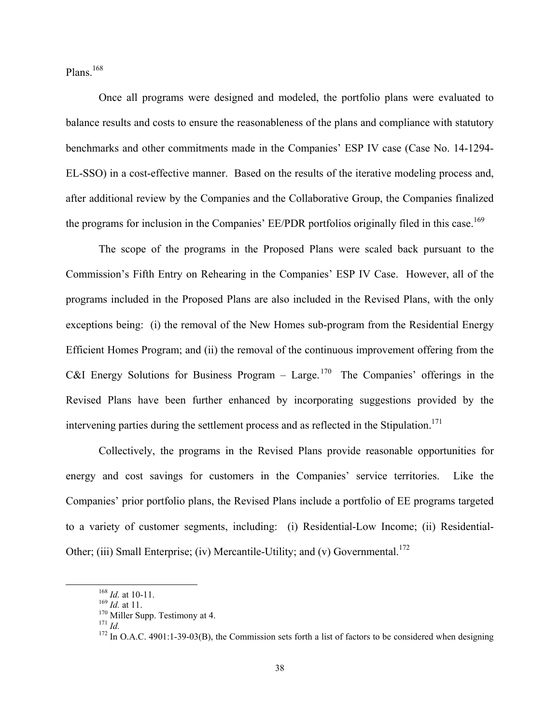Plans.<sup>168</sup>

Once all programs were designed and modeled, the portfolio plans were evaluated to balance results and costs to ensure the reasonableness of the plans and compliance with statutory benchmarks and other commitments made in the Companies' ESP IV case (Case No. 14-1294- EL-SSO) in a cost-effective manner. Based on the results of the iterative modeling process and, after additional review by the Companies and the Collaborative Group, the Companies finalized the programs for inclusion in the Companies' EE/PDR portfolios originally filed in this case.<sup>169</sup>

The scope of the programs in the Proposed Plans were scaled back pursuant to the Commission's Fifth Entry on Rehearing in the Companies' ESP IV Case. However, all of the programs included in the Proposed Plans are also included in the Revised Plans, with the only exceptions being: (i) the removal of the New Homes sub-program from the Residential Energy Efficient Homes Program; and (ii) the removal of the continuous improvement offering from the C&I Energy Solutions for Business Program – Large.<sup>170</sup> The Companies' offerings in the Revised Plans have been further enhanced by incorporating suggestions provided by the intervening parties during the settlement process and as reflected in the Stipulation.<sup>171</sup>

Collectively, the programs in the Revised Plans provide reasonable opportunities for energy and cost savings for customers in the Companies' service territories. Like the Companies' prior portfolio plans, the Revised Plans include a portfolio of EE programs targeted to a variety of customer segments, including: (i) Residential-Low Income; (ii) Residential-Other; (iii) Small Enterprise; (iv) Mercantile-Utility; and (v) Governmental.<sup>172</sup>

<sup>&</sup>lt;sup>168</sup> *Id.* at 10-11.<br><sup>169</sup> *Id.* at 11.<br><sup>170</sup> Miller Supp. Testimony at 4.<br><sup>171</sup> *Id.*<br><sup>172</sup> In O.A.C. 4901:1-39-03(B), the Commission sets forth a list of factors to be considered when designing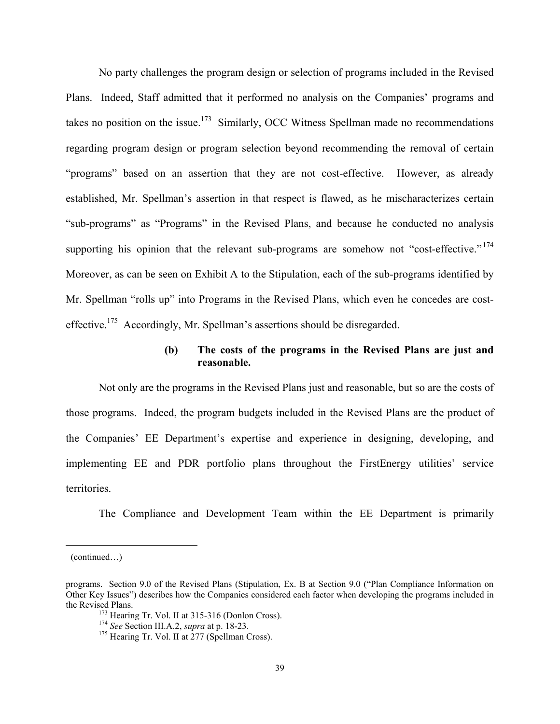No party challenges the program design or selection of programs included in the Revised Plans. Indeed, Staff admitted that it performed no analysis on the Companies' programs and takes no position on the issue.<sup>173</sup> Similarly, OCC Witness Spellman made no recommendations regarding program design or program selection beyond recommending the removal of certain "programs" based on an assertion that they are not cost-effective. However, as already established, Mr. Spellman's assertion in that respect is flawed, as he mischaracterizes certain "sub-programs" as "Programs" in the Revised Plans, and because he conducted no analysis supporting his opinion that the relevant sub-programs are somehow not "cost-effective."<sup>174</sup> Moreover, as can be seen on Exhibit A to the Stipulation, each of the sub-programs identified by Mr. Spellman "rolls up" into Programs in the Revised Plans, which even he concedes are costeffective.175 Accordingly, Mr. Spellman's assertions should be disregarded.

## **(b) The costs of the programs in the Revised Plans are just and reasonable.**

Not only are the programs in the Revised Plans just and reasonable, but so are the costs of those programs. Indeed, the program budgets included in the Revised Plans are the product of the Companies' EE Department's expertise and experience in designing, developing, and implementing EE and PDR portfolio plans throughout the FirstEnergy utilities' service territories.

The Compliance and Development Team within the EE Department is primarily

<sup>(</sup>continued…)

programs. Section 9.0 of the Revised Plans (Stipulation, Ex. B at Section 9.0 ("Plan Compliance Information on Other Key Issues") describes how the Companies considered each factor when developing the programs included in the Revised Plans.<br><sup>173</sup> Hearing Tr. Vol. II at 315-316 (Donlon Cross).<br><sup>174</sup> *See* Section III.A.2, *supra* at p. 18-23.<br><sup>175</sup> Hearing Tr. Vol. II at 277 (Spellman Cross).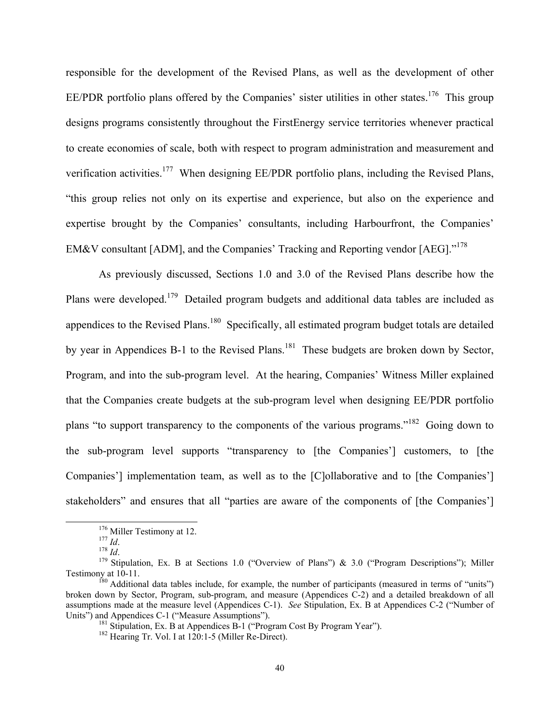responsible for the development of the Revised Plans, as well as the development of other EE/PDR portfolio plans offered by the Companies' sister utilities in other states.<sup>176</sup> This group designs programs consistently throughout the FirstEnergy service territories whenever practical to create economies of scale, both with respect to program administration and measurement and verification activities.177 When designing EE/PDR portfolio plans, including the Revised Plans, "this group relies not only on its expertise and experience, but also on the experience and expertise brought by the Companies' consultants, including Harbourfront, the Companies' EM&V consultant [ADM], and the Companies' Tracking and Reporting vendor [AEG]."<sup>178</sup>

As previously discussed, Sections 1.0 and 3.0 of the Revised Plans describe how the Plans were developed.<sup>179</sup> Detailed program budgets and additional data tables are included as appendices to the Revised Plans.<sup>180</sup> Specifically, all estimated program budget totals are detailed by year in Appendices B-1 to the Revised Plans.<sup>181</sup> These budgets are broken down by Sector, Program, and into the sub-program level. At the hearing, Companies' Witness Miller explained that the Companies create budgets at the sub-program level when designing EE/PDR portfolio plans "to support transparency to the components of the various programs."182 Going down to the sub-program level supports "transparency to [the Companies'] customers, to [the Companies'] implementation team, as well as to the [C]ollaborative and to [the Companies'] stakeholders" and ensures that all "parties are aware of the components of [the Companies']

<sup>&</sup>lt;sup>176</sup> Miller Testimony at 12.<br><sup>177</sup> *Id*. <sup>178</sup> *Id*. <sup>178</sup> Stipulation, Ex. B at Sections 1.0 ("Overview of Plans") & 3.0 ("Program Descriptions"); Miller Testimony at 10-11.<br><sup>180</sup> Additional data tables include, for example, the number of participants (measured in terms of "units")

broken down by Sector, Program, sub-program, and measure (Appendices C-2) and a detailed breakdown of all assumptions made at the measure level (Appendices C-1). *See* Stipulation, Ex. B at Appendices C-2 ("Number of Units") and Appendices C-1 ("Measure Assumptions").<br><sup>181</sup> Stipulation, Ex. B at Appendices B-1 ("Program Cost By Program Year").<br><sup>182</sup> Hearing Tr. Vol. I at 120:1-5 (Miller Re-Direct).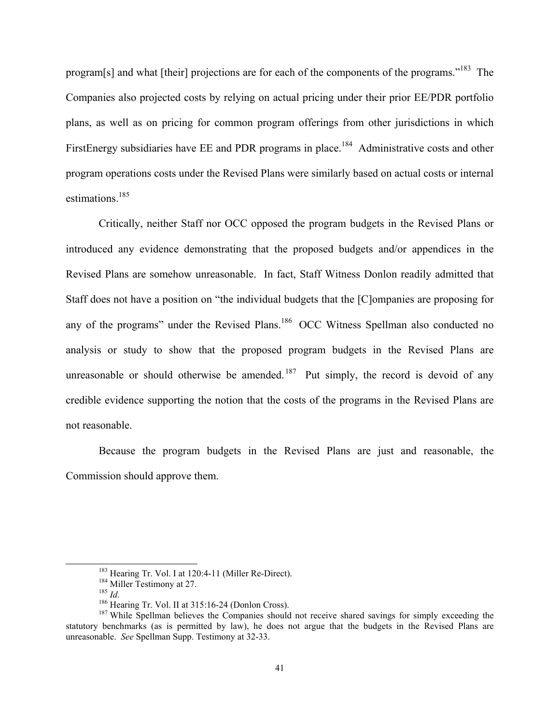program[s] and what [their] projections are for each of the components of the programs."183 The Companies also projected costs by relying on actual pricing under their prior EE/PDR portfolio plans, as well as on pricing for common program offerings from other jurisdictions in which FirstEnergy subsidiaries have EE and PDR programs in place.<sup>184</sup> Administrative costs and other program operations costs under the Revised Plans were similarly based on actual costs or internal estimations.<sup>185</sup>

Critically, neither Staff nor OCC opposed the program budgets in the Revised Plans or introduced any evidence demonstrating that the proposed budgets and/or appendices in the Revised Plans are somehow unreasonable. In fact, Staff Witness Donlon readily admitted that Staff does not have a position on "the individual budgets that the [C]ompanies are proposing for any of the programs" under the Revised Plans.<sup>186</sup> OCC Witness Spellman also conducted no analysis or study to show that the proposed program budgets in the Revised Plans are unreasonable or should otherwise be amended.<sup>187</sup> Put simply, the record is devoid of any credible evidence supporting the notion that the costs of the programs in the Revised Plans are not reasonable.

Because the program budgets in the Revised Plans are just and reasonable, the Commission should approve them.

<sup>&</sup>lt;sup>183</sup> Hearing Tr. Vol. I at 120:4-11 (Miller Re-Direct).<br><sup>184</sup> Miller Testimony at 27.<br><sup>185</sup> *Id.*<br><sup>186</sup> Hearing Tr. Vol. II at 315:16-24 (Donlon Cross).<br><sup>186</sup> Hearing Tr. Vol. II at 315:16-24 (Donlon Cross).<br><sup>187</sup> While statutory benchmarks (as is permitted by law), he does not argue that the budgets in the Revised Plans are unreasonable. *See* Spellman Supp. Testimony at 32-33.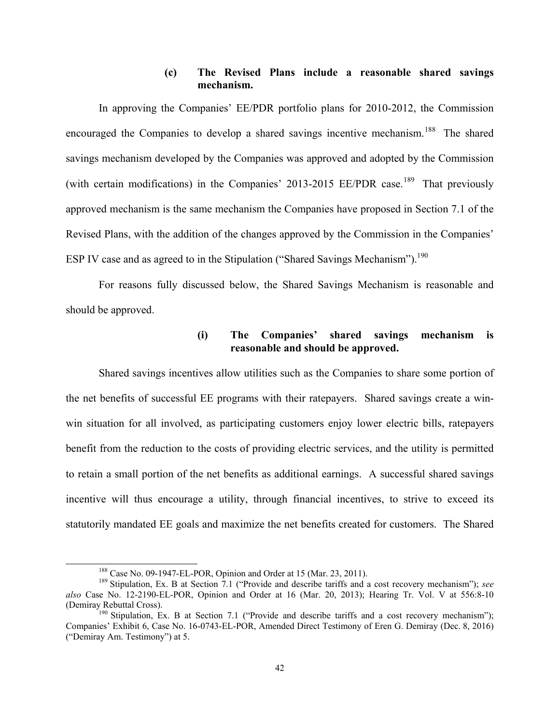## **(c) The Revised Plans include a reasonable shared savings mechanism.**

In approving the Companies' EE/PDR portfolio plans for 2010-2012, the Commission encouraged the Companies to develop a shared savings incentive mechanism.<sup>188</sup> The shared savings mechanism developed by the Companies was approved and adopted by the Commission (with certain modifications) in the Companies' 2013-2015 EE/PDR case.<sup>189</sup> That previously approved mechanism is the same mechanism the Companies have proposed in Section 7.1 of the Revised Plans, with the addition of the changes approved by the Commission in the Companies' ESP IV case and as agreed to in the Stipulation ("Shared Savings Mechanism").<sup>190</sup>

For reasons fully discussed below, the Shared Savings Mechanism is reasonable and should be approved.

### **(i) The Companies' shared savings mechanism is reasonable and should be approved.**

Shared savings incentives allow utilities such as the Companies to share some portion of the net benefits of successful EE programs with their ratepayers. Shared savings create a winwin situation for all involved, as participating customers enjoy lower electric bills, ratepayers benefit from the reduction to the costs of providing electric services, and the utility is permitted to retain a small portion of the net benefits as additional earnings. A successful shared savings incentive will thus encourage a utility, through financial incentives, to strive to exceed its statutorily mandated EE goals and maximize the net benefits created for customers. The Shared

<sup>&</sup>lt;sup>188</sup> Case No. 09-1947-EL-POR, Opinion and Order at 15 (Mar. 23, 2011).<br><sup>189</sup> Stipulation, Ex. B at Section 7.1 ("Provide and describe tariffs and a cost recovery mechanism"); *see also* Case No. 12-2190-EL-POR, Opinion and Order at 16 (Mar. 20, 2013); Hearing Tr. Vol. V at 556:8-10

 $^{190}$  Stipulation, Ex. B at Section 7.1 ("Provide and describe tariffs and a cost recovery mechanism"); Companies' Exhibit 6, Case No. 16-0743-EL-POR, Amended Direct Testimony of Eren G. Demiray (Dec. 8, 2016) ("Demiray Am. Testimony") at 5.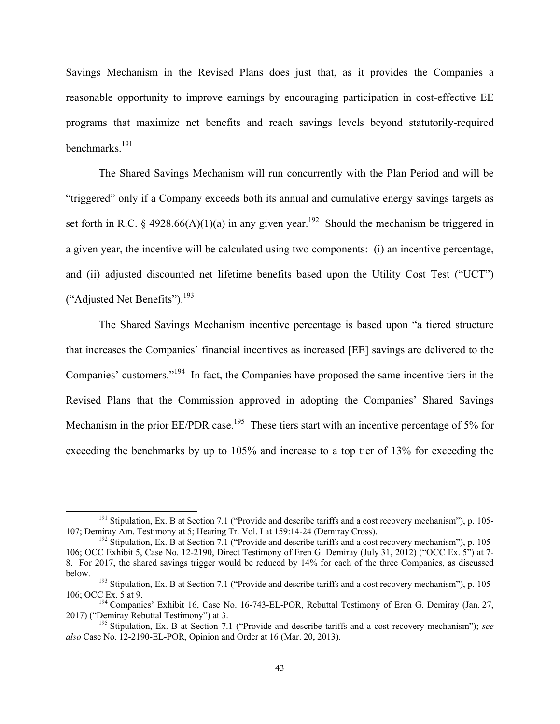Savings Mechanism in the Revised Plans does just that, as it provides the Companies a reasonable opportunity to improve earnings by encouraging participation in cost-effective EE programs that maximize net benefits and reach savings levels beyond statutorily-required benchmarks.191

The Shared Savings Mechanism will run concurrently with the Plan Period and will be "triggered" only if a Company exceeds both its annual and cumulative energy savings targets as set forth in R.C. § 4928.66(A)(1)(a) in any given year.<sup>192</sup> Should the mechanism be triggered in a given year, the incentive will be calculated using two components: (i) an incentive percentage, and (ii) adjusted discounted net lifetime benefits based upon the Utility Cost Test ("UCT") ("Adjusted Net Benefits").193

The Shared Savings Mechanism incentive percentage is based upon "a tiered structure that increases the Companies' financial incentives as increased [EE] savings are delivered to the Companies' customers."194 In fact, the Companies have proposed the same incentive tiers in the Revised Plans that the Commission approved in adopting the Companies' Shared Savings Mechanism in the prior EE/PDR case.<sup>195</sup> These tiers start with an incentive percentage of 5% for exceeding the benchmarks by up to 105% and increase to a top tier of 13% for exceeding the

<sup>&</sup>lt;sup>191</sup> Stipulation, Ex. B at Section 7.1 ("Provide and describe tariffs and a cost recovery mechanism"), p. 105-<br>107; Demiray Am. Testimony at 5; Hearing Tr. Vol. I at 159:14-24 (Demiray Cross).

 $192$  Stipulation, Ex. B at Section 7.1 ("Provide and describe tariffs and a cost recovery mechanism"), p. 105-106; OCC Exhibit 5, Case No. 12-2190, Direct Testimony of Eren G. Demiray (July 31, 2012) ("OCC Ex. 5") at 7- 8. For 2017, the shared savings trigger would be reduced by 14% for each of the three Companies, as discussed below. <sup>193</sup> Stipulation, Ex. B at Section 7.1 ("Provide and describe tariffs and a cost recovery mechanism"), p. 105-

<sup>106;</sup> OCC Ex. 5 at 9. <sup>194</sup> Companies' Exhibit 16, Case No. 16-743-EL-POR, Rebuttal Testimony of Eren G. Demiray (Jan. 27, 2017) ("Demiray Rebuttal Testimony") at 3.

<sup>&</sup>lt;sup>195</sup> Stipulation, Ex. B at Section 7.1 ("Provide and describe tariffs and a cost recovery mechanism"); *see also* Case No. 12-2190-EL-POR, Opinion and Order at 16 (Mar. 20, 2013).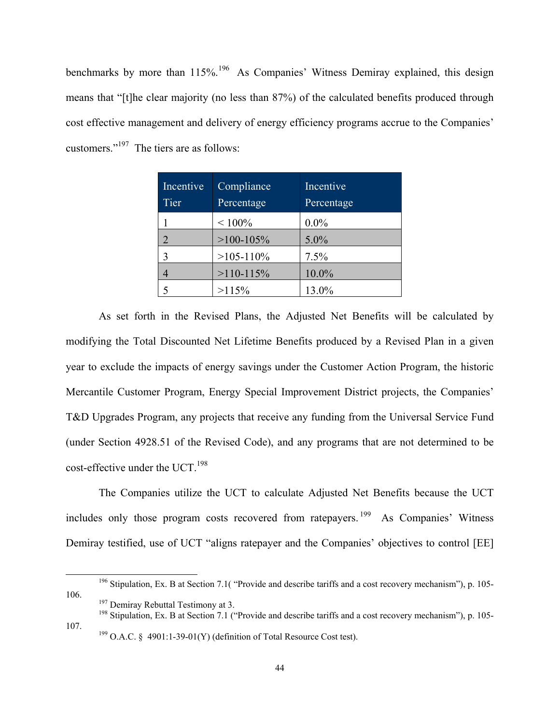benchmarks by more than 115%.<sup>196</sup> As Companies' Witness Demiray explained, this design means that "[t]he clear majority (no less than 87%) of the calculated benefits produced through cost effective management and delivery of energy efficiency programs accrue to the Companies' customers."197 The tiers are as follows:

| Incentive<br>Tier | Compliance<br>Percentage | Incentive<br>Percentage |
|-------------------|--------------------------|-------------------------|
|                   | $< 100\%$                | $0.0\%$                 |
|                   | $>100-105\%$             | $5.0\%$                 |
|                   | $>105-110\%$             | 7.5%                    |
|                   | $>110-115\%$             | 10.0%                   |
|                   | >115%                    | 13.0%                   |

As set forth in the Revised Plans, the Adjusted Net Benefits will be calculated by modifying the Total Discounted Net Lifetime Benefits produced by a Revised Plan in a given year to exclude the impacts of energy savings under the Customer Action Program, the historic Mercantile Customer Program, Energy Special Improvement District projects, the Companies' T&D Upgrades Program, any projects that receive any funding from the Universal Service Fund (under Section 4928.51 of the Revised Code), and any programs that are not determined to be cost-effective under the UCT.<sup>198</sup>

The Companies utilize the UCT to calculate Adjusted Net Benefits because the UCT includes only those program costs recovered from ratepayers. 199 As Companies' Witness Demiray testified, use of UCT "aligns ratepayer and the Companies' objectives to control [EE]

107. <sup>199</sup> O.A.C. § 4901:1-39-01(Y) (definition of Total Resource Cost test).

<sup>&</sup>lt;sup>196</sup> Stipulation, Ex. B at Section 7.1( "Provide and describe tariffs and a cost recovery mechanism"), p. 105-106. <sup>197</sup> Demiray Rebuttal Testimony at 3.<br><sup>198</sup> Stipulation, Ex. B at Section 7.1 ("Provide and describe tariffs and a cost recovery mechanism"), p. 105-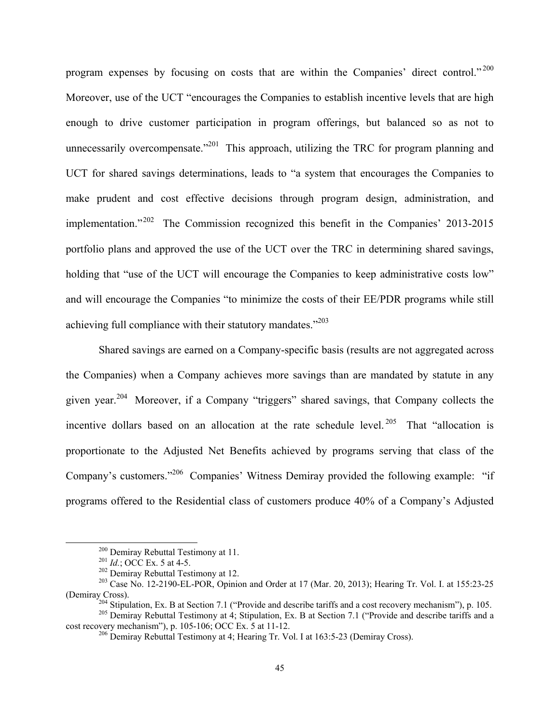program expenses by focusing on costs that are within the Companies' direct control."<sup>200</sup> Moreover, use of the UCT "encourages the Companies to establish incentive levels that are high enough to drive customer participation in program offerings, but balanced so as not to unnecessarily overcompensate."<sup>201</sup> This approach, utilizing the TRC for program planning and UCT for shared savings determinations, leads to "a system that encourages the Companies to make prudent and cost effective decisions through program design, administration, and implementation."202 The Commission recognized this benefit in the Companies' 2013-2015 portfolio plans and approved the use of the UCT over the TRC in determining shared savings, holding that "use of the UCT will encourage the Companies to keep administrative costs low" and will encourage the Companies "to minimize the costs of their EE/PDR programs while still achieving full compliance with their statutory mandates."<sup>203</sup>

Shared savings are earned on a Company-specific basis (results are not aggregated across the Companies) when a Company achieves more savings than are mandated by statute in any given year.204 Moreover, if a Company "triggers" shared savings, that Company collects the incentive dollars based on an allocation at the rate schedule level.<sup>205</sup> That "allocation is proportionate to the Adjusted Net Benefits achieved by programs serving that class of the Company's customers."206 Companies' Witness Demiray provided the following example: "if programs offered to the Residential class of customers produce 40% of a Company's Adjusted

<sup>&</sup>lt;sup>200</sup> Demiray Rebuttal Testimony at 11.<br><sup>201</sup> *Id.*; OCC Ex. 5 at 4-5.<br><sup>202</sup> Demiray Rebuttal Testimony at 12.<br><sup>203</sup> Case No. 12-2190-EL-POR, Opinion and Order at 17 (Mar. 20, 2013); Hearing Tr. Vol. I. at 155:23-25

<sup>(</sup>Demiray Cross).<br><sup>204</sup> Stipulation, Ex. B at Section 7.1 ("Provide and describe tariffs and a cost recovery mechanism"), p. 105.<br><sup>205</sup> Demiray Rebuttal Testimony at 4; Stipulation, Ex. B at Section 7.1 ("Provide and descri

 $^{206}$  Demiray Rebuttal Testimony at 4; Hearing Tr. Vol. I at 163:5-23 (Demiray Cross).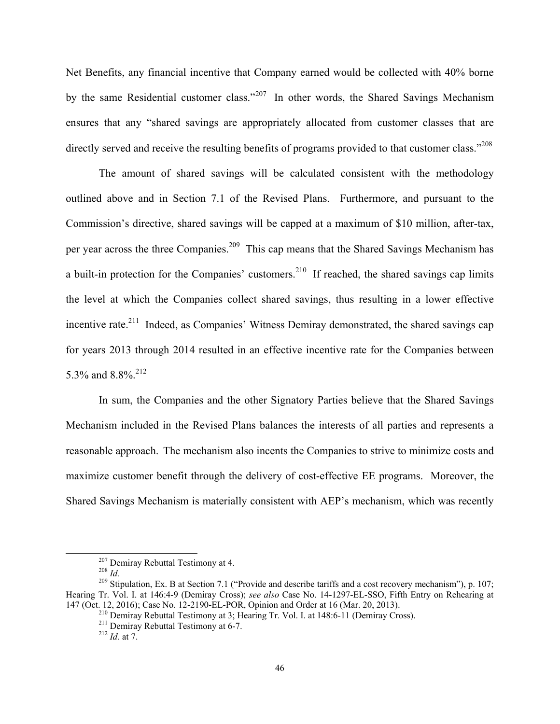Net Benefits, any financial incentive that Company earned would be collected with 40% borne by the same Residential customer class."<sup>207</sup> In other words, the Shared Savings Mechanism ensures that any "shared savings are appropriately allocated from customer classes that are directly served and receive the resulting benefits of programs provided to that customer class."<sup>208</sup>

The amount of shared savings will be calculated consistent with the methodology outlined above and in Section 7.1 of the Revised Plans. Furthermore, and pursuant to the Commission's directive, shared savings will be capped at a maximum of \$10 million, after-tax, per year across the three Companies.<sup>209</sup> This cap means that the Shared Savings Mechanism has a built-in protection for the Companies' customers.<sup>210</sup> If reached, the shared savings cap limits the level at which the Companies collect shared savings, thus resulting in a lower effective incentive rate.<sup>211</sup> Indeed, as Companies' Witness Demiray demonstrated, the shared savings cap for years 2013 through 2014 resulted in an effective incentive rate for the Companies between 5.3% and 8.8%.<sup>212</sup>

In sum, the Companies and the other Signatory Parties believe that the Shared Savings Mechanism included in the Revised Plans balances the interests of all parties and represents a reasonable approach. The mechanism also incents the Companies to strive to minimize costs and maximize customer benefit through the delivery of cost-effective EE programs. Moreover, the Shared Savings Mechanism is materially consistent with AEP's mechanism, which was recently

<sup>&</sup>lt;sup>207</sup> Demiray Rebuttal Testimony at 4.<br><sup>208</sup> *Id.* <sup>209</sup> Stipulation, Ex. B at Section 7.1 ("Provide and describe tariffs and a cost recovery mechanism"), p. 107; Hearing Tr. Vol. I. at 146:4-9 (Demiray Cross); *see also* Case No. 14-1297-EL-SSO, Fifth Entry on Rehearing at 147 (Oct. 12, 2016); Case No. 12-2190-EL-POR, Opinion and Order at 16 (Mar. 20, 2013).

<sup>&</sup>lt;sup>210</sup> Demiray Rebuttal Testimony at 3; Hearing Tr. Vol. I. at 148:6-11 (Demiray Cross).<br><sup>211</sup> Demiray Rebuttal Testimony at 6-7.<br><sup>212</sup> Id. at 7.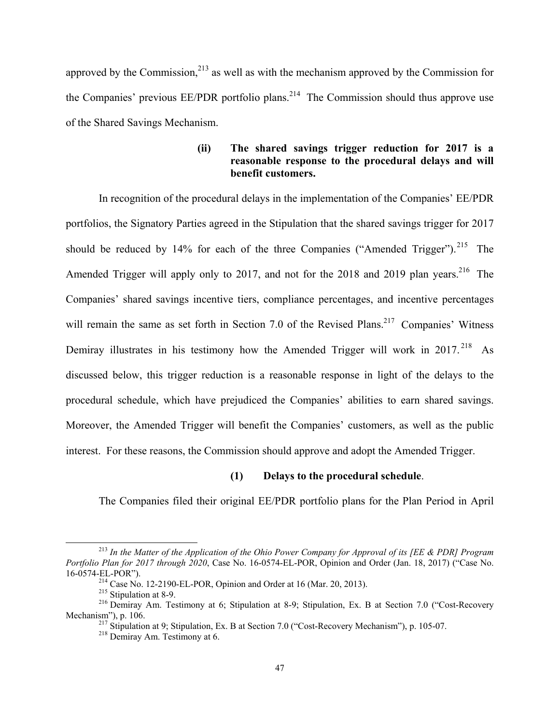approved by the Commission, $2^{13}$  as well as with the mechanism approved by the Commission for the Companies' previous  $EE/PDF$  portfolio plans.<sup>214</sup> The Commission should thus approve use of the Shared Savings Mechanism.

## **(ii) The shared savings trigger reduction for 2017 is a reasonable response to the procedural delays and will benefit customers.**

In recognition of the procedural delays in the implementation of the Companies' EE/PDR portfolios, the Signatory Parties agreed in the Stipulation that the shared savings trigger for 2017 should be reduced by  $14\%$  for each of the three Companies ("Amended Trigger").<sup>215</sup> The Amended Trigger will apply only to 2017, and not for the 2018 and 2019 plan years.<sup>216</sup> The Companies' shared savings incentive tiers, compliance percentages, and incentive percentages will remain the same as set forth in Section 7.0 of the Revised Plans.<sup>217</sup> Companies' Witness Demiray illustrates in his testimony how the Amended Trigger will work in  $2017$ <sup>218</sup> As discussed below, this trigger reduction is a reasonable response in light of the delays to the procedural schedule, which have prejudiced the Companies' abilities to earn shared savings. Moreover, the Amended Trigger will benefit the Companies' customers, as well as the public interest. For these reasons, the Commission should approve and adopt the Amended Trigger.

#### **(1) Delays to the procedural schedule**.

The Companies filed their original EE/PDR portfolio plans for the Plan Period in April

 <sup>213</sup> *In the Matter of the Application of the Ohio Power Company for Approval of its [EE & PDR] Program Portfolio Plan for 2017 through 2020*, Case No. 16-0574-EL-POR, Opinion and Order (Jan. 18, 2017) ("Case No. 16-0574-EL-POR").<br><sup>214</sup> Case No. 12-2190-EL-POR, Opinion and Order at 16 (Mar. 20, 2013).<br><sup>215</sup> Stipulation at 8-9. 2<sup>16</sup> Demiray Am. Testimony at 6; Stipulation at 8-9; Stipulation, Ex. B at Section 7.0 ("Cost-Recovery

Mechanism"), p. 106.<br><sup>217</sup> Stipulation at 9; Stipulation, Ex. B at Section 7.0 ("Cost-Recovery Mechanism"), p. 105-07.<br><sup>218</sup> Demiray Am. Testimony at 6.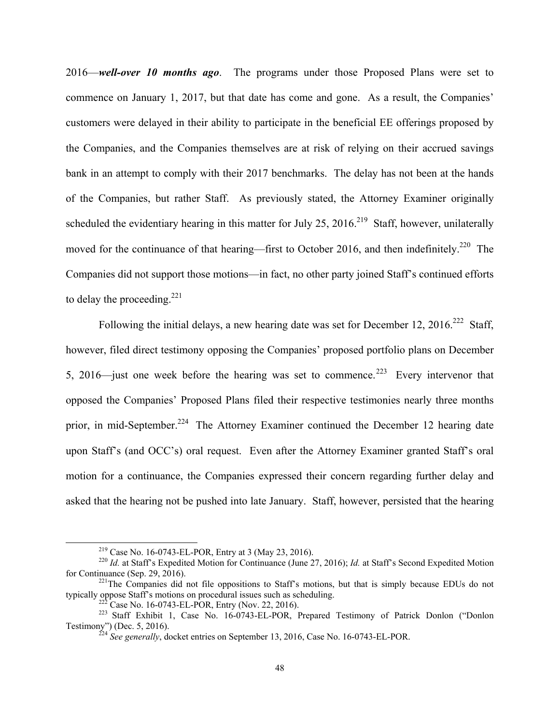2016—*well-over 10 months ago*. The programs under those Proposed Plans were set to commence on January 1, 2017, but that date has come and gone. As a result, the Companies' customers were delayed in their ability to participate in the beneficial EE offerings proposed by the Companies, and the Companies themselves are at risk of relying on their accrued savings bank in an attempt to comply with their 2017 benchmarks. The delay has not been at the hands of the Companies, but rather Staff. As previously stated, the Attorney Examiner originally scheduled the evidentiary hearing in this matter for July 25, 2016.<sup>219</sup> Staff, however, unilaterally moved for the continuance of that hearing—first to October 2016, and then indefinitely.<sup>220</sup> The Companies did not support those motions—in fact, no other party joined Staff's continued efforts to delay the proceeding. $^{221}$ 

Following the initial delays, a new hearing date was set for December 12,  $2016$ <sup>222</sup> Staff, however, filed direct testimony opposing the Companies' proposed portfolio plans on December 5, 2016—just one week before the hearing was set to commence.<sup>223</sup> Every intervenor that opposed the Companies' Proposed Plans filed their respective testimonies nearly three months prior, in mid-September.<sup>224</sup> The Attorney Examiner continued the December 12 hearing date upon Staff's (and OCC's) oral request. Even after the Attorney Examiner granted Staff's oral motion for a continuance, the Companies expressed their concern regarding further delay and asked that the hearing not be pushed into late January. Staff, however, persisted that the hearing

<sup>&</sup>lt;sup>219</sup> Case No. 16-0743-EL-POR, Entry at 3 (May 23, 2016).<br><sup>220</sup> *Id.* at Staff's Expedited Motion for Continuance (June 27, 2016); *Id.* at Staff's Second Expedited Motion for Continuance (Sep. 29, 2016).

 $^{221}$ The Companies did not file oppositions to Staff's motions, but that is simply because EDUs do not typically oppose Staff's motions on procedural issues such as scheduling.

<sup>&</sup>lt;sup>222</sup> Case No. 16-0743-EL-POR, Entry (Nov. 22, 2016). <br><sup>223</sup> Staff Exhibit 1, Case No. 16-0743-EL-POR, Prepared Testimony of Patrick Donlon ("Donlon Testimony") (Dec. 5, 2016). 224 *See generally*, docket entries on September 13, 2016, Case No. 16-0743-EL-POR.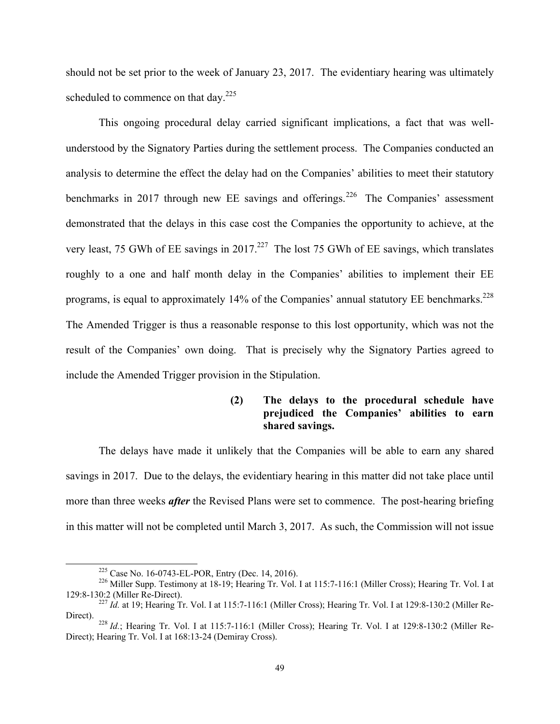should not be set prior to the week of January 23, 2017. The evidentiary hearing was ultimately scheduled to commence on that day.<sup>225</sup>

This ongoing procedural delay carried significant implications, a fact that was wellunderstood by the Signatory Parties during the settlement process. The Companies conducted an analysis to determine the effect the delay had on the Companies' abilities to meet their statutory benchmarks in 2017 through new EE savings and offerings.<sup>226</sup> The Companies' assessment demonstrated that the delays in this case cost the Companies the opportunity to achieve, at the very least, 75 GWh of EE savings in 2017.<sup>227</sup> The lost 75 GWh of EE savings, which translates roughly to a one and half month delay in the Companies' abilities to implement their EE programs, is equal to approximately 14% of the Companies' annual statutory EE benchmarks.<sup>228</sup> The Amended Trigger is thus a reasonable response to this lost opportunity, which was not the result of the Companies' own doing. That is precisely why the Signatory Parties agreed to include the Amended Trigger provision in the Stipulation.

## **(2) The delays to the procedural schedule have prejudiced the Companies' abilities to earn shared savings.**

The delays have made it unlikely that the Companies will be able to earn any shared savings in 2017. Due to the delays, the evidentiary hearing in this matter did not take place until more than three weeks *after* the Revised Plans were set to commence. The post-hearing briefing in this matter will not be completed until March 3, 2017. As such, the Commission will not issue

<sup>&</sup>lt;sup>225</sup> Case No. 16-0743-EL-POR, Entry (Dec. 14, 2016).<br><sup>226</sup> Miller Supp. Testimony at 18-19; Hearing Tr. Vol. I at 115:7-116:1 (Miller Cross); Hearing Tr. Vol. I at 129:8-130:2 (Miller Re-Direct).

<sup>&</sup>lt;sup>227</sup> *Id.* at 19; Hearing Tr. Vol. I at 115:7-116:1 (Miller Cross); Hearing Tr. Vol. I at 129:8-130:2 (Miller Re-Direct).

<sup>&</sup>lt;sup>228</sup> *Id.*; Hearing Tr. Vol. I at 115:7-116:1 (Miller Cross); Hearing Tr. Vol. I at 129:8-130:2 (Miller Re-Direct); Hearing Tr. Vol. I at 168:13-24 (Demiray Cross).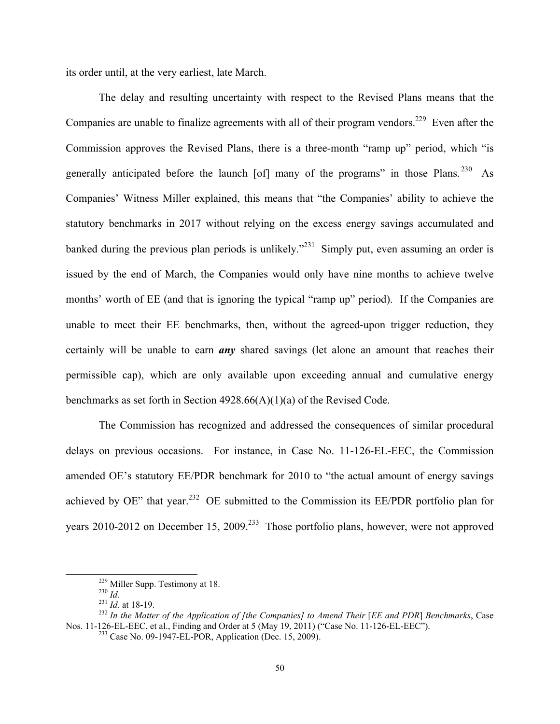its order until, at the very earliest, late March.

The delay and resulting uncertainty with respect to the Revised Plans means that the Companies are unable to finalize agreements with all of their program vendors.<sup>229</sup> Even after the Commission approves the Revised Plans, there is a three-month "ramp up" period, which "is generally anticipated before the launch [of] many of the programs" in those Plans.<sup>230</sup> As Companies' Witness Miller explained, this means that "the Companies' ability to achieve the statutory benchmarks in 2017 without relying on the excess energy savings accumulated and banked during the previous plan periods is unlikely."<sup>231</sup> Simply put, even assuming an order is issued by the end of March, the Companies would only have nine months to achieve twelve months' worth of EE (and that is ignoring the typical "ramp up" period). If the Companies are unable to meet their EE benchmarks, then, without the agreed-upon trigger reduction, they certainly will be unable to earn *any* shared savings (let alone an amount that reaches their permissible cap), which are only available upon exceeding annual and cumulative energy benchmarks as set forth in Section 4928.66(A)(1)(a) of the Revised Code.

The Commission has recognized and addressed the consequences of similar procedural delays on previous occasions. For instance, in Case No. 11-126-EL-EEC, the Commission amended OE's statutory EE/PDR benchmark for 2010 to "the actual amount of energy savings achieved by OE" that year.<sup>232</sup> OE submitted to the Commission its EE/PDR portfolio plan for years 2010-2012 on December 15, 2009.<sup>233</sup> Those portfolio plans, however, were not approved

 <sup>229</sup> Miller Supp. Testimony at 18. 230 *Id.* <sup>231</sup> *Id.* at 18-19. 232 *In the Matter of the Application of [the Companies] to Amend Their* [*EE and PDR*] *Benchmarks*, Case Nos. 11-126-EL-EEC, et al., Finding and Order at 5 (May 19, 2011) ("Case No. 11-126-EL-EEC").<br><sup>233</sup> Case No. 09-1947-EL-POR, Application (Dec. 15, 2009).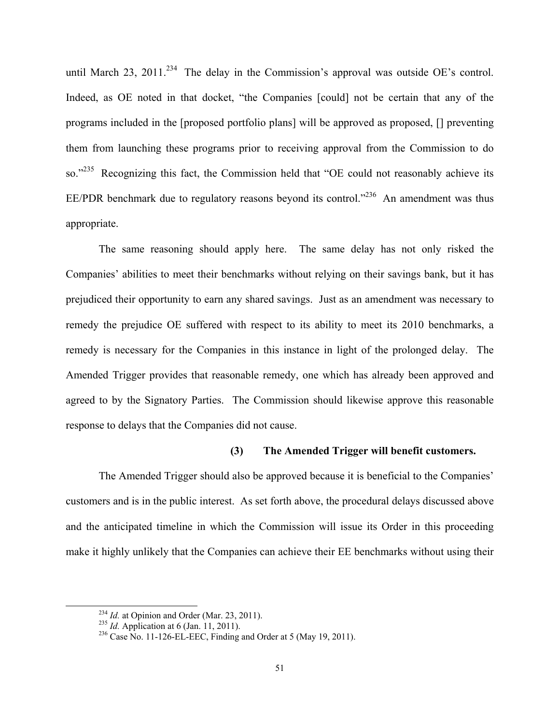until March 23, 2011.<sup>234</sup> The delay in the Commission's approval was outside OE's control. Indeed, as OE noted in that docket, "the Companies [could] not be certain that any of the programs included in the [proposed portfolio plans] will be approved as proposed, [] preventing them from launching these programs prior to receiving approval from the Commission to do so."<sup>235</sup> Recognizing this fact, the Commission held that "OE could not reasonably achieve its EE/PDR benchmark due to regulatory reasons beyond its control."<sup>236</sup> An amendment was thus appropriate.

The same reasoning should apply here. The same delay has not only risked the Companies' abilities to meet their benchmarks without relying on their savings bank, but it has prejudiced their opportunity to earn any shared savings. Just as an amendment was necessary to remedy the prejudice OE suffered with respect to its ability to meet its 2010 benchmarks, a remedy is necessary for the Companies in this instance in light of the prolonged delay. The Amended Trigger provides that reasonable remedy, one which has already been approved and agreed to by the Signatory Parties. The Commission should likewise approve this reasonable response to delays that the Companies did not cause.

### **(3) The Amended Trigger will benefit customers.**

The Amended Trigger should also be approved because it is beneficial to the Companies' customers and is in the public interest. As set forth above, the procedural delays discussed above and the anticipated timeline in which the Commission will issue its Order in this proceeding make it highly unlikely that the Companies can achieve their EE benchmarks without using their

<sup>&</sup>lt;sup>234</sup> *Id.* at Opinion and Order (Mar. 23, 2011).<br><sup>235</sup> *Id.* Application at 6 (Jan. 11, 2011).<br><sup>236</sup> Case No. 11-126-EL-EEC, Finding and Order at 5 (May 19, 2011).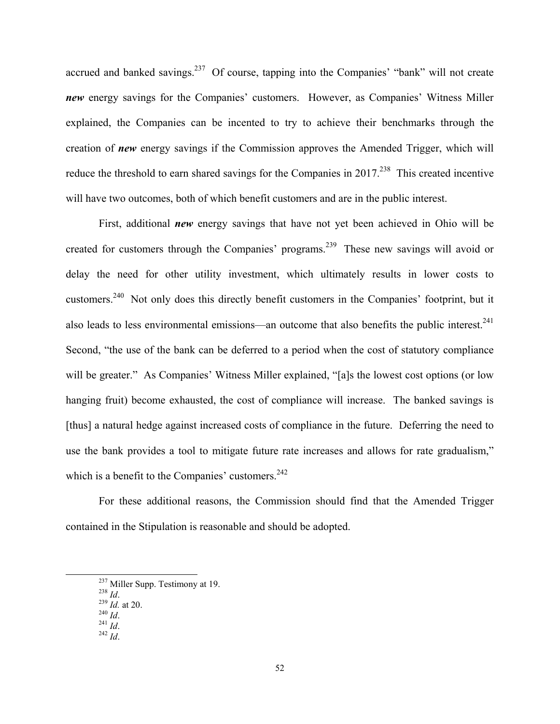accrued and banked savings. $237$  Of course, tapping into the Companies' "bank" will not create *new* energy savings for the Companies' customers. However, as Companies' Witness Miller explained, the Companies can be incented to try to achieve their benchmarks through the creation of *new* energy savings if the Commission approves the Amended Trigger, which will reduce the threshold to earn shared savings for the Companies in  $2017<sup>238</sup>$  This created incentive will have two outcomes, both of which benefit customers and are in the public interest.

First, additional *new* energy savings that have not yet been achieved in Ohio will be created for customers through the Companies' programs.239 These new savings will avoid or delay the need for other utility investment, which ultimately results in lower costs to customers.240 Not only does this directly benefit customers in the Companies' footprint, but it also leads to less environmental emissions—an outcome that also benefits the public interest.<sup>241</sup> Second, "the use of the bank can be deferred to a period when the cost of statutory compliance will be greater." As Companies' Witness Miller explained, "[a]s the lowest cost options (or low hanging fruit) become exhausted, the cost of compliance will increase. The banked savings is [thus] a natural hedge against increased costs of compliance in the future. Deferring the need to use the bank provides a tool to mitigate future rate increases and allows for rate gradualism," which is a benefit to the Companies' customers. $242$ 

For these additional reasons, the Commission should find that the Amended Trigger contained in the Stipulation is reasonable and should be adopted.

- 
- 
- 

<sup>237</sup> Miller Supp. Testimony at 19.<br>
<sup>238</sup> *Id.*<br>
<sup>239</sup> *Id.* at 20.<br>
<sup>240</sup> *Id.*<br>
<sup>241</sup> *Id.*<br>
<sup>242</sup> *Id*.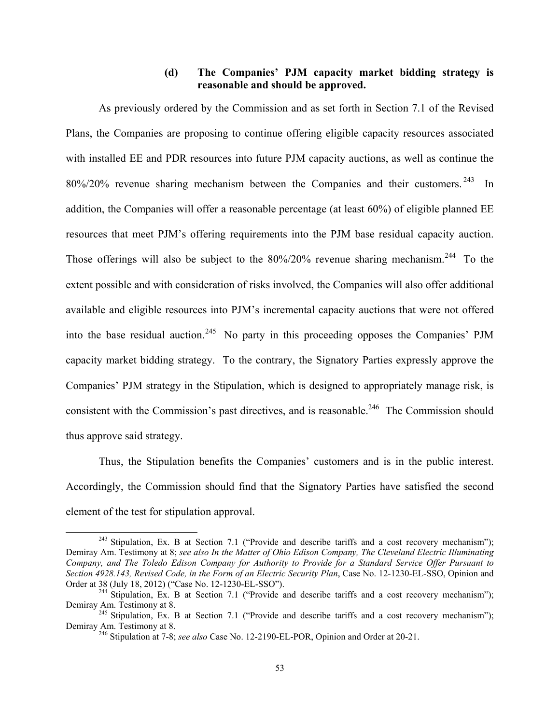# **(d) The Companies' PJM capacity market bidding strategy is reasonable and should be approved.**

As previously ordered by the Commission and as set forth in Section 7.1 of the Revised Plans, the Companies are proposing to continue offering eligible capacity resources associated with installed EE and PDR resources into future PJM capacity auctions, as well as continue the 80%/20% revenue sharing mechanism between the Companies and their customers. 243 In addition, the Companies will offer a reasonable percentage (at least 60%) of eligible planned EE resources that meet PJM's offering requirements into the PJM base residual capacity auction. Those offerings will also be subject to the  $80\%/20\%$  revenue sharing mechanism.<sup>244</sup> To the extent possible and with consideration of risks involved, the Companies will also offer additional available and eligible resources into PJM's incremental capacity auctions that were not offered into the base residual auction.<sup>245</sup> No party in this proceeding opposes the Companies' PJM capacity market bidding strategy. To the contrary, the Signatory Parties expressly approve the Companies' PJM strategy in the Stipulation, which is designed to appropriately manage risk, is consistent with the Commission's past directives, and is reasonable.<sup>246</sup> The Commission should thus approve said strategy.

Thus, the Stipulation benefits the Companies' customers and is in the public interest. Accordingly, the Commission should find that the Signatory Parties have satisfied the second element of the test for stipulation approval.

 $243$  Stipulation, Ex. B at Section 7.1 ("Provide and describe tariffs and a cost recovery mechanism"); Demiray Am. Testimony at 8; *see also In the Matter of Ohio Edison Company, The Cleveland Electric Illuminating Company, and The Toledo Edison Company for Authority to Provide for a Standard Service Offer Pursuant to Section 4928.143, Revised Code, in the Form of an Electric Security Plan*, Case No. 12-1230-EL-SSO, Opinion and Order at 38 (July 18, 2012) ("Case No. 12-1230-EL-SSO").<br><sup>244</sup> Stipulation, Ex. B at Section 7.1 ("Provide and describe tariffs and a cost recovery mechanism");

Demiray Am. Testimony at 8.<br><sup>245</sup> Stipulation, Ex. B at Section 7.1 ("Provide and describe tariffs and a cost recovery mechanism");

Demiray Am. Testimony at 8. 246 Stipulation at 7-8; *see also* Case No. 12-2190-EL-POR, Opinion and Order at 20-21.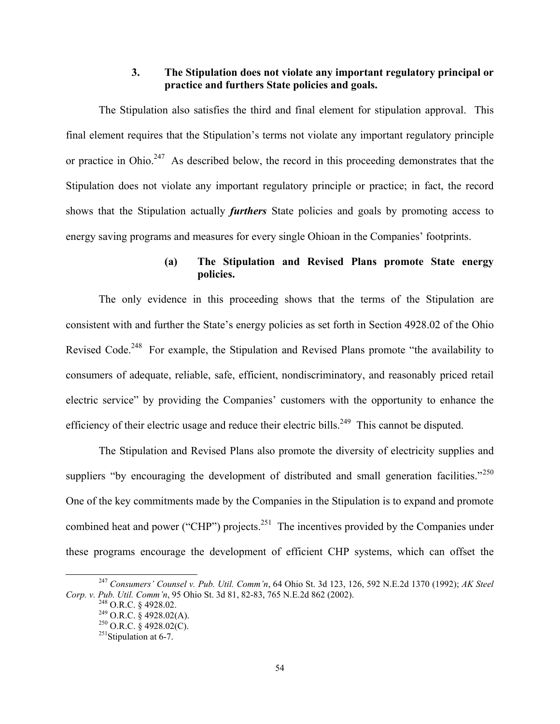## **3. The Stipulation does not violate any important regulatory principal or practice and furthers State policies and goals.**

The Stipulation also satisfies the third and final element for stipulation approval. This final element requires that the Stipulation's terms not violate any important regulatory principle or practice in Ohio.<sup>247</sup> As described below, the record in this proceeding demonstrates that the Stipulation does not violate any important regulatory principle or practice; in fact, the record shows that the Stipulation actually *furthers* State policies and goals by promoting access to energy saving programs and measures for every single Ohioan in the Companies' footprints.

# **(a) The Stipulation and Revised Plans promote State energy policies.**

The only evidence in this proceeding shows that the terms of the Stipulation are consistent with and further the State's energy policies as set forth in Section 4928.02 of the Ohio Revised Code.<sup>248</sup> For example, the Stipulation and Revised Plans promote "the availability to consumers of adequate, reliable, safe, efficient, nondiscriminatory, and reasonably priced retail electric service" by providing the Companies' customers with the opportunity to enhance the efficiency of their electric usage and reduce their electric bills.<sup>249</sup> This cannot be disputed.

The Stipulation and Revised Plans also promote the diversity of electricity supplies and suppliers "by encouraging the development of distributed and small generation facilities."<sup>250</sup> One of the key commitments made by the Companies in the Stipulation is to expand and promote combined heat and power ("CHP") projects.<sup>251</sup> The incentives provided by the Companies under these programs encourage the development of efficient CHP systems, which can offset the

 <sup>247</sup> *Consumers' Counsel v. Pub. Util. Comm'n*, 64 Ohio St. 3d 123, 126, 592 N.E.2d 1370 (1992); *AK Steel Corp. v. Pub. Util. Comm'n,* 95 Ohio St. 3d 81, 82-83, 765 N.E.2d 862 (2002).<br><sup>248</sup> O.R.C. § 4928.02.<br><sup>249</sup> O.R.C. § 4928.02(A).<br><sup>250</sup> O.R.C. § 4928.02(C).<br><sup>251</sup>Stipulation at 6-7.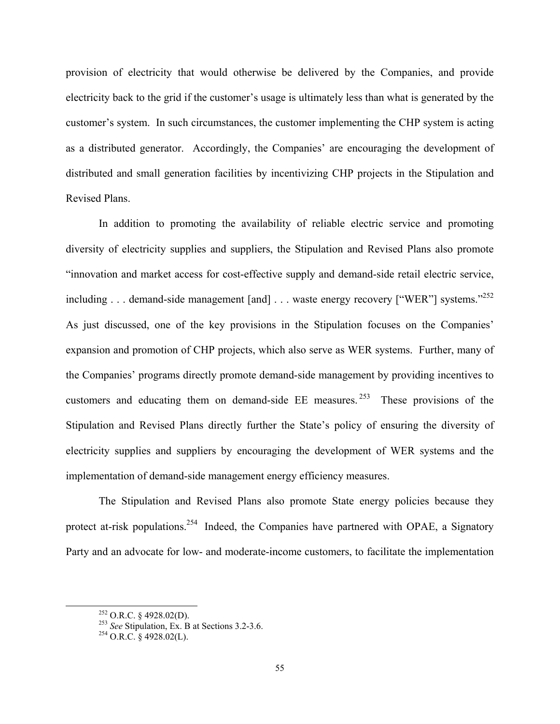provision of electricity that would otherwise be delivered by the Companies, and provide electricity back to the grid if the customer's usage is ultimately less than what is generated by the customer's system. In such circumstances, the customer implementing the CHP system is acting as a distributed generator. Accordingly, the Companies' are encouraging the development of distributed and small generation facilities by incentivizing CHP projects in the Stipulation and Revised Plans.

In addition to promoting the availability of reliable electric service and promoting diversity of electricity supplies and suppliers, the Stipulation and Revised Plans also promote "innovation and market access for cost-effective supply and demand-side retail electric service, including . . . demand-side management [and] . . . waste energy recovery ["WER"] systems."<sup>252</sup> As just discussed, one of the key provisions in the Stipulation focuses on the Companies' expansion and promotion of CHP projects, which also serve as WER systems. Further, many of the Companies' programs directly promote demand-side management by providing incentives to customers and educating them on demand-side EE measures. 253 These provisions of the Stipulation and Revised Plans directly further the State's policy of ensuring the diversity of electricity supplies and suppliers by encouraging the development of WER systems and the implementation of demand-side management energy efficiency measures.

The Stipulation and Revised Plans also promote State energy policies because they protect at-risk populations.<sup>254</sup> Indeed, the Companies have partnered with OPAE, a Signatory Party and an advocate for low- and moderate-income customers, to facilitate the implementation

 <sup>252</sup> O.R.C. § 4928.02(D). 253 *See* Stipulation, Ex. B at Sections 3.2-3.6. 254 O.R.C. § 4928.02(L).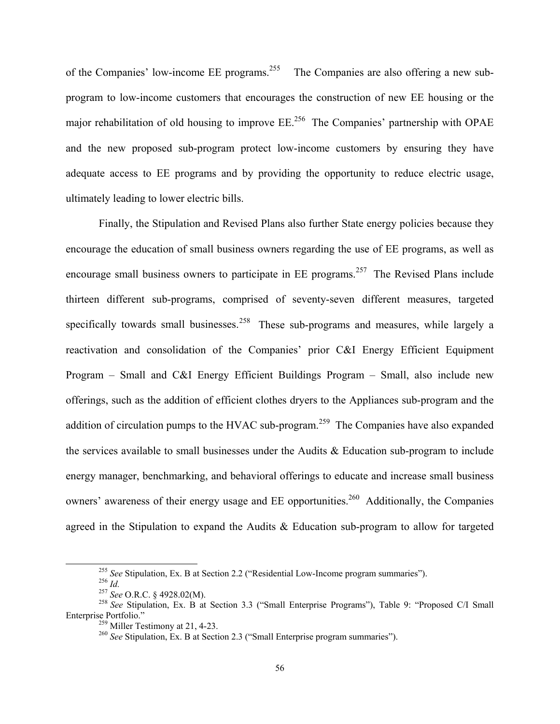of the Companies' low-income EE programs.<sup>255</sup> The Companies are also offering a new subprogram to low-income customers that encourages the construction of new EE housing or the major rehabilitation of old housing to improve  $EE^{256}$  The Companies' partnership with OPAE and the new proposed sub-program protect low-income customers by ensuring they have adequate access to EE programs and by providing the opportunity to reduce electric usage, ultimately leading to lower electric bills.

Finally, the Stipulation and Revised Plans also further State energy policies because they encourage the education of small business owners regarding the use of EE programs, as well as encourage small business owners to participate in  $EE$  programs.<sup>257</sup> The Revised Plans include thirteen different sub-programs, comprised of seventy-seven different measures, targeted specifically towards small businesses.<sup>258</sup> These sub-programs and measures, while largely a reactivation and consolidation of the Companies' prior C&I Energy Efficient Equipment Program – Small and C&I Energy Efficient Buildings Program – Small, also include new offerings, such as the addition of efficient clothes dryers to the Appliances sub-program and the addition of circulation pumps to the HVAC sub-program.<sup>259</sup> The Companies have also expanded the services available to small businesses under the Audits  $\&$  Education sub-program to include energy manager, benchmarking, and behavioral offerings to educate and increase small business owners' awareness of their energy usage and EE opportunities.<sup>260</sup> Additionally, the Companies agreed in the Stipulation to expand the Audits & Education sub-program to allow for targeted

<sup>&</sup>lt;sup>255</sup> See Stipulation, Ex. B at Section 2.2 ("Residential Low-Income program summaries").<br><sup>256</sup> *Id.*<br><sup>257</sup> See O.R.C. § 4928.02(M).<br><sup>258</sup> See Stipulation, Ex. B at Section 3.3 ("Small Enterprise Programs"), Table 9: "Pro

<sup>&</sup>lt;sup>259</sup> Miller Testimony at 21, 4-23. <sup>259</sup> *See Stipulation, Ex. B at Section 2.3 ("Small Enterprise program summaries").*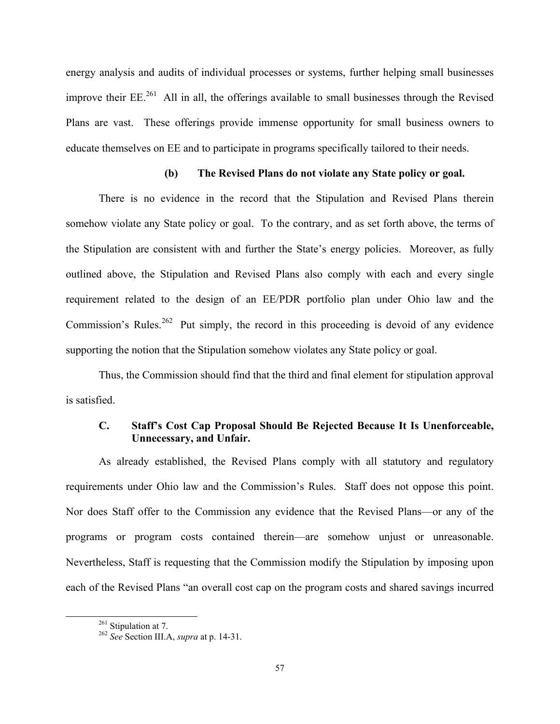energy analysis and audits of individual processes or systems, further helping small businesses improve their  $EE^{261}$  All in all, the offerings available to small businesses through the Revised Plans are vast. These offerings provide immense opportunity for small business owners to educate themselves on EE and to participate in programs specifically tailored to their needs.

#### **(b) The Revised Plans do not violate any State policy or goal.**

There is no evidence in the record that the Stipulation and Revised Plans therein somehow violate any State policy or goal. To the contrary, and as set forth above, the terms of the Stipulation are consistent with and further the State's energy policies. Moreover, as fully outlined above, the Stipulation and Revised Plans also comply with each and every single requirement related to the design of an EE/PDR portfolio plan under Ohio law and the Commission's Rules.<sup>262</sup> Put simply, the record in this proceeding is devoid of any evidence supporting the notion that the Stipulation somehow violates any State policy or goal.

Thus, the Commission should find that the third and final element for stipulation approval is satisfied.

## **C. Staff's Cost Cap Proposal Should Be Rejected Because It Is Unenforceable, Unnecessary, and Unfair.**

As already established, the Revised Plans comply with all statutory and regulatory requirements under Ohio law and the Commission's Rules. Staff does not oppose this point. Nor does Staff offer to the Commission any evidence that the Revised Plans—or any of the programs or program costs contained therein—are somehow unjust or unreasonable. Nevertheless, Staff is requesting that the Commission modify the Stipulation by imposing upon each of the Revised Plans "an overall cost cap on the program costs and shared savings incurred

 <sup>261</sup> Stipulation at 7. 262 *See* Section III.A, *supra* at p. 14-31.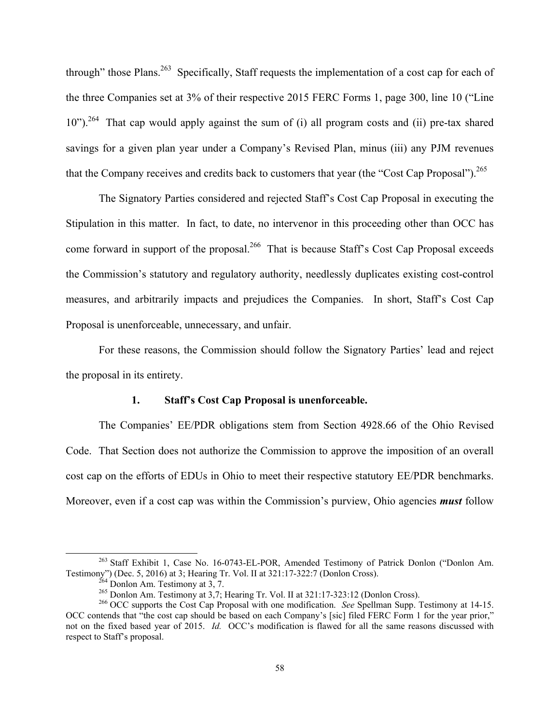through" those Plans.<sup>263</sup> Specifically, Staff requests the implementation of a cost cap for each of the three Companies set at 3% of their respective 2015 FERC Forms 1, page 300, line 10 ("Line 10").<sup>264</sup> That cap would apply against the sum of (i) all program costs and (ii) pre-tax shared savings for a given plan year under a Company's Revised Plan, minus (iii) any PJM revenues that the Company receives and credits back to customers that year (the "Cost Cap Proposal").  $^{265}$ 

The Signatory Parties considered and rejected Staff's Cost Cap Proposal in executing the Stipulation in this matter. In fact, to date, no intervenor in this proceeding other than OCC has come forward in support of the proposal.<sup>266</sup> That is because Staff's Cost Cap Proposal exceeds the Commission's statutory and regulatory authority, needlessly duplicates existing cost-control measures, and arbitrarily impacts and prejudices the Companies. In short, Staff's Cost Cap Proposal is unenforceable, unnecessary, and unfair.

For these reasons, the Commission should follow the Signatory Parties' lead and reject the proposal in its entirety.

#### **1. Staff's Cost Cap Proposal is unenforceable.**

The Companies' EE/PDR obligations stem from Section 4928.66 of the Ohio Revised Code. That Section does not authorize the Commission to approve the imposition of an overall cost cap on the efforts of EDUs in Ohio to meet their respective statutory EE/PDR benchmarks. Moreover, even if a cost cap was within the Commission's purview, Ohio agencies *must* follow

<sup>&</sup>lt;sup>263</sup> Staff Exhibit 1, Case No. 16-0743-EL-POR, Amended Testimony of Patrick Donlon ("Donlon Am. Testimony") (Dec. 5, 2016) at 3; Hearing Tr. Vol. II at  $321:17-322:7$  (Donlon Cross).<br><sup>264</sup> Donlon Am. Testimony at 3, 7.<br><sup>265</sup> Donlon Am. Testimony at 3,7; Hearing Tr. Vol. II at  $321:17-323:12$  (Donlon Cross).<br><sup>266</sup> OC

OCC contends that "the cost cap should be based on each Company's [sic] filed FERC Form 1 for the year prior," not on the fixed based year of 2015. *Id.* OCC's modification is flawed for all the same reasons discussed with respect to Staff's proposal.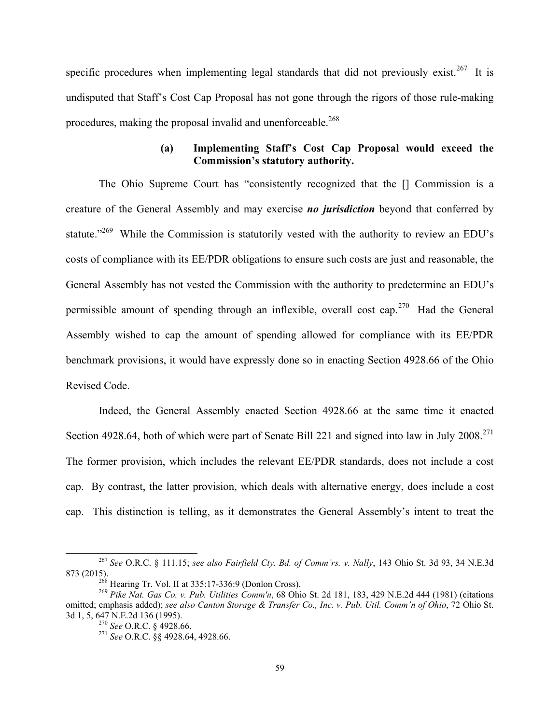specific procedures when implementing legal standards that did not previously exist.<sup>267</sup> It is undisputed that Staff's Cost Cap Proposal has not gone through the rigors of those rule-making procedures, making the proposal invalid and unenforceable.<sup>268</sup>

# **(a) Implementing Staff's Cost Cap Proposal would exceed the Commission's statutory authority.**

The Ohio Supreme Court has "consistently recognized that the [] Commission is a creature of the General Assembly and may exercise *no jurisdiction* beyond that conferred by statute."<sup>269</sup> While the Commission is statutorily vested with the authority to review an EDU's costs of compliance with its EE/PDR obligations to ensure such costs are just and reasonable, the General Assembly has not vested the Commission with the authority to predetermine an EDU's permissible amount of spending through an inflexible, overall cost cap.<sup>270</sup> Had the General Assembly wished to cap the amount of spending allowed for compliance with its EE/PDR benchmark provisions, it would have expressly done so in enacting Section 4928.66 of the Ohio Revised Code.

Indeed, the General Assembly enacted Section 4928.66 at the same time it enacted Section 4928.64, both of which were part of Senate Bill 221 and signed into law in July  $2008.<sup>271</sup>$ The former provision, which includes the relevant EE/PDR standards, does not include a cost cap. By contrast, the latter provision, which deals with alternative energy, does include a cost cap. This distinction is telling, as it demonstrates the General Assembly's intent to treat the

 <sup>267</sup> *See* O.R.C. § 111.15; *see also Fairfield Cty. Bd. of Comm'rs. v. Nally*, 143 Ohio St. 3d 93, 34 N.E.3d 873 (2015). 268 Hearing Tr. Vol. II at 335:17-336:9 (Donlon Cross). 269 *Pike Nat. Gas Co. v. Pub. Utilities Comm'n*, 68 Ohio St. 2d 181, 183, 429 N.E.2d 444 (1981) (citations

omitted; emphasis added); *see also Canton Storage & Transfer Co., Inc. v. Pub. Util. Comm'n of Ohio*, 72 Ohio St. 3d 1, 5, 647 N.E.2d 136 (1995). 270 *See* O.R.C. § 4928.66. 271 *See* O.R.C. §§ 4928.64, 4928.66.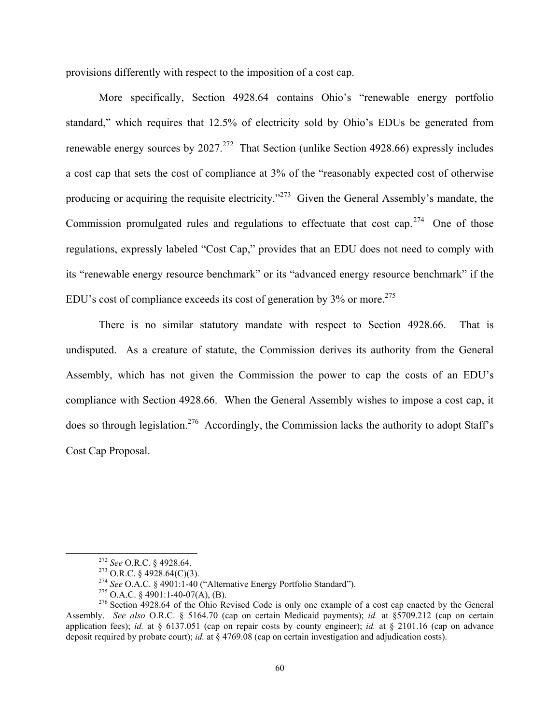provisions differently with respect to the imposition of a cost cap.

More specifically, Section 4928.64 contains Ohio's "renewable energy portfolio standard," which requires that 12.5% of electricity sold by Ohio's EDUs be generated from renewable energy sources by  $2027<sup>272</sup>$  That Section (unlike Section 4928.66) expressly includes a cost cap that sets the cost of compliance at 3% of the "reasonably expected cost of otherwise producing or acquiring the requisite electricity."273 Given the General Assembly's mandate, the Commission promulgated rules and regulations to effectuate that cost cap.<sup>274</sup> One of those regulations, expressly labeled "Cost Cap," provides that an EDU does not need to comply with its "renewable energy resource benchmark" or its "advanced energy resource benchmark" if the EDU's cost of compliance exceeds its cost of generation by  $3\%$  or more.<sup>275</sup>

There is no similar statutory mandate with respect to Section 4928.66. That is undisputed. As a creature of statute, the Commission derives its authority from the General Assembly, which has not given the Commission the power to cap the costs of an EDU's compliance with Section 4928.66. When the General Assembly wishes to impose a cost cap, it does so through legislation.<sup>276</sup> Accordingly, the Commission lacks the authority to adopt Staff's Cost Cap Proposal.

<sup>&</sup>lt;sup>272</sup> See O.R.C. § 4928.64.<br><sup>273</sup> O.R.C. § 4928.64(C)(3).<br><sup>274</sup> See O.A.C. § 4901:1-40 ("Alternative Energy Portfolio Standard").<br><sup>274</sup> See O.A.C. § 4901:1-40-07(A), (B).<br><sup>276</sup> Section 4928.64 of the Ohio Revised Code is Assembly. *See also* O.R.C. § 5164.70 (cap on certain Medicaid payments); *id.* at §5709.212 (cap on certain application fees); *id.* at § 6137.051 (cap on repair costs by county engineer); *id.* at § 2101.16 (cap on advance deposit required by probate court); *id.* at § 4769.08 (cap on certain investigation and adjudication costs).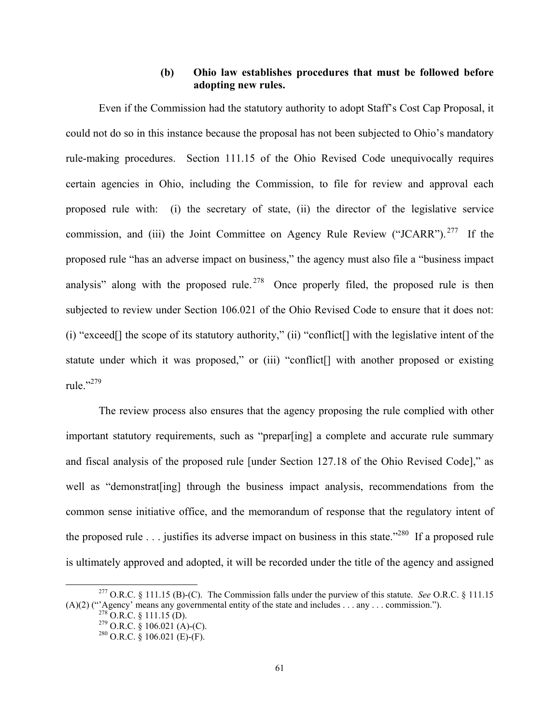## **(b) Ohio law establishes procedures that must be followed before adopting new rules.**

Even if the Commission had the statutory authority to adopt Staff's Cost Cap Proposal, it could not do so in this instance because the proposal has not been subjected to Ohio's mandatory rule-making procedures. Section 111.15 of the Ohio Revised Code unequivocally requires certain agencies in Ohio, including the Commission, to file for review and approval each proposed rule with: (i) the secretary of state, (ii) the director of the legislative service commission, and (iii) the Joint Committee on Agency Rule Review ("JCARR"). 277 If the proposed rule "has an adverse impact on business," the agency must also file a "business impact analysis" along with the proposed rule.<sup>278</sup> Once properly filed, the proposed rule is then subjected to review under Section 106.021 of the Ohio Revised Code to ensure that it does not: (i) "exceed[] the scope of its statutory authority," (ii) "conflict[] with the legislative intent of the statute under which it was proposed," or (iii) "conflict[] with another proposed or existing rule."279

The review process also ensures that the agency proposing the rule complied with other important statutory requirements, such as "prepar[ing] a complete and accurate rule summary and fiscal analysis of the proposed rule [under Section 127.18 of the Ohio Revised Code]," as well as "demonstrat [ing] through the business impact analysis, recommendations from the common sense initiative office, and the memorandum of response that the regulatory intent of the proposed rule . . . justifies its adverse impact on business in this state."<sup>280</sup> If a proposed rule is ultimately approved and adopted, it will be recorded under the title of the agency and assigned

 <sup>277</sup> O.R.C. § 111.15 (B)-(C). The Commission falls under the purview of this statute. *See* O.R.C. § 111.15 (A)(2) ("Agency' means any governmental entity of the state and includes . . . any . . . commission.").<br>
<sup>278</sup> O.R.C. § 111.15 (D).<br>
<sup>279</sup> O.R.C. § 106.021 (A)-(C).<br>
<sup>280</sup> O.R.C. § 106.021 (E)-(F).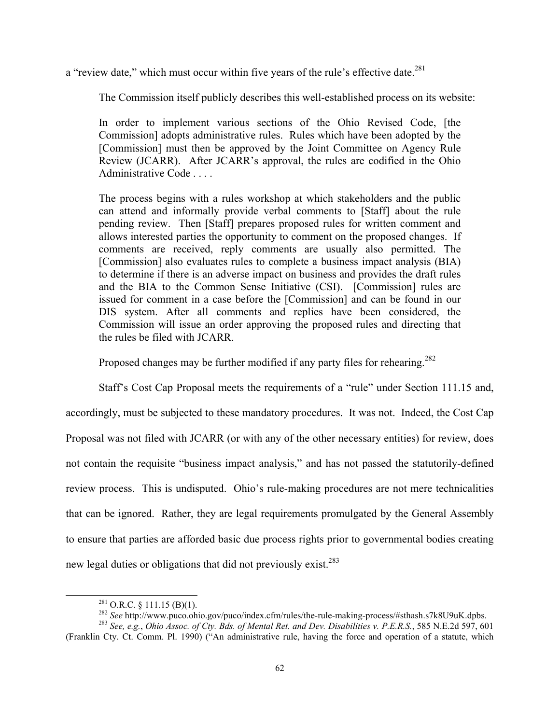a "review date," which must occur within five years of the rule's effective date.<sup>281</sup>

The Commission itself publicly describes this well-established process on its website:

In order to implement various sections of the Ohio Revised Code, [the Commission] adopts administrative rules. Rules which have been adopted by the [Commission] must then be approved by the Joint Committee on Agency Rule Review (JCARR). After JCARR's approval, the rules are codified in the Ohio Administrative Code . . . .

The process begins with a rules workshop at which stakeholders and the public can attend and informally provide verbal comments to [Staff] about the rule pending review. Then [Staff] prepares proposed rules for written comment and allows interested parties the opportunity to comment on the proposed changes. If comments are received, reply comments are usually also permitted. The [Commission] also evaluates rules to complete a business impact analysis (BIA) to determine if there is an adverse impact on business and provides the draft rules and the BIA to the Common Sense Initiative (CSI). [Commission] rules are issued for comment in a case before the [Commission] and can be found in our DIS system. After all comments and replies have been considered, the Commission will issue an order approving the proposed rules and directing that the rules be filed with JCARR.

Proposed changes may be further modified if any party files for rehearing.<sup>282</sup>

Staff's Cost Cap Proposal meets the requirements of a "rule" under Section 111.15 and, accordingly, must be subjected to these mandatory procedures. It was not. Indeed, the Cost Cap Proposal was not filed with JCARR (or with any of the other necessary entities) for review, does not contain the requisite "business impact analysis," and has not passed the statutorily-defined review process. This is undisputed. Ohio's rule-making procedures are not mere technicalities that can be ignored. Rather, they are legal requirements promulgated by the General Assembly to ensure that parties are afforded basic due process rights prior to governmental bodies creating new legal duties or obligations that did not previously exist.<sup>283</sup>

<sup>&</sup>lt;sup>281</sup> O.R.C. § 111.15 (B)(1).<br><sup>282</sup> See http://www.puco.ohio.gov/puco/index.cfm/rules/the-rule-making-process/#sthash.s7k8U9uK.dpbs.<br><sup>282</sup> See, e.g., *Ohio Assoc. of Cty. Bds. of Mental Ret. and Dev. Disabilities v. P.E.R* 

<sup>(</sup>Franklin Cty. Ct. Comm. Pl. 1990) ("An administrative rule, having the force and operation of a statute, which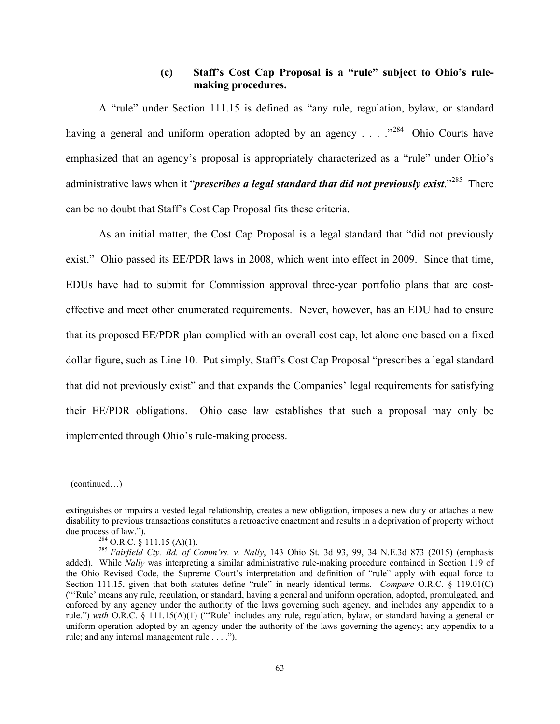## **(c) Staff's Cost Cap Proposal is a "rule" subject to Ohio's rulemaking procedures.**

A "rule" under Section 111.15 is defined as "any rule, regulation, bylaw, or standard having a general and uniform operation adopted by an agency  $\ldots$  . . ..<sup>284</sup> Ohio Courts have emphasized that an agency's proposal is appropriately characterized as a "rule" under Ohio's administrative laws when it "*prescribes a legal standard that did not previously exist*."<sup>285</sup> There can be no doubt that Staff's Cost Cap Proposal fits these criteria.

As an initial matter, the Cost Cap Proposal is a legal standard that "did not previously exist." Ohio passed its EE/PDR laws in 2008, which went into effect in 2009. Since that time, EDUs have had to submit for Commission approval three-year portfolio plans that are costeffective and meet other enumerated requirements. Never, however, has an EDU had to ensure that its proposed EE/PDR plan complied with an overall cost cap, let alone one based on a fixed dollar figure, such as Line 10. Put simply, Staff's Cost Cap Proposal "prescribes a legal standard that did not previously exist" and that expands the Companies' legal requirements for satisfying their EE/PDR obligations. Ohio case law establishes that such a proposal may only be implemented through Ohio's rule-making process.

<sup>(</sup>continued…)

extinguishes or impairs a vested legal relationship, creates a new obligation, imposes a new duty or attaches a new disability to previous transactions constitutes a retroactive enactment and results in a deprivation of property without due process of law.").<br> $^{284}$  O.R.C. § 111.15 (A)(1).

<sup>&</sup>lt;sup>285</sup> Fairfield Cty. Bd. of Comm'rs. v. Nally, 143 Ohio St. 3d 93, 99, 34 N.E.3d 873 (2015) (emphasis added). While *Nally* was interpreting a similar administrative rule-making procedure contained in Section 119 of the Ohio Revised Code, the Supreme Court's interpretation and definition of "rule" apply with equal force to Section 111.15, given that both statutes define "rule" in nearly identical terms. *Compare* O.R.C. § 119.01(C) ("'Rule' means any rule, regulation, or standard, having a general and uniform operation, adopted, promulgated, and enforced by any agency under the authority of the laws governing such agency, and includes any appendix to a rule.") *with* O.R.C. § 111.15(A)(1) ("'Rule' includes any rule, regulation, bylaw, or standard having a general or uniform operation adopted by an agency under the authority of the laws governing the agency; any appendix to a rule; and any internal management rule . . . .").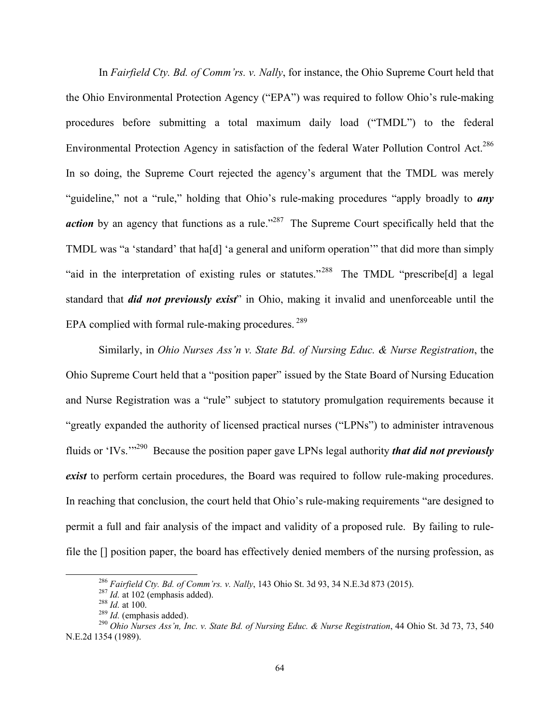In *Fairfield Cty. Bd. of Comm'rs. v. Nally*, for instance, the Ohio Supreme Court held that the Ohio Environmental Protection Agency ("EPA") was required to follow Ohio's rule-making procedures before submitting a total maximum daily load ("TMDL") to the federal Environmental Protection Agency in satisfaction of the federal Water Pollution Control Act.<sup>286</sup> In so doing, the Supreme Court rejected the agency's argument that the TMDL was merely "guideline," not a "rule," holding that Ohio's rule-making procedures "apply broadly to *any action* by an agency that functions as a rule."<sup>287</sup> The Supreme Court specifically held that the TMDL was "a 'standard' that ha[d] 'a general and uniform operation'" that did more than simply "aid in the interpretation of existing rules or statutes."288 The TMDL "prescribe[d] a legal standard that *did not previously exist*" in Ohio, making it invalid and unenforceable until the EPA complied with formal rule-making procedures. 289

Similarly, in *Ohio Nurses Ass'n v. State Bd. of Nursing Educ. & Nurse Registration*, the Ohio Supreme Court held that a "position paper" issued by the State Board of Nursing Education and Nurse Registration was a "rule" subject to statutory promulgation requirements because it "greatly expanded the authority of licensed practical nurses ("LPNs") to administer intravenous fluids or 'IVs.'"290 Because the position paper gave LPNs legal authority *that did not previously exist* to perform certain procedures, the Board was required to follow rule-making procedures. In reaching that conclusion, the court held that Ohio's rule-making requirements "are designed to permit a full and fair analysis of the impact and validity of a proposed rule. By failing to rulefile the [] position paper, the board has effectively denied members of the nursing profession, as

<sup>&</sup>lt;sup>286</sup> Fairfield Cty. Bd. of Comm'rs. v. Nally, 143 Ohio St. 3d 93, 34 N.E.3d 873 (2015).<br><sup>287</sup> Id. at 102 (emphasis added).<br><sup>288</sup> Id. at 100.<br><sup>289</sup> Id. (emphasis added).<br><sup>290</sup> Ohio Nurses Ass'n, Inc. v. State Bd. of Nursi N.E.2d 1354 (1989).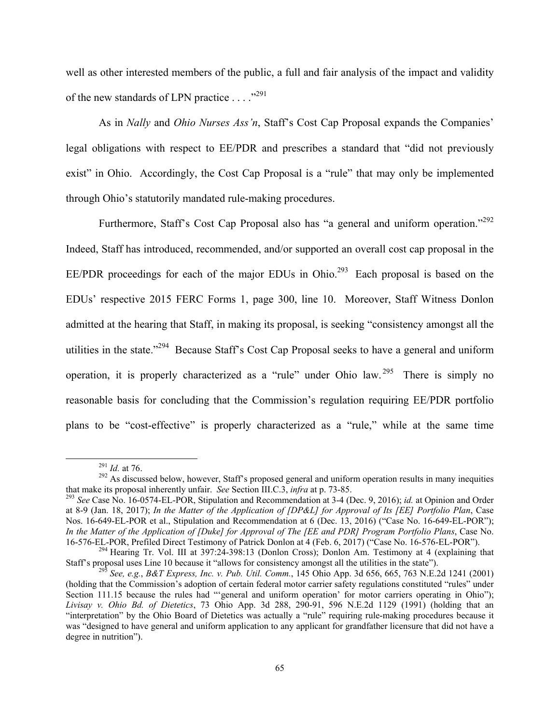well as other interested members of the public, a full and fair analysis of the impact and validity of the new standards of LPN practice . . . . "<sup>291</sup>

As in *Nally* and *Ohio Nurses Ass'n*, Staff's Cost Cap Proposal expands the Companies' legal obligations with respect to EE/PDR and prescribes a standard that "did not previously exist" in Ohio. Accordingly, the Cost Cap Proposal is a "rule" that may only be implemented through Ohio's statutorily mandated rule-making procedures.

Furthermore, Staff's Cost Cap Proposal also has "a general and uniform operation."<sup>292</sup> Indeed, Staff has introduced, recommended, and/or supported an overall cost cap proposal in the EE/PDR proceedings for each of the major EDUs in Ohio.<sup>293</sup> Each proposal is based on the EDUs' respective 2015 FERC Forms 1, page 300, line 10. Moreover, Staff Witness Donlon admitted at the hearing that Staff, in making its proposal, is seeking "consistency amongst all the utilities in the state."294 Because Staff's Cost Cap Proposal seeks to have a general and uniform operation, it is properly characterized as a "rule" under Ohio law. <sup>295</sup> There is simply no reasonable basis for concluding that the Commission's regulation requiring EE/PDR portfolio plans to be "cost-effective" is properly characterized as a "rule," while at the same time

<sup>&</sup>lt;sup>291</sup> *Id.* at 76. <sup>292</sup> As discussed below, however, Staff's proposed general and uniform operation results in many inequities that make its proposal inherently unfair. *See* Section III.C.3, *infra* at p. 73-85.

<sup>&</sup>lt;sup>293</sup> See Case No. 16-0574-EL-POR, Stipulation and Recommendation at 3-4 (Dec. 9, 2016); *id.* at Opinion and Order at 8-9 (Jan. 18, 2017); *In the Matter of the Application of [DP&L] for Approval of Its [EE] Portfolio Plan*, Case Nos. 16-649-EL-POR et al., Stipulation and Recommendation at 6 (Dec. 13, 2016) ("Case No. 16-649-EL-POR"); *In the Matter of the Application of [Duke] for Approval of The [EE and PDR] Program Portfolio Plans*, Case No.

<sup>16-576-</sup>EL-POR, Prefiled Direct Testimony of Patrick Donlon at 4 (Feb. 6, 2017) ("Case No. 16-576-EL-POR").<br><sup>294</sup> Hearing Tr. Vol. III at 397:24-398:13 (Donlon Cross); Donlon Am. Testimony at 4 (explaining that Staff's prop

<sup>&</sup>lt;sup>295</sup> See, e.g., *B&T Express, Inc. v. Pub. Util. Comm.*, 145 Ohio App. 3d 656, 665, 763 N.E.2d 1241 (2001). (holding that the Commission's adoption of certain federal motor carrier safety regulations constituted "rules" under Section 111.15 because the rules had "'general and uniform operation' for motor carriers operating in Ohio"); *Livisay v. Ohio Bd. of Dietetics*, 73 Ohio App. 3d 288, 290-91, 596 N.E.2d 1129 (1991) (holding that an "interpretation" by the Ohio Board of Dietetics was actually a "rule" requiring rule-making procedures because it was "designed to have general and uniform application to any applicant for grandfather licensure that did not have a degree in nutrition").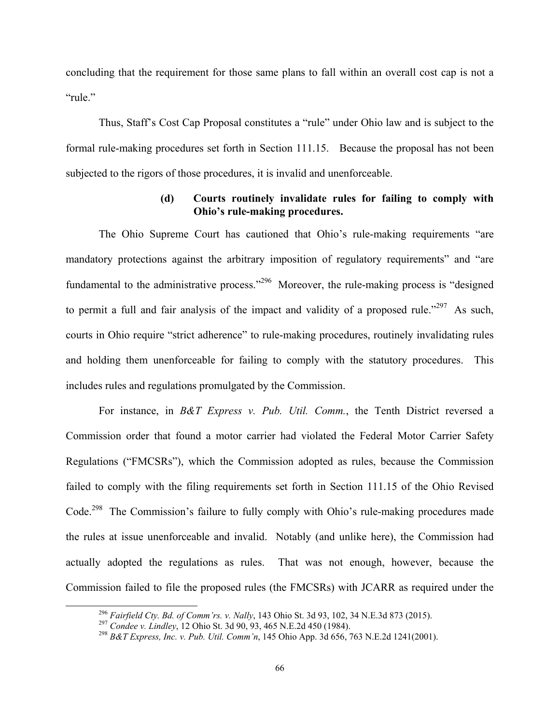concluding that the requirement for those same plans to fall within an overall cost cap is not a "rule."

Thus, Staff's Cost Cap Proposal constitutes a "rule" under Ohio law and is subject to the formal rule-making procedures set forth in Section 111.15. Because the proposal has not been subjected to the rigors of those procedures, it is invalid and unenforceable.

## **(d) Courts routinely invalidate rules for failing to comply with Ohio's rule-making procedures.**

The Ohio Supreme Court has cautioned that Ohio's rule-making requirements "are mandatory protections against the arbitrary imposition of regulatory requirements" and "are fundamental to the administrative process."<sup>296</sup> Moreover, the rule-making process is "designed" to permit a full and fair analysis of the impact and validity of a proposed rule."<sup>297</sup> As such, courts in Ohio require "strict adherence" to rule-making procedures, routinely invalidating rules and holding them unenforceable for failing to comply with the statutory procedures. This includes rules and regulations promulgated by the Commission.

For instance, in *B&T Express v. Pub. Util. Comm.*, the Tenth District reversed a Commission order that found a motor carrier had violated the Federal Motor Carrier Safety Regulations ("FMCSRs"), which the Commission adopted as rules, because the Commission failed to comply with the filing requirements set forth in Section 111.15 of the Ohio Revised Code.<sup>298</sup> The Commission's failure to fully comply with Ohio's rule-making procedures made the rules at issue unenforceable and invalid. Notably (and unlike here), the Commission had actually adopted the regulations as rules. That was not enough, however, because the Commission failed to file the proposed rules (the FMCSRs) with JCARR as required under the

<sup>&</sup>lt;sup>296</sup> Fairfield Cty. Bd. of Comm'rs. v. Nally, 143 Ohio St. 3d 93, 102, 34 N.E.3d 873 (2015).<br><sup>297</sup> Condee v. Lindley, 12 Ohio St. 3d 90, 93, 465 N.E.2d 450 (1984).<br><sup>298</sup> B&T Express, Inc. v. Pub. Util. Comm'n, 145 Ohio A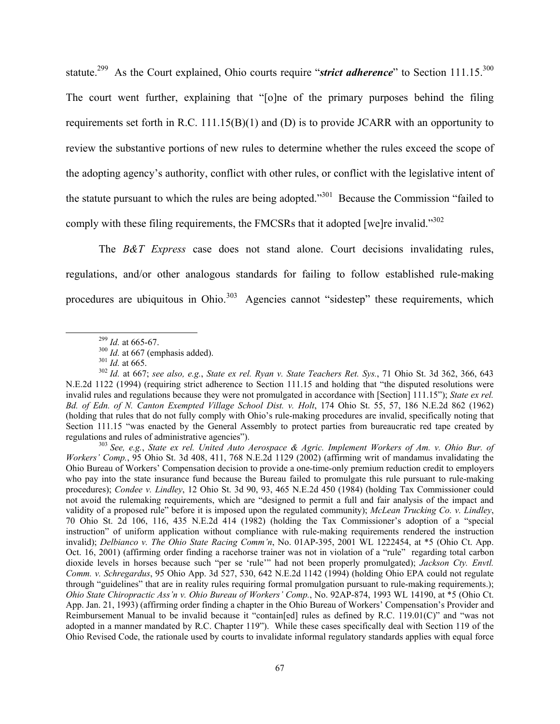statute.<sup>299</sup> As the Court explained, Ohio courts require "*strict adherence*" to Section 111.15.<sup>300</sup> The court went further, explaining that "[o]ne of the primary purposes behind the filing requirements set forth in R.C. 111.15(B)(1) and (D) is to provide JCARR with an opportunity to review the substantive portions of new rules to determine whether the rules exceed the scope of the adopting agency's authority, conflict with other rules, or conflict with the legislative intent of the statute pursuant to which the rules are being adopted."301 Because the Commission "failed to comply with these filing requirements, the FMCSRs that it adopted [we]re invalid."<sup>302</sup>

The *B&T Express* case does not stand alone. Court decisions invalidating rules, regulations, and/or other analogous standards for failing to follow established rule-making procedures are ubiquitous in Ohio.<sup>303</sup> Agencies cannot "sidestep" these requirements, which

*Workers' Comp.*, 95 Ohio St. 3d 408, 411, 768 N.E.2d 1129 (2002) (affirming writ of mandamus invalidating the Ohio Bureau of Workers' Compensation decision to provide a one-time-only premium reduction credit to employers who pay into the state insurance fund because the Bureau failed to promulgate this rule pursuant to rule-making procedures); *Condee v. Lindley*, 12 Ohio St. 3d 90, 93, 465 N.E.2d 450 (1984) (holding Tax Commissioner could not avoid the rulemaking requirements, which are "designed to permit a full and fair analysis of the impact and validity of a proposed rule" before it is imposed upon the regulated community); *McLean Trucking Co. v. Lindley*, 70 Ohio St. 2d 106, 116, 435 N.E.2d 414 (1982) (holding the Tax Commissioner's adoption of a "special instruction" of uniform application without compliance with rule-making requirements rendered the instruction invalid); *Delbianco v. The Ohio State Racing Comm'n*, No. 01AP-395, 2001 WL 1222454, at \*5 (Ohio Ct. App. Oct. 16, 2001) (affirming order finding a racehorse trainer was not in violation of a "rule" regarding total carbon dioxide levels in horses because such "per se 'rule'" had not been properly promulgated); *Jackson Cty. Envtl. Comm. v. Schregardus*, 95 Ohio App. 3d 527, 530, 642 N.E.2d 1142 (1994) (holding Ohio EPA could not regulate through "guidelines" that are in reality rules requiring formal promulgation pursuant to rule-making requirements.); *Ohio State Chiropractic Ass'n v. Ohio Bureau of Workers' Comp.*, No. 92AP-874, 1993 WL 14190, at \*5 (Ohio Ct. App. Jan. 21, 1993) (affirming order finding a chapter in the Ohio Bureau of Workers' Compensation's Provider and Reimbursement Manual to be invalid because it "contain[ed] rules as defined by R.C. 119.01(C)" and "was not adopted in a manner mandated by R.C. Chapter 119"). While these cases specifically deal with Section 119 of the Ohio Revised Code, the rationale used by courts to invalidate informal regulatory standards applies with equal force

<sup>&</sup>lt;sup>299</sup> *Id.* at 665-67.<br><sup>300</sup> *Id.* at 667 (emphasis added).<br><sup>301</sup> *Id.* at 665.<br><sup>302</sup> *Id.* at 667; *see also, e.g.*, *State ex rel. Ryan v. State Teachers Ret. Sys.*, 71 Ohio St. 3d 362, 366, 643 N.E.2d 1122 (1994) (requiring strict adherence to Section 111.15 and holding that "the disputed resolutions were invalid rules and regulations because they were not promulgated in accordance with [Section] 111.15"); *State ex rel.*  Bd. of Edn. of N. Canton Exempted Village School Dist. v. Holt, 174 Ohio St. 55, 57, 186 N.E.2d 862 (1962) (holding that rules that do not fully comply with Ohio's rule-making procedures are invalid, specifically noting that Section 111.15 "was enacted by the General Assembly to protect parties from bureaucratic red tape created by regulations and rules of administrative agencies"). 303 *See, e.g.*, *State ex rel. United Auto Aerospace & Agric. Implement Workers of Am. v. Ohio Bur. of*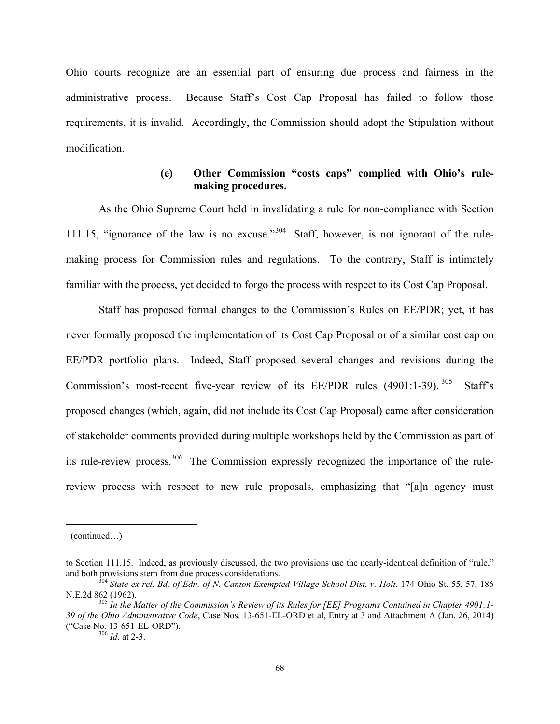Ohio courts recognize are an essential part of ensuring due process and fairness in the administrative process. Because Staff's Cost Cap Proposal has failed to follow those requirements, it is invalid. Accordingly, the Commission should adopt the Stipulation without modification.

#### **(e) Other Commission "costs caps" complied with Ohio's rulemaking procedures.**

As the Ohio Supreme Court held in invalidating a rule for non-compliance with Section 111.15, "ignorance of the law is no excuse."<sup>304</sup> Staff, however, is not ignorant of the rulemaking process for Commission rules and regulations. To the contrary, Staff is intimately familiar with the process, yet decided to forgo the process with respect to its Cost Cap Proposal.

Staff has proposed formal changes to the Commission's Rules on EE/PDR; yet, it has never formally proposed the implementation of its Cost Cap Proposal or of a similar cost cap on EE/PDR portfolio plans. Indeed, Staff proposed several changes and revisions during the Commission's most-recent five-year review of its  $EE/PDR$  rules (4901:1-39). <sup>305</sup> Staff's proposed changes (which, again, did not include its Cost Cap Proposal) came after consideration of stakeholder comments provided during multiple workshops held by the Commission as part of its rule-review process.<sup>306</sup> The Commission expressly recognized the importance of the rulereview process with respect to new rule proposals, emphasizing that "[a]n agency must

<sup>(</sup>continued…)

to Section 111.15. Indeed, as previously discussed, the two provisions use the nearly-identical definition of "rule," and both provisions stem from due process considerations.<br><sup>304</sup> *State ex rel. Bd. of Edn. of N. Canton Exempted Village School Dist. v. Holt*, 174 Ohio St. 55, 57, 186

N.E.2d 862 (1962).<br><sup>305</sup> *In the Matter of the Commission's Review of its Rules for [EE] Programs Contained in Chapter 4901:1-*

*<sup>39</sup> of the Ohio Administrative Code*, Case Nos. 13-651-EL-ORD et al, Entry at 3 and Attachment A (Jan. 26, 2014) ("Case No. 13-651-EL-ORD"). 306 *Id.* at 2-3.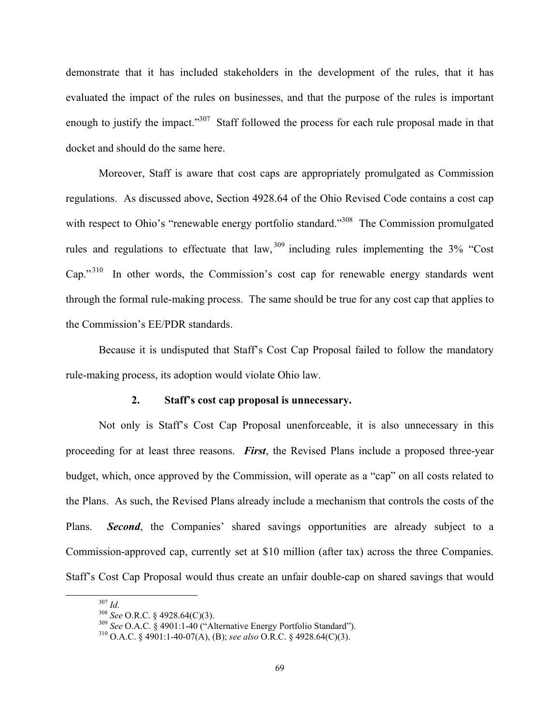demonstrate that it has included stakeholders in the development of the rules, that it has evaluated the impact of the rules on businesses, and that the purpose of the rules is important enough to justify the impact."<sup>307</sup> Staff followed the process for each rule proposal made in that docket and should do the same here.

Moreover, Staff is aware that cost caps are appropriately promulgated as Commission regulations. As discussed above, Section 4928.64 of the Ohio Revised Code contains a cost cap with respect to Ohio's "renewable energy portfolio standard."<sup>308</sup> The Commission promulgated rules and regulations to effectuate that  $law<sub>1</sub><sup>309</sup>$  including rules implementing the 3% "Cost" Cap."<sup>310</sup> In other words, the Commission's cost cap for renewable energy standards went through the formal rule-making process. The same should be true for any cost cap that applies to the Commission's EE/PDR standards.

Because it is undisputed that Staff's Cost Cap Proposal failed to follow the mandatory rule-making process, its adoption would violate Ohio law.

#### **2. Staff's cost cap proposal is unnecessary.**

Not only is Staff's Cost Cap Proposal unenforceable, it is also unnecessary in this proceeding for at least three reasons. *First*, the Revised Plans include a proposed three-year budget, which, once approved by the Commission, will operate as a "cap" on all costs related to the Plans. As such, the Revised Plans already include a mechanism that controls the costs of the Plans. *Second*, the Companies' shared savings opportunities are already subject to a Commission-approved cap, currently set at \$10 million (after tax) across the three Companies. Staff's Cost Cap Proposal would thus create an unfair double-cap on shared savings that would

<sup>307</sup> *Id.* <sup>308</sup> *See* O.R.C. § 4928.64(C)(3). 309 *See* O.A.C. § 4901:1-40 ("Alternative Energy Portfolio Standard"). 310 O.A.C. § 4901:1-40-07(A), (B); *see also* O.R.C. § 4928.64(C)(3).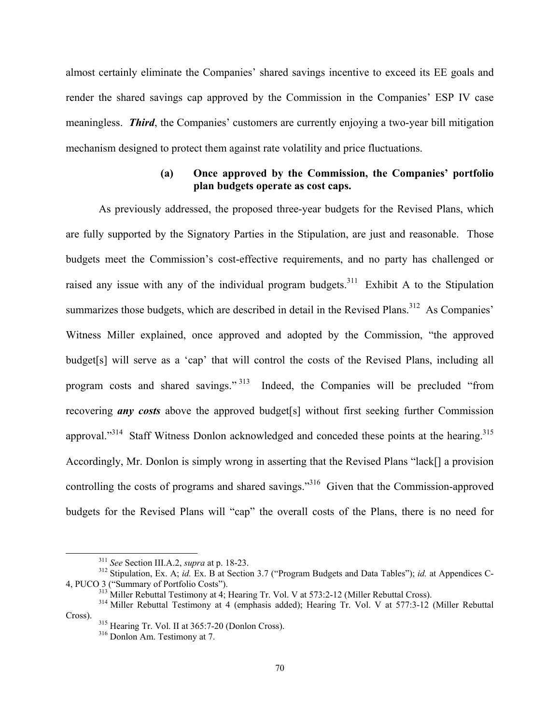almost certainly eliminate the Companies' shared savings incentive to exceed its EE goals and render the shared savings cap approved by the Commission in the Companies' ESP IV case meaningless. *Third*, the Companies' customers are currently enjoying a two-year bill mitigation mechanism designed to protect them against rate volatility and price fluctuations.

#### **(a) Once approved by the Commission, the Companies' portfolio plan budgets operate as cost caps.**

As previously addressed, the proposed three-year budgets for the Revised Plans, which are fully supported by the Signatory Parties in the Stipulation, are just and reasonable. Those budgets meet the Commission's cost-effective requirements, and no party has challenged or raised any issue with any of the individual program budgets.<sup>311</sup> Exhibit A to the Stipulation summarizes those budgets, which are described in detail in the Revised Plans.<sup>312</sup> As Companies' Witness Miller explained, once approved and adopted by the Commission, "the approved budget[s] will serve as a 'cap' that will control the costs of the Revised Plans, including all program costs and shared savings." 313 Indeed, the Companies will be precluded "from recovering *any costs* above the approved budget[s] without first seeking further Commission approval."<sup>314</sup> Staff Witness Donlon acknowledged and conceded these points at the hearing.<sup>315</sup> Accordingly, Mr. Donlon is simply wrong in asserting that the Revised Plans "lack[] a provision controlling the costs of programs and shared savings.<sup>316</sup> Given that the Commission-approved budgets for the Revised Plans will "cap" the overall costs of the Plans, there is no need for

<sup>&</sup>lt;sup>311</sup> *See* Section III.A.2, *supra* at p. 18-23.<br><sup>312</sup> Stipulation, Ex. A; *id.* Ex. B at Section 3.7 ("Program Budgets and Data Tables"); *id.* at Appendices C-<br>4, PUCO 3 ("Summary of Portfolio Costs").

<sup>&</sup>lt;sup>313</sup> Miller Rebuttal Testimony at 4; Hearing Tr. Vol. V at 573:2-12 (Miller Rebuttal Cross).<br><sup>314</sup> Miller Rebuttal Testimony at 4 (emphasis added); Hearing Tr. Vol. V at 577:3-12 (Miller Rebuttal Cross).

<sup>&</sup>lt;sup>315</sup> Hearing Tr. Vol. II at 365:7-20 (Donlon Cross).<br><sup>316</sup> Donlon Am. Testimony at 7.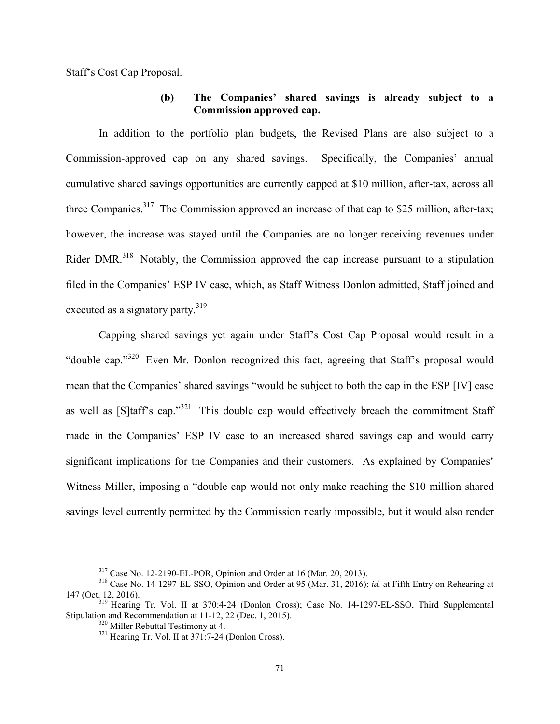Staff's Cost Cap Proposal.

#### **(b) The Companies' shared savings is already subject to a Commission approved cap.**

In addition to the portfolio plan budgets, the Revised Plans are also subject to a Commission-approved cap on any shared savings. Specifically, the Companies' annual cumulative shared savings opportunities are currently capped at \$10 million, after-tax, across all three Companies.<sup>317</sup> The Commission approved an increase of that cap to \$25 million, after-tax; however, the increase was stayed until the Companies are no longer receiving revenues under Rider DMR.<sup>318</sup> Notably, the Commission approved the cap increase pursuant to a stipulation filed in the Companies' ESP IV case, which, as Staff Witness Donlon admitted, Staff joined and executed as a signatory party.<sup>319</sup>

Capping shared savings yet again under Staff's Cost Cap Proposal would result in a "double cap."320 Even Mr. Donlon recognized this fact, agreeing that Staff's proposal would mean that the Companies' shared savings "would be subject to both the cap in the ESP [IV] case as well as [S]taff's cap."<sup>321</sup> This double cap would effectively breach the commitment Staff made in the Companies' ESP IV case to an increased shared savings cap and would carry significant implications for the Companies and their customers. As explained by Companies' Witness Miller, imposing a "double cap would not only make reaching the \$10 million shared savings level currently permitted by the Commission nearly impossible, but it would also render

 <sup>317</sup> Case No. 12-2190-EL-POR, Opinion and Order at 16 (Mar. 20, 2013). 318 Case No. 14-1297-EL-SSO, Opinion and Order at 95 (Mar. 31, 2016); *id.* at Fifth Entry on Rehearing at

<sup>147 (</sup>Oct. 12, 2016). 319 Hearing Tr. Vol. II at 370:4-24 (Donlon Cross); Case No. 14-1297-EL-SSO, Third Supplemental Stipulation and Recommendation at 11-12, 22 (Dec. 1, 2015).<br><sup>320</sup> Miller Rebuttal Testimony at 4.<br><sup>321</sup> Hearing Tr. Vol. II at 371:7-24 (Donlon Cross).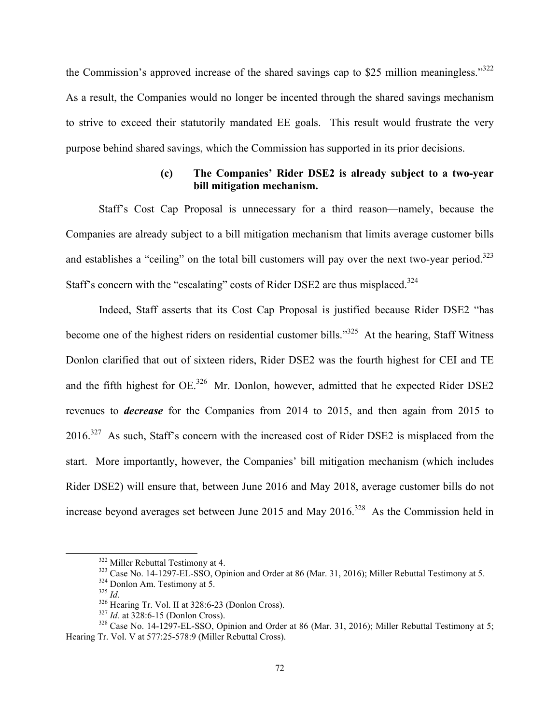the Commission's approved increase of the shared savings cap to \$25 million meaningless."<sup>322</sup> As a result, the Companies would no longer be incented through the shared savings mechanism to strive to exceed their statutorily mandated EE goals. This result would frustrate the very purpose behind shared savings, which the Commission has supported in its prior decisions.

#### **(c) The Companies' Rider DSE2 is already subject to a two-year bill mitigation mechanism.**

Staff's Cost Cap Proposal is unnecessary for a third reason—namely, because the Companies are already subject to a bill mitigation mechanism that limits average customer bills and establishes a "ceiling" on the total bill customers will pay over the next two-year period.<sup>323</sup> Staff's concern with the "escalating" costs of Rider DSE2 are thus misplaced.<sup>324</sup>

Indeed, Staff asserts that its Cost Cap Proposal is justified because Rider DSE2 "has become one of the highest riders on residential customer bills."<sup>325</sup> At the hearing, Staff Witness Donlon clarified that out of sixteen riders, Rider DSE2 was the fourth highest for CEI and TE and the fifth highest for  $OE^{326}$  Mr. Donlon, however, admitted that he expected Rider DSE2 revenues to *decrease* for the Companies from 2014 to 2015, and then again from 2015 to 2016.<sup>327</sup> As such, Staff's concern with the increased cost of Rider DSE2 is misplaced from the start. More importantly, however, the Companies' bill mitigation mechanism (which includes Rider DSE2) will ensure that, between June 2016 and May 2018, average customer bills do not increase beyond averages set between June 2015 and May  $2016$ .<sup>328</sup> As the Commission held in

<sup>&</sup>lt;sup>322</sup> Miller Rebuttal Testimony at 4.<br><sup>323</sup> Case No. 14-1297-EL-SSO, Opinion and Order at 86 (Mar. 31, 2016); Miller Rebuttal Testimony at 5.<br><sup>324</sup> Donlon Am. Testimony at 5.<br><sup>325</sup> Hearing Tr. Vol. II at 328:6-23 (Donlon

Hearing Tr. Vol. V at 577:25-578:9 (Miller Rebuttal Cross).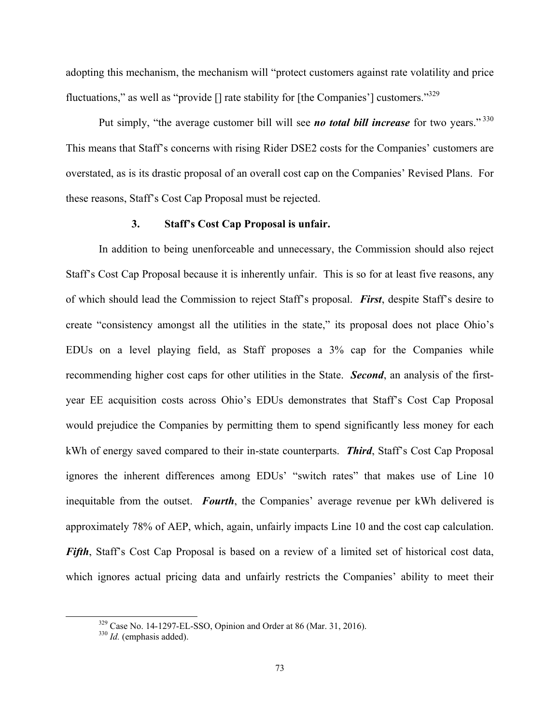adopting this mechanism, the mechanism will "protect customers against rate volatility and price fluctuations," as well as "provide  $\lceil \cdot \rceil$  rate stability for  $\lceil \cdot \rceil$  (the Companies') customers."<sup>329</sup>

Put simply, "the average customer bill will see *no total bill increase* for two years." 330 This means that Staff's concerns with rising Rider DSE2 costs for the Companies' customers are overstated, as is its drastic proposal of an overall cost cap on the Companies' Revised Plans. For these reasons, Staff's Cost Cap Proposal must be rejected.

#### **3. Staff's Cost Cap Proposal is unfair.**

In addition to being unenforceable and unnecessary, the Commission should also reject Staff's Cost Cap Proposal because it is inherently unfair. This is so for at least five reasons, any of which should lead the Commission to reject Staff's proposal. *First*, despite Staff's desire to create "consistency amongst all the utilities in the state," its proposal does not place Ohio's EDUs on a level playing field, as Staff proposes a 3% cap for the Companies while recommending higher cost caps for other utilities in the State. *Second*, an analysis of the firstyear EE acquisition costs across Ohio's EDUs demonstrates that Staff's Cost Cap Proposal would prejudice the Companies by permitting them to spend significantly less money for each kWh of energy saved compared to their in-state counterparts. *Third*, Staff's Cost Cap Proposal ignores the inherent differences among EDUs' "switch rates" that makes use of Line 10 inequitable from the outset. *Fourth*, the Companies' average revenue per kWh delivered is approximately 78% of AEP, which, again, unfairly impacts Line 10 and the cost cap calculation. *Fifth*, Staff's Cost Cap Proposal is based on a review of a limited set of historical cost data, which ignores actual pricing data and unfairly restricts the Companies' ability to meet their

 <sup>329</sup> Case No. 14-1297-EL-SSO, Opinion and Order at 86 (Mar. 31, 2016). 330 *Id.* (emphasis added).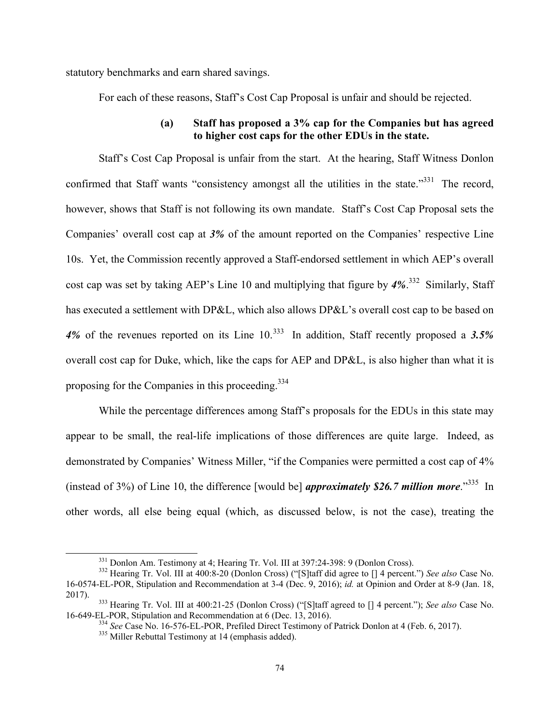statutory benchmarks and earn shared savings.

For each of these reasons, Staff's Cost Cap Proposal is unfair and should be rejected.

## **(a) Staff has proposed a 3% cap for the Companies but has agreed to higher cost caps for the other EDUs in the state.**

Staff's Cost Cap Proposal is unfair from the start. At the hearing, Staff Witness Donlon confirmed that Staff wants "consistency amongst all the utilities in the state."<sup>331</sup> The record, however, shows that Staff is not following its own mandate. Staff's Cost Cap Proposal sets the Companies' overall cost cap at *3%* of the amount reported on the Companies' respective Line 10s. Yet, the Commission recently approved a Staff-endorsed settlement in which AEP's overall cost cap was set by taking AEP's Line 10 and multiplying that figure by *4%*. 332 Similarly, Staff has executed a settlement with DP&L, which also allows DP&L's overall cost cap to be based on 4% of the revenues reported on its Line 10.<sup>333</sup> In addition, Staff recently proposed a 3.5% overall cost cap for Duke, which, like the caps for AEP and DP&L, is also higher than what it is proposing for the Companies in this proceeding.<sup>334</sup>

While the percentage differences among Staff's proposals for the EDUs in this state may appear to be small, the real-life implications of those differences are quite large. Indeed, as demonstrated by Companies' Witness Miller, "if the Companies were permitted a cost cap of 4% (instead of 3%) of Line 10, the difference [would be] *approximately \$26.7 million more*."335 In other words, all else being equal (which, as discussed below, is not the case), treating the

 <sup>331</sup> Donlon Am. Testimony at 4; Hearing Tr. Vol. III at 397:24-398: 9 (Donlon Cross). 332 Hearing Tr. Vol. III at 400:8-20 (Donlon Cross) ("[S]taff did agree to [] 4 percent.") *See also* Case No. 16-0574-EL-POR, Stipulation and Recommendation at 3-4 (Dec. 9, 2016); *id.* at Opinion and Order at 8-9 (Jan. 18,

<sup>2017). 333</sup> Hearing Tr. Vol. III at 400:21-25 (Donlon Cross) ("[S]taff agreed to [] 4 percent."); *See also* Case No.

 $^{334}$  See Case No. 16-576-EL-POR, Prefiled Direct Testimony of Patrick Donlon at 4 (Feb. 6, 2017).<br> $^{335}$  Miller Rebuttal Testimony at 14 (emphasis added).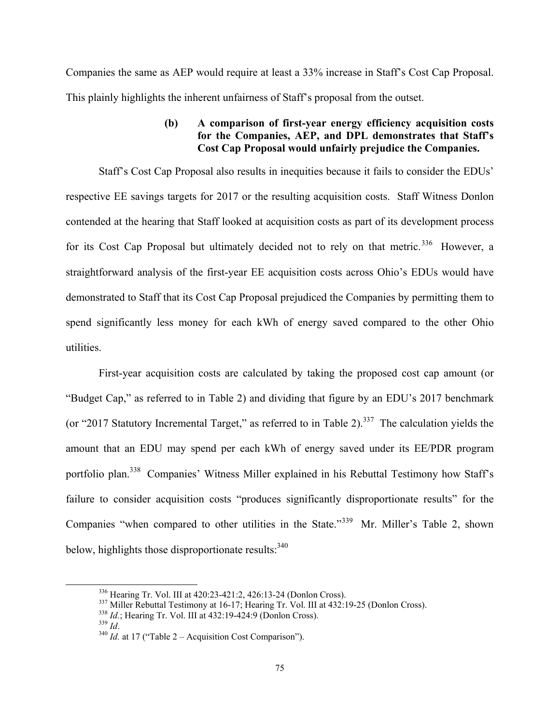Companies the same as AEP would require at least a 33% increase in Staff's Cost Cap Proposal. This plainly highlights the inherent unfairness of Staff's proposal from the outset.

### **(b) A comparison of first-year energy efficiency acquisition costs for the Companies, AEP, and DPL demonstrates that Staff's Cost Cap Proposal would unfairly prejudice the Companies.**

Staff's Cost Cap Proposal also results in inequities because it fails to consider the EDUs' respective EE savings targets for 2017 or the resulting acquisition costs. Staff Witness Donlon contended at the hearing that Staff looked at acquisition costs as part of its development process for its Cost Cap Proposal but ultimately decided not to rely on that metric.<sup>336</sup> However, a straightforward analysis of the first-year EE acquisition costs across Ohio's EDUs would have demonstrated to Staff that its Cost Cap Proposal prejudiced the Companies by permitting them to spend significantly less money for each kWh of energy saved compared to the other Ohio utilities.

First-year acquisition costs are calculated by taking the proposed cost cap amount (or "Budget Cap," as referred to in Table 2) and dividing that figure by an EDU's 2017 benchmark (or "2017 Statutory Incremental Target," as referred to in Table 2).<sup>337</sup> The calculation yields the amount that an EDU may spend per each kWh of energy saved under its EE/PDR program portfolio plan.338 Companies' Witness Miller explained in his Rebuttal Testimony how Staff's failure to consider acquisition costs "produces significantly disproportionate results" for the Companies "when compared to other utilities in the State."339 Mr. Miller's Table 2, shown below, highlights those disproportionate results:  $340$ 

<sup>&</sup>lt;sup>336</sup> Hearing Tr. Vol. III at 420:23-421:2, 426:13-24 (Donlon Cross).<br><sup>337</sup> Miller Rebuttal Testimony at 16-17; Hearing Tr. Vol. III at 432:19-25 (Donlon Cross).<br><sup>338</sup> *Id.*; Hearing Tr. Vol. III at 432:19-424:9 (Donlon C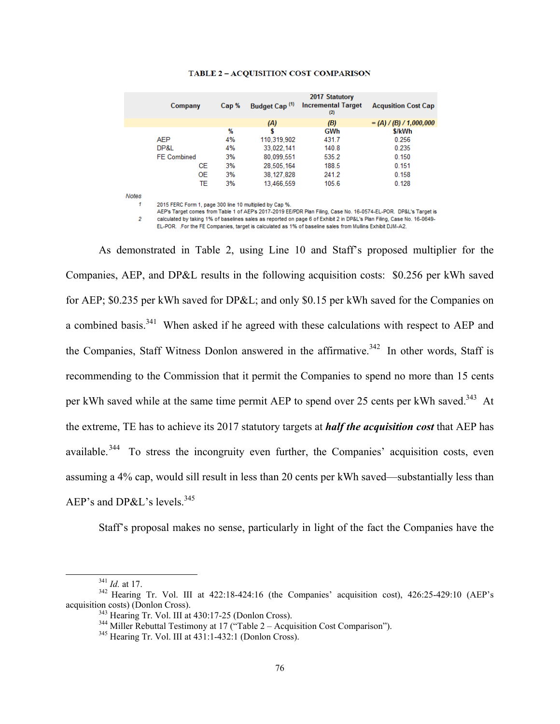| Company            | Cap % | Budget Cap <sup>(1)</sup> | 2017 Statutory<br><b>Incremental Target</b><br>(2) | <b>Acqusition Cost Cap</b> |
|--------------------|-------|---------------------------|----------------------------------------------------|----------------------------|
|                    |       | (A)                       | (B)                                                | $= (A) / (B) / 1,000,000$  |
|                    | %     |                           | <b>GWh</b>                                         | \$/kWh                     |
| AEP                | 4%    | 110,319,902               | 431.7                                              | 0.256                      |
| DP&L               | 4%    | 33.022.141                | 140.8                                              | 0.235                      |
| <b>FE Combined</b> | 3%    | 80.099.551                | 535.2                                              | 0.150                      |
| <b>CE</b>          | 3%    | 28,505,164                | 188.5                                              | 0.151                      |
| 0E                 | 3%    | 38,127,828                | 241.2                                              | 0.158                      |
| TE                 | 3%    | 13.466.559                | 105.6                                              | 0.128                      |

#### **TABLE 2 - ACQUISITION COST COMPARISON**

Notes

 $\mathcal I$ 

2015 FERC Form 1, page 300 line 10 multiplied by Cap %.

AEP's Target comes from Table 1 of AEP's 2017-2019 EE/PDR Plan Filing, Case No. 16-0574-EL-POR. DP&L's Target is calculated by taking 1% of baselines sales as reported on page 6 of Exhibit 2 in DP&L's Plan Filing, Case No. 16-0649- $\overline{2}$ 

EL-POR. .For the FE Companies, target is calculated as 1% of baseline sales from Mullins Exhibit DJM-A2.

As demonstrated in Table 2, using Line 10 and Staff's proposed multiplier for the Companies, AEP, and DP&L results in the following acquisition costs: \$0.256 per kWh saved for AEP; \$0.235 per kWh saved for DP&L; and only \$0.15 per kWh saved for the Companies on a combined basis.<sup>341</sup> When asked if he agreed with these calculations with respect to AEP and the Companies, Staff Witness Donlon answered in the affirmative.<sup>342</sup> In other words, Staff is recommending to the Commission that it permit the Companies to spend no more than 15 cents per kWh saved while at the same time permit AEP to spend over 25 cents per kWh saved.<sup>343</sup> At the extreme, TE has to achieve its 2017 statutory targets at *half the acquisition cost* that AEP has available.<sup>344</sup> To stress the incongruity even further, the Companies' acquisition costs, even assuming a 4% cap, would sill result in less than 20 cents per kWh saved—substantially less than AEP's and DP&L's levels.<sup>345</sup>

Staff's proposal makes no sense, particularly in light of the fact the Companies have the

 $^{341}$  *Id.* at 17.<br><sup>342</sup> Hearing Tr. Vol. III at 422:18-424:16 (the Companies' acquisition cost), 426:25-429:10 (AEP's acquisition costs) (Donlon Cross).<br><sup>343</sup> Hearing Tr. Vol. III at 430:17-25 (Donlon Cross).<br><sup>344</sup> Miller Rebuttal Testimony at 17 ("Table 2 – Acquisition Cost Comparison").<br><sup>345</sup> Hearing Tr. Vol. III at 431:1-432:1 (Donlon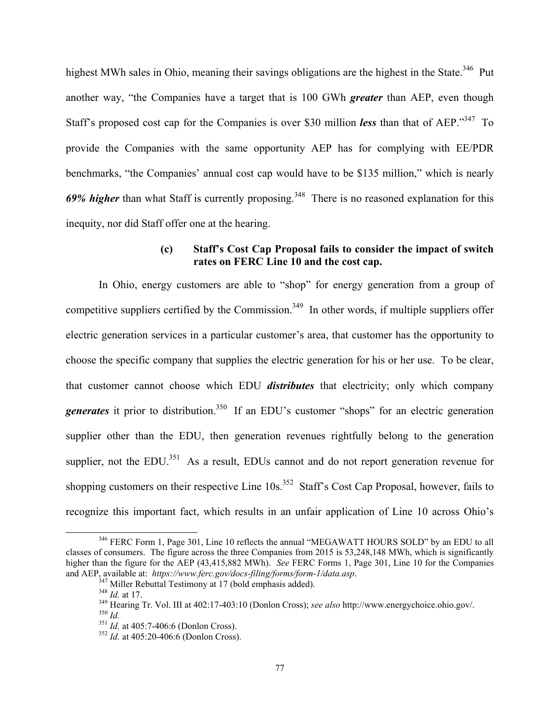highest MWh sales in Ohio, meaning their savings obligations are the highest in the State.<sup>346</sup> Put another way, "the Companies have a target that is 100 GWh *greater* than AEP, even though Staff's proposed cost cap for the Companies is over \$30 million *less* than that of AEP."347 To provide the Companies with the same opportunity AEP has for complying with EE/PDR benchmarks, "the Companies' annual cost cap would have to be \$135 million," which is nearly 69% *higher* than what Staff is currently proposing.<sup>348</sup> There is no reasoned explanation for this inequity, nor did Staff offer one at the hearing.

#### **(c) Staff's Cost Cap Proposal fails to consider the impact of switch rates on FERC Line 10 and the cost cap.**

 In Ohio, energy customers are able to "shop" for energy generation from a group of competitive suppliers certified by the Commission.<sup>349</sup> In other words, if multiple suppliers offer electric generation services in a particular customer's area, that customer has the opportunity to choose the specific company that supplies the electric generation for his or her use. To be clear, that customer cannot choose which EDU *distributes* that electricity; only which company *generates* it prior to distribution.<sup>350</sup> If an EDU's customer "shops" for an electric generation supplier other than the EDU, then generation revenues rightfully belong to the generation supplier, not the EDU.<sup>351</sup> As a result, EDUs cannot and do not report generation revenue for shopping customers on their respective Line 10s.<sup>352</sup> Staff's Cost Cap Proposal, however, fails to recognize this important fact, which results in an unfair application of Line 10 across Ohio's

<sup>&</sup>lt;sup>346</sup> FERC Form 1, Page 301, Line 10 reflects the annual "MEGAWATT HOURS SOLD" by an EDU to all classes of consumers. The figure across the three Companies from 2015 is 53,248,148 MWh, which is significantly higher than the figure for the AEP (43,415,882 MWh). *See FERC Forms 1*, Page 301, Line 10 for the Companies and AEP, available at: https://www.ferc.gov/docs-filing/forms/form-1/data.asp.

<sup>&</sup>lt;sup>347</sup> Miller Rebuttal Testimony at 17 (bold emphasis added).<br><sup>348</sup> *Id.* at 17.<br><sup>349</sup> Hearing Tr. Vol. III at 402:17-403:10 (Donlon Cross); *see also* http://www.energychoice.ohio.gov/.<br><sup>350</sup> *Id.* at 405:7-406:6 (Donlon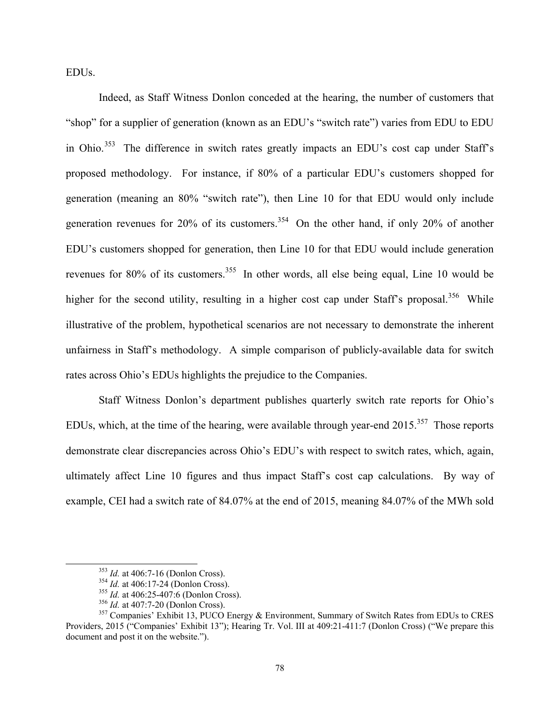EDUs.

 Indeed, as Staff Witness Donlon conceded at the hearing, the number of customers that "shop" for a supplier of generation (known as an EDU's "switch rate") varies from EDU to EDU in Ohio.<sup>353</sup> The difference in switch rates greatly impacts an EDU's cost cap under Staff's proposed methodology. For instance, if 80% of a particular EDU's customers shopped for generation (meaning an 80% "switch rate"), then Line 10 for that EDU would only include generation revenues for  $20\%$  of its customers.<sup>354</sup> On the other hand, if only  $20\%$  of another EDU's customers shopped for generation, then Line 10 for that EDU would include generation revenues for 80% of its customers.<sup>355</sup> In other words, all else being equal, Line 10 would be higher for the second utility, resulting in a higher cost cap under Staff's proposal.<sup>356</sup> While illustrative of the problem, hypothetical scenarios are not necessary to demonstrate the inherent unfairness in Staff's methodology. A simple comparison of publicly-available data for switch rates across Ohio's EDUs highlights the prejudice to the Companies.

 Staff Witness Donlon's department publishes quarterly switch rate reports for Ohio's EDUs, which, at the time of the hearing, were available through year-end  $2015$ <sup>357</sup>. Those reports demonstrate clear discrepancies across Ohio's EDU's with respect to switch rates, which, again, ultimately affect Line 10 figures and thus impact Staff's cost cap calculations. By way of example, CEI had a switch rate of 84.07% at the end of 2015, meaning 84.07% of the MWh sold

<sup>&</sup>lt;sup>353</sup> *Id.* at 406:7-16 (Donlon Cross).<br><sup>354</sup> *Id.* at 406:17-24 (Donlon Cross).<br><sup>355</sup> *Id.* at 406:25-407:6 (Donlon Cross).<br><sup>356</sup> *Id.* at 407:7-20 (Donlon Cross).<br><sup>356</sup> *Id.* at 407:7-20 (Donlon Cross).<br><sup>357</sup> Companies' Providers, 2015 ("Companies' Exhibit 13"); Hearing Tr. Vol. III at 409:21-411:7 (Donlon Cross) ("We prepare this document and post it on the website.").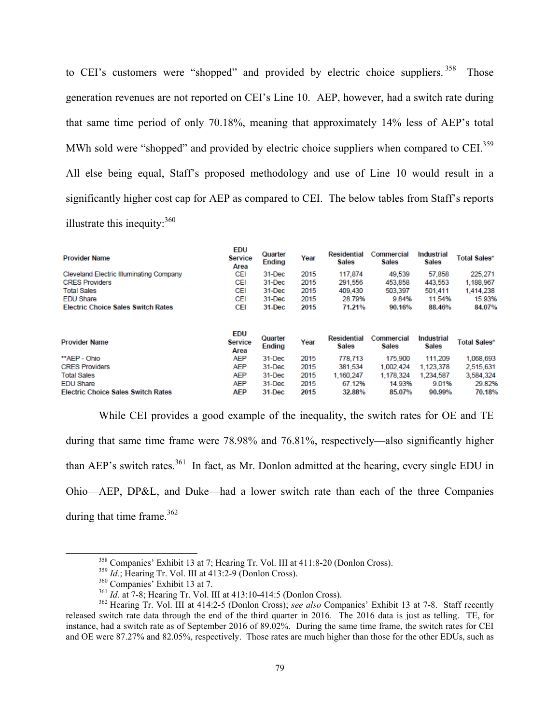to CEI's customers were "shopped" and provided by electric choice suppliers.<sup>358</sup> Those generation revenues are not reported on CEI's Line 10. AEP, however, had a switch rate during that same time period of only 70.18%, meaning that approximately 14% less of AEP's total MWh sold were "shopped" and provided by electric choice suppliers when compared to CEI.<sup>359</sup> All else being equal, Staff's proposed methodology and use of Line 10 would result in a significantly higher cost cap for AEP as compared to CEI. The below tables from Staff's reports illustrate this inequity: $360$ 

| <b>Provider Name</b>                           | <b>EDU</b><br><b>Service</b><br>Area | Quarter<br>Ending        | Year | <b>Residential</b><br><b>Sales</b> | Commercial<br><b>Sales</b> | Industrial<br><b>Sales</b> | <b>Total Sales*</b> |
|------------------------------------------------|--------------------------------------|--------------------------|------|------------------------------------|----------------------------|----------------------------|---------------------|
| <b>Cleveland Electric Illuminating Company</b> | CEI                                  | 31-Dec                   | 2015 | 117,874                            | 49,539                     | 57,858                     | 225,271             |
| <b>CRES Providers</b>                          | CEI                                  | 31-Dec                   | 2015 | 291.556                            | 453,858                    | 443,553                    | 1,188,967           |
| <b>Total Sales</b>                             | CEI                                  | 31-Dec                   | 2015 | 409.430                            | 503,397                    | 501,411                    | 1,414,238           |
| <b>EDU Share</b>                               | CEI                                  | 31-Dec                   | 2015 | 28.79%                             | 9.84%                      | 11.54%                     | 15.93%              |
| <b>Electric Choice Sales Switch Rates</b>      | CEI                                  | 31-Dec                   | 2015 | 71.21%                             | 90.16%                     | 88.46%                     | 84.07%              |
| <b>Provider Name</b>                           | <b>EDU</b><br><b>Service</b><br>Area | Quarter<br><b>Ending</b> | Year | <b>Residential</b><br><b>Sales</b> | Commercial<br><b>Sales</b> | Industrial<br><b>Sales</b> | <b>Total Sales*</b> |
| **AEP - Ohio                                   | <b>AEP</b>                           | 31-Dec                   | 2015 | 778.713                            | 175,900                    | 111,209                    | 1,068,693           |
| <b>CRES Providers</b>                          | <b>AEP</b>                           | 31-Dec                   | 2015 | 381,534                            | 1.002.424                  | 1,123,378                  | 2,515,631           |
| <b>Total Sales</b>                             | AEP                                  | 31-Dec                   | 2015 | 1.160.247                          | 1,178,324                  | 1.234.587                  | 3,584,324           |
| <b>EDU Share</b>                               | <b>AEP</b>                           | 31-Dec                   | 2015 | 67.12%                             | 14.93%                     | 9.01%                      | 29.82%              |
| <b>Electric Choice Sales Switch Rates</b>      | AEP                                  | 31-Dec                   | 2015 | 32.88%                             | 85.07%                     | 90.99%                     | 70.18%              |
|                                                |                                      |                          |      |                                    |                            |                            |                     |

 While CEI provides a good example of the inequality, the switch rates for OE and TE during that same time frame were 78.98% and 76.81%, respectively—also significantly higher than AEP's switch rates.<sup>361</sup> In fact, as Mr. Donlon admitted at the hearing, every single EDU in Ohio—AEP, DP&L, and Duke—had a lower switch rate than each of the three Companies during that time frame. $362$ 

<sup>&</sup>lt;sup>358</sup> Companies' Exhibit 13 at 7; Hearing Tr. Vol. III at 411:8-20 (Donlon Cross).<br><sup>359</sup> *Id.*; Hearing Tr. Vol. III at 413:2-9 (Donlon Cross).<br><sup>360</sup> Companies' Exhibit 13 at 7.<br><sup>361</sup> *Id.* at 7-8; Hearing Tr. Vol. III at released switch rate data through the end of the third quarter in 2016. The 2016 data is just as telling. TE, for instance, had a switch rate as of September 2016 of 89.02%. During the same time frame, the switch rates for CEI and OE were 87.27% and 82.05%, respectively. Those rates are much higher than those for the other EDUs, such as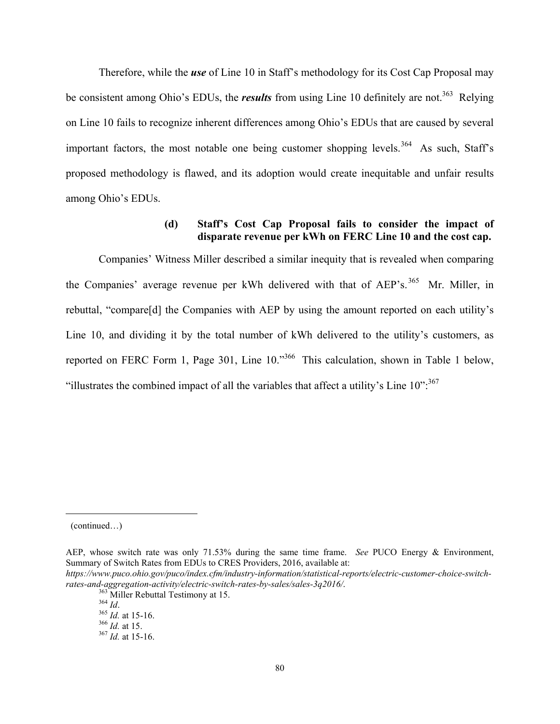Therefore, while the *use* of Line 10 in Staff's methodology for its Cost Cap Proposal may be consistent among Ohio's EDUs, the *results* from using Line 10 definitely are not.<sup>363</sup> Relying on Line 10 fails to recognize inherent differences among Ohio's EDUs that are caused by several important factors, the most notable one being customer shopping levels.<sup>364</sup> As such, Staff's proposed methodology is flawed, and its adoption would create inequitable and unfair results among Ohio's EDUs.

## **(d) Staff's Cost Cap Proposal fails to consider the impact of disparate revenue per kWh on FERC Line 10 and the cost cap.**

Companies' Witness Miller described a similar inequity that is revealed when comparing the Companies' average revenue per kWh delivered with that of AEP's.<sup>365</sup> Mr. Miller, in rebuttal, "compare[d] the Companies with AEP by using the amount reported on each utility's Line 10, and dividing it by the total number of kWh delivered to the utility's customers, as reported on FERC Form 1, Page 301, Line 10."366 This calculation, shown in Table 1 below, "illustrates the combined impact of all the variables that affect a utility's Line  $10$ ".<sup>367</sup>

<sup>(</sup>continued…)

AEP, whose switch rate was only 71.53% during the same time frame. *See* PUCO Energy & Environment, Summary of Switch Rates from EDUs to CRES Providers, 2016, available at:

*https://www.puco.ohio.gov/puco/index.cfm/industry-information/statistical-reports/electric-customer-choice-switchrates-and-aggregation-activity/electric-switch-rates-by-sales/sales-3q2016/*.<br><sup>363</sup> Miller Rebuttal Testimony at 15.<br><sup>364</sup> *Id.* 365 *Id.* at 15-16.<br><sup>366</sup> *Id.* at 15. 367 *Id.* at 15-16.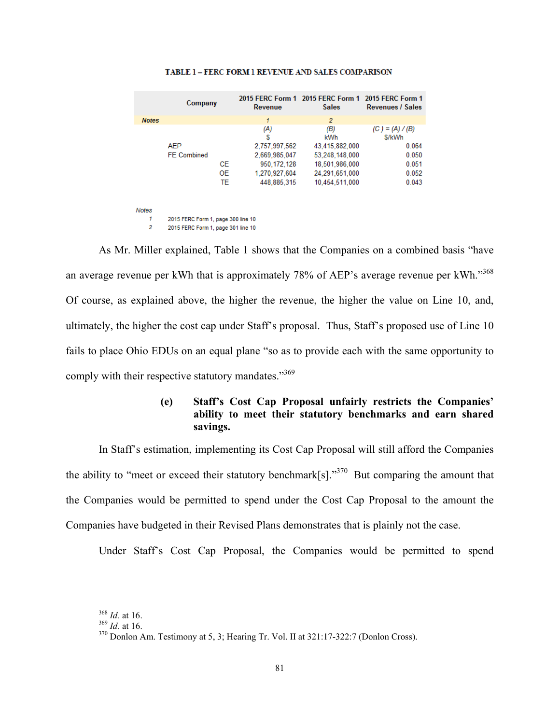|              | Company                            | Revenue       | 2015 FERC Form 1 2015 FERC Form 1 2015 FERC Form 1<br><b>Sales</b> | <b>Revenues / Sales</b>     |
|--------------|------------------------------------|---------------|--------------------------------------------------------------------|-----------------------------|
| <b>Notes</b> |                                    | 1             | $\overline{2}$                                                     |                             |
|              |                                    | (A)<br>S      | (B)<br>kWh                                                         | $(C) = (A) / (B)$<br>\$/kWh |
|              | <b>AEP</b>                         | 2,757,997,562 | 43,415,882,000                                                     | 0.064                       |
|              | <b>FE</b> Combined                 | 2.669.985.047 | 53.248.148.000                                                     | 0.050                       |
|              | CE.                                | 950.172.128   | 18,501,986,000                                                     | 0.051                       |
|              | <b>OE</b>                          | 1.270.927.604 | 24.291.651.000                                                     | 0.052                       |
|              | TE                                 | 448.885.315   | 10,454,511,000                                                     | 0.043                       |
| Notes        |                                    |               |                                                                    |                             |
| 1            | 2015 FERC Form 1, page 300 line 10 |               |                                                                    |                             |
| 2            | 2015 FERC Form 1, page 301 line 10 |               |                                                                    |                             |

#### TABLE 1 - FERC FORM 1 REVENUE AND SALES COMPARISON

 As Mr. Miller explained, Table 1 shows that the Companies on a combined basis "have an average revenue per kWh that is approximately 78% of AEP's average revenue per kWh."<sup>368</sup> Of course, as explained above, the higher the revenue, the higher the value on Line 10, and, ultimately, the higher the cost cap under Staff's proposal. Thus, Staff's proposed use of Line 10 fails to place Ohio EDUs on an equal plane "so as to provide each with the same opportunity to comply with their respective statutory mandates."<sup>369</sup>

### **(e) Staff's Cost Cap Proposal unfairly restricts the Companies' ability to meet their statutory benchmarks and earn shared savings.**

In Staff's estimation, implementing its Cost Cap Proposal will still afford the Companies the ability to "meet or exceed their statutory benchmark[s]."<sup>370</sup> But comparing the amount that the Companies would be permitted to spend under the Cost Cap Proposal to the amount the Companies have budgeted in their Revised Plans demonstrates that is plainly not the case.

Under Staff's Cost Cap Proposal, the Companies would be permitted to spend

<sup>&</sup>lt;sup>368</sup> *Id.* at 16.<br><sup>369</sup> *Id.* at 16.<br><sup>370</sup> Donlon Am. Testimony at 5, 3; Hearing Tr. Vol. II at 321:17-322:7 (Donlon Cross).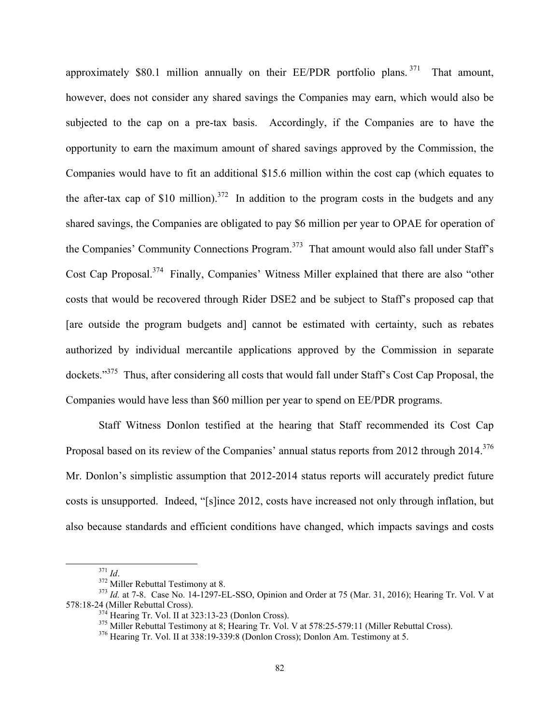approximately \$80.1 million annually on their  $EE/PDF$  portfolio plans. <sup>371</sup> That amount, however, does not consider any shared savings the Companies may earn, which would also be subjected to the cap on a pre-tax basis. Accordingly, if the Companies are to have the opportunity to earn the maximum amount of shared savings approved by the Commission, the Companies would have to fit an additional \$15.6 million within the cost cap (which equates to the after-tax cap of \$10 million).<sup>372</sup> In addition to the program costs in the budgets and any shared savings, the Companies are obligated to pay \$6 million per year to OPAE for operation of the Companies' Community Connections Program.<sup>373</sup> That amount would also fall under Staff's Cost Cap Proposal.374 Finally, Companies' Witness Miller explained that there are also "other costs that would be recovered through Rider DSE2 and be subject to Staff's proposed cap that [are outside the program budgets and] cannot be estimated with certainty, such as rebates authorized by individual mercantile applications approved by the Commission in separate dockets."375 Thus, after considering all costs that would fall under Staff's Cost Cap Proposal, the Companies would have less than \$60 million per year to spend on EE/PDR programs.

Staff Witness Donlon testified at the hearing that Staff recommended its Cost Cap Proposal based on its review of the Companies' annual status reports from 2012 through 2014.<sup>376</sup> Mr. Donlon's simplistic assumption that 2012-2014 status reports will accurately predict future costs is unsupported. Indeed, "[s]ince 2012, costs have increased not only through inflation, but also because standards and efficient conditions have changed, which impacts savings and costs

<sup>&</sup>lt;sup>371</sup> *Id.* <sup>372</sup> Miller Rebuttal Testimony at 8.<br><sup>372</sup> *Id.* at 7-8. Case No. 14-1297-EL-SSO, Opinion and Order at 75 (Mar. 31, 2016); Hearing Tr. Vol. V at 578:18-24 (Miller Rebuttal Cross).

 $^{374}$  Hearing Tr. Vol. II at 323:13-23 (Donlon Cross).<br> $^{375}$  Miller Rebuttal Testimony at 8; Hearing Tr. Vol. V at 578:25-579:11 (Miller Rebuttal Cross).<br> $^{376}$  Hearing Tr. Vol. II at 338:19-339:8 (Donlon Cross); Don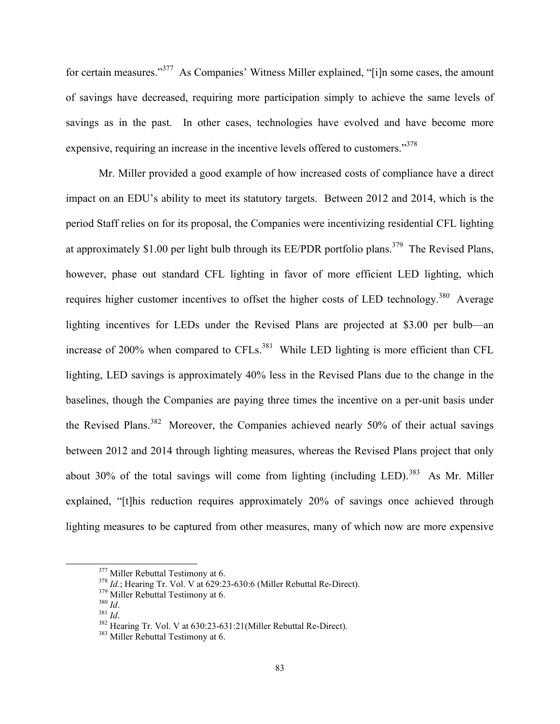for certain measures."377 As Companies' Witness Miller explained, "[i]n some cases, the amount of savings have decreased, requiring more participation simply to achieve the same levels of savings as in the past. In other cases, technologies have evolved and have become more expensive, requiring an increase in the incentive levels offered to customers."378

Mr. Miller provided a good example of how increased costs of compliance have a direct impact on an EDU's ability to meet its statutory targets. Between 2012 and 2014, which is the period Staff relies on for its proposal, the Companies were incentivizing residential CFL lighting at approximately \$1.00 per light bulb through its EE/PDR portfolio plans.<sup>379</sup> The Revised Plans, however, phase out standard CFL lighting in favor of more efficient LED lighting, which requires higher customer incentives to offset the higher costs of LED technology.<sup>380</sup> Average lighting incentives for LEDs under the Revised Plans are projected at \$3.00 per bulb—an increase of 200% when compared to CFLs. $^{381}$  While LED lighting is more efficient than CFL lighting, LED savings is approximately 40% less in the Revised Plans due to the change in the baselines, though the Companies are paying three times the incentive on a per-unit basis under the Revised Plans.<sup>382</sup> Moreover, the Companies achieved nearly 50% of their actual savings between 2012 and 2014 through lighting measures, whereas the Revised Plans project that only about 30% of the total savings will come from lighting (including LED).<sup>383</sup> As Mr. Miller explained, "[t]his reduction requires approximately 20% of savings once achieved through lighting measures to be captured from other measures, many of which now are more expensive

<sup>&</sup>lt;sup>377</sup> Miller Rebuttal Testimony at 6.<br>
<sup>378</sup> *Id.*; Hearing Tr. Vol. V at 629:23-630:6 (Miller Rebuttal Re-Direct).<br>
<sup>379</sup> Miller Rebuttal Testimony at 6.<br>
<sup>381</sup> *Id.*<br>
<sup>381</sup> *Id.*<br>
<sup>382</sup> Hearing Tr. Vol. V at 630:23-631: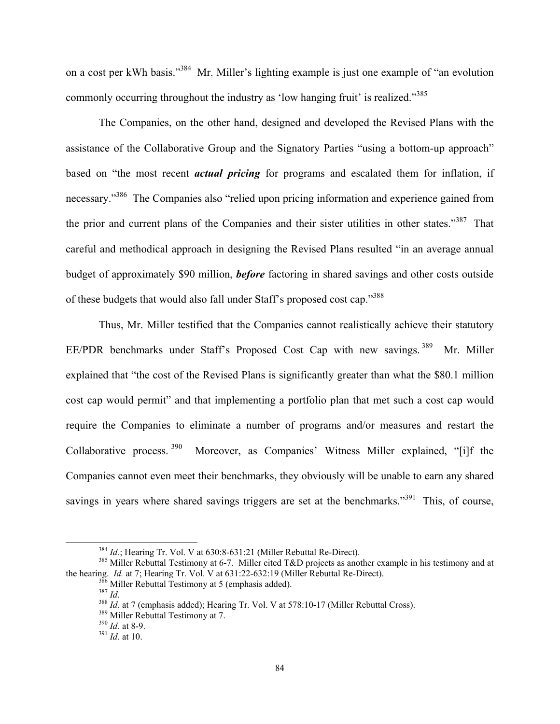on a cost per kWh basis."<sup>384</sup> Mr. Miller's lighting example is just one example of "an evolution" commonly occurring throughout the industry as 'low hanging fruit' is realized."<sup>385</sup>

The Companies, on the other hand, designed and developed the Revised Plans with the assistance of the Collaborative Group and the Signatory Parties "using a bottom-up approach" based on "the most recent *actual pricing* for programs and escalated them for inflation, if necessary."386 The Companies also "relied upon pricing information and experience gained from the prior and current plans of the Companies and their sister utilities in other states."<sup>387</sup> That careful and methodical approach in designing the Revised Plans resulted "in an average annual budget of approximately \$90 million, *before* factoring in shared savings and other costs outside of these budgets that would also fall under Staff's proposed cost cap."388

Thus, Mr. Miller testified that the Companies cannot realistically achieve their statutory EE/PDR benchmarks under Staff's Proposed Cost Cap with new savings.<sup>389</sup> Mr. Miller explained that "the cost of the Revised Plans is significantly greater than what the \$80.1 million cost cap would permit" and that implementing a portfolio plan that met such a cost cap would require the Companies to eliminate a number of programs and/or measures and restart the Collaborative process. 390 Moreover, as Companies' Witness Miller explained, "[i]f the Companies cannot even meet their benchmarks, they obviously will be unable to earn any shared savings in years where shared savings triggers are set at the benchmarks."<sup>391</sup> This, of course,

<sup>&</sup>lt;sup>384</sup> *Id.*; Hearing Tr. Vol. V at 630:8-631:21 (Miller Rebuttal Re-Direct).<br><sup>385</sup> Miller Rebuttal Testimony at 6-7. Miller cited T&D projects as another example in his testimony and at the hearing. *Id.* at 7; Hearing Tr

<sup>&</sup>lt;sup>386</sup> Miller Rebuttal Testimony at 5 (emphasis added).<br><sup>387</sup> *Id.*<br><sup>388</sup> *Id.* at 7 (emphasis added); Hearing Tr. Vol. V at 578:10-17 (Miller Rebuttal Cross).<br><sup>389</sup> Miller Rebuttal Testimony at 7.<br><sup>390</sup> *Id.* at 8-9.<br><sup>391</sup>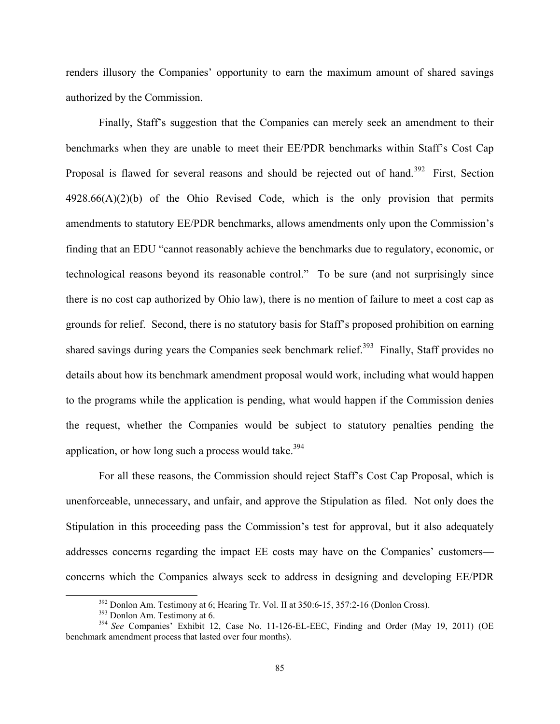renders illusory the Companies' opportunity to earn the maximum amount of shared savings authorized by the Commission.

 Finally, Staff's suggestion that the Companies can merely seek an amendment to their benchmarks when they are unable to meet their EE/PDR benchmarks within Staff's Cost Cap Proposal is flawed for several reasons and should be rejected out of hand.<sup>392</sup> First, Section  $4928.66(A)(2)(b)$  of the Ohio Revised Code, which is the only provision that permits amendments to statutory EE/PDR benchmarks, allows amendments only upon the Commission's finding that an EDU "cannot reasonably achieve the benchmarks due to regulatory, economic, or technological reasons beyond its reasonable control." To be sure (and not surprisingly since there is no cost cap authorized by Ohio law), there is no mention of failure to meet a cost cap as grounds for relief. Second, there is no statutory basis for Staff's proposed prohibition on earning shared savings during years the Companies seek benchmark relief.<sup>393</sup> Finally, Staff provides no details about how its benchmark amendment proposal would work, including what would happen to the programs while the application is pending, what would happen if the Commission denies the request, whether the Companies would be subject to statutory penalties pending the application, or how long such a process would take.<sup>394</sup>

For all these reasons, the Commission should reject Staff's Cost Cap Proposal, which is unenforceable, unnecessary, and unfair, and approve the Stipulation as filed. Not only does the Stipulation in this proceeding pass the Commission's test for approval, but it also adequately addresses concerns regarding the impact EE costs may have on the Companies' customers concerns which the Companies always seek to address in designing and developing EE/PDR

<sup>&</sup>lt;sup>392</sup> Donlon Am. Testimony at 6; Hearing Tr. Vol. II at 350:6-15, 357:2-16 (Donlon Cross).<br><sup>393</sup> Donlon Am. Testimony at 6.<br><sup>394</sup> *See* Companies' Exhibit 12, Case No. 11-126-EL-EEC, Finding and Order (May 19, 2011) (OE

benchmark amendment process that lasted over four months).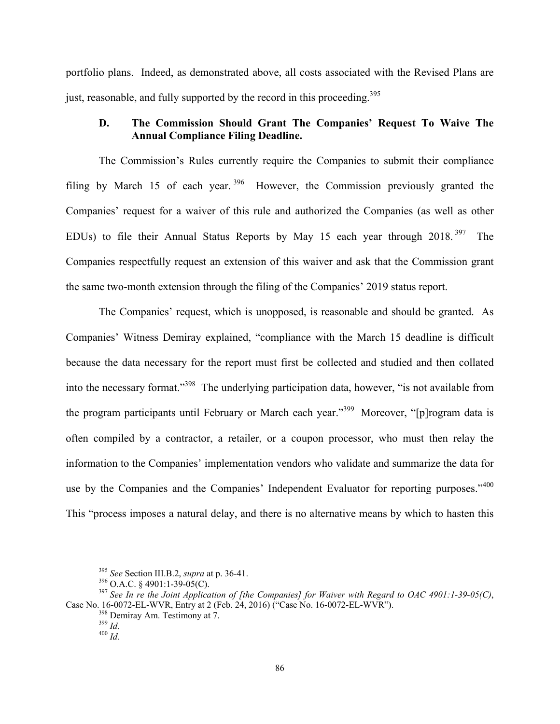portfolio plans. Indeed, as demonstrated above, all costs associated with the Revised Plans are just, reasonable, and fully supported by the record in this proceeding.<sup>395</sup>

## **D. The Commission Should Grant The Companies' Request To Waive The Annual Compliance Filing Deadline.**

The Commission's Rules currently require the Companies to submit their compliance filing by March 15 of each year.  $396$  However, the Commission previously granted the Companies' request for a waiver of this rule and authorized the Companies (as well as other EDUs) to file their Annual Status Reports by May 15 each year through 2018. 397 The Companies respectfully request an extension of this waiver and ask that the Commission grant the same two-month extension through the filing of the Companies' 2019 status report.

The Companies' request, which is unopposed, is reasonable and should be granted. As Companies' Witness Demiray explained, "compliance with the March 15 deadline is difficult because the data necessary for the report must first be collected and studied and then collated into the necessary format."398 The underlying participation data, however, "is not available from the program participants until February or March each year."399 Moreover, "[p]rogram data is often compiled by a contractor, a retailer, or a coupon processor, who must then relay the information to the Companies' implementation vendors who validate and summarize the data for use by the Companies and the Companies' Independent Evaluator for reporting purposes."<sup>400</sup> This "process imposes a natural delay, and there is no alternative means by which to hasten this

<sup>&</sup>lt;sup>395</sup> See Section III.B.2, *supra* at p. 36-41.<br><sup>396</sup> O.A.C. § 4901:1-39-05(C).<br><sup>397</sup> See In re the Joint Application of [the Companies] for Waiver with Regard to OAC 4901:1-39-05(C), Case No. 16-0072-EL-WVR, Entry at 2 (Feb. 24, 2016) <sup>("</sup>Case No. 16-0072-EL-WVR").<br><sup>398</sup> Demiray Am. Testimony at 7.<br><sup>399</sup> *Id.* 400 *Id*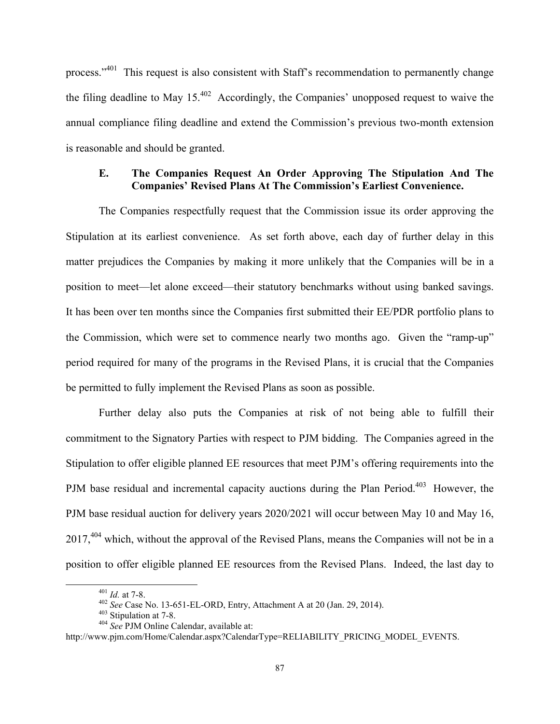process."401 This request is also consistent with Staff's recommendation to permanently change the filing deadline to May  $15^{402}$  Accordingly, the Companies' unopposed request to waive the annual compliance filing deadline and extend the Commission's previous two-month extension is reasonable and should be granted.

#### **E. The Companies Request An Order Approving The Stipulation And The Companies' Revised Plans At The Commission's Earliest Convenience.**

The Companies respectfully request that the Commission issue its order approving the Stipulation at its earliest convenience. As set forth above, each day of further delay in this matter prejudices the Companies by making it more unlikely that the Companies will be in a position to meet—let alone exceed—their statutory benchmarks without using banked savings. It has been over ten months since the Companies first submitted their EE/PDR portfolio plans to the Commission, which were set to commence nearly two months ago. Given the "ramp-up" period required for many of the programs in the Revised Plans, it is crucial that the Companies be permitted to fully implement the Revised Plans as soon as possible.

Further delay also puts the Companies at risk of not being able to fulfill their commitment to the Signatory Parties with respect to PJM bidding. The Companies agreed in the Stipulation to offer eligible planned EE resources that meet PJM's offering requirements into the PJM base residual and incremental capacity auctions during the Plan Period.<sup>403</sup> However, the PJM base residual auction for delivery years 2020/2021 will occur between May 10 and May 16, 2017,<sup>404</sup> which, without the approval of the Revised Plans, means the Companies will not be in a position to offer eligible planned EE resources from the Revised Plans. Indeed, the last day to

<sup>401</sup> *Id.* at 7-8. 402 *See* Case No. 13-651-EL-ORD, Entry, Attachment A at 20 (Jan. 29, 2014). 403 Stipulation at 7-8. 404 *See* PJM Online Calendar, available at:

http://www.pjm.com/Home/Calendar.aspx?CalendarType=RELIABILITY\_PRICING\_MODEL\_EVENTS.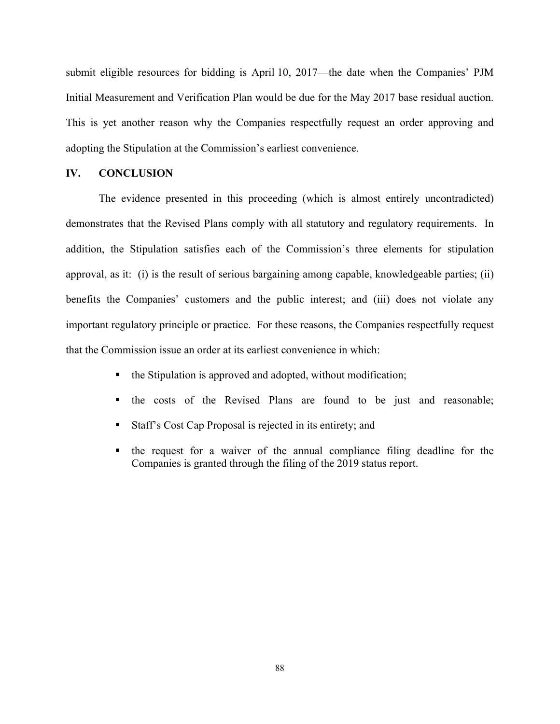submit eligible resources for bidding is April 10, 2017—the date when the Companies' PJM Initial Measurement and Verification Plan would be due for the May 2017 base residual auction. This is yet another reason why the Companies respectfully request an order approving and adopting the Stipulation at the Commission's earliest convenience.

#### **IV. CONCLUSION**

The evidence presented in this proceeding (which is almost entirely uncontradicted) demonstrates that the Revised Plans comply with all statutory and regulatory requirements. In addition, the Stipulation satisfies each of the Commission's three elements for stipulation approval, as it: (i) is the result of serious bargaining among capable, knowledgeable parties; (ii) benefits the Companies' customers and the public interest; and (iii) does not violate any important regulatory principle or practice. For these reasons, the Companies respectfully request that the Commission issue an order at its earliest convenience in which:

- $\blacksquare$  the Stipulation is approved and adopted, without modification;
- the costs of the Revised Plans are found to be just and reasonable;
- Staff's Cost Cap Proposal is rejected in its entirety; and
- the request for a waiver of the annual compliance filing deadline for the Companies is granted through the filing of the 2019 status report.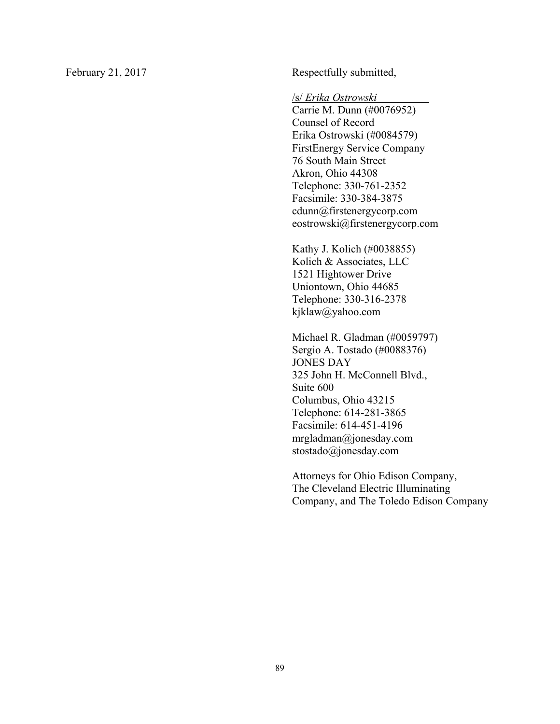February 21, 2017 Respectfully submitted,

/s/ *Erika Ostrowski* .

Carrie M. Dunn (#0076952) Counsel of Record Erika Ostrowski (#0084579) FirstEnergy Service Company 76 South Main Street Akron, Ohio 44308 Telephone: 330-761-2352 Facsimile: 330-384-3875 cdunn@firstenergycorp.com eostrowski@firstenergycorp.com

Kathy J. Kolich (#0038855) Kolich & Associates, LLC 1521 Hightower Drive Uniontown, Ohio 44685 Telephone: 330-316-2378 kjklaw@yahoo.com

Michael R. Gladman (#0059797) Sergio A. Tostado (#0088376) JONES DAY 325 John H. McConnell Blvd., Suite 600 Columbus, Ohio 43215 Telephone: 614-281-3865 Facsimile: 614-451-4196 mrgladman@jonesday.com stostado@jonesday.com

Attorneys for Ohio Edison Company, The Cleveland Electric Illuminating Company, and The Toledo Edison Company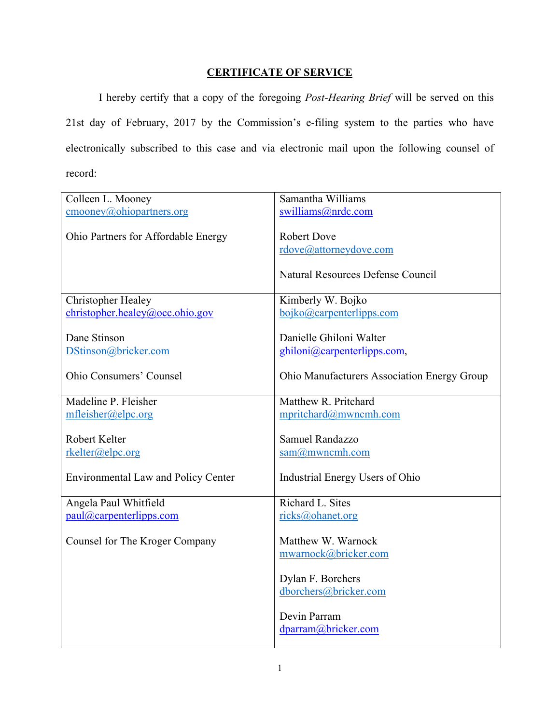## **CERTIFICATE OF SERVICE**

I hereby certify that a copy of the foregoing *Post-Hearing Brief* will be served on this 21st day of February, 2017 by the Commission's e-filing system to the parties who have electronically subscribed to this case and via electronic mail upon the following counsel of record:

| Colleen L. Mooney                                | Samantha Williams                           |
|--------------------------------------------------|---------------------------------------------|
| $\underline{\text{cmooney}(a)}$ ohiopartners.org | swilliams@nrdc.com                          |
|                                                  |                                             |
| Ohio Partners for Affordable Energy              | <b>Robert Dove</b>                          |
|                                                  | rdove@attorneydove.com                      |
|                                                  | Natural Resources Defense Council           |
|                                                  |                                             |
| Christopher Healey                               | Kimberly W. Bojko                           |
| christopher, healey@occ. ohio.gov                | bojko@carpenterlipps.com                    |
|                                                  |                                             |
| Dane Stinson                                     | Danielle Ghiloni Walter                     |
| DStinson@bricker.com                             | ghiloni@carpenterlipps.com,                 |
| Ohio Consumers' Counsel                          | Ohio Manufacturers Association Energy Group |
|                                                  |                                             |
| Madeline P. Fleisher                             | Matthew R. Pritchard                        |
| mfleisher@elpc.org                               | mpritchard@mwncmh.com                       |
|                                                  |                                             |
| Robert Kelter                                    | Samuel Randazzo                             |
| rkelter@elpc.org                                 | sam@mwncmh.com                              |
|                                                  |                                             |
| <b>Environmental Law and Policy Center</b>       | Industrial Energy Users of Ohio             |
|                                                  |                                             |
| Angela Paul Whitfield                            | Richard L. Sites                            |
| paul@carpenterlipps.com                          | ricks@ohanet.org                            |
| Counsel for The Kroger Company                   | Matthew W. Warnock                          |
|                                                  | mwarnock@bricker.com                        |
|                                                  |                                             |
|                                                  | Dylan F. Borchers                           |
|                                                  | dborchers@bricker.com                       |
|                                                  |                                             |
|                                                  | Devin Parram                                |
|                                                  | dparram@bricker.com                         |
|                                                  |                                             |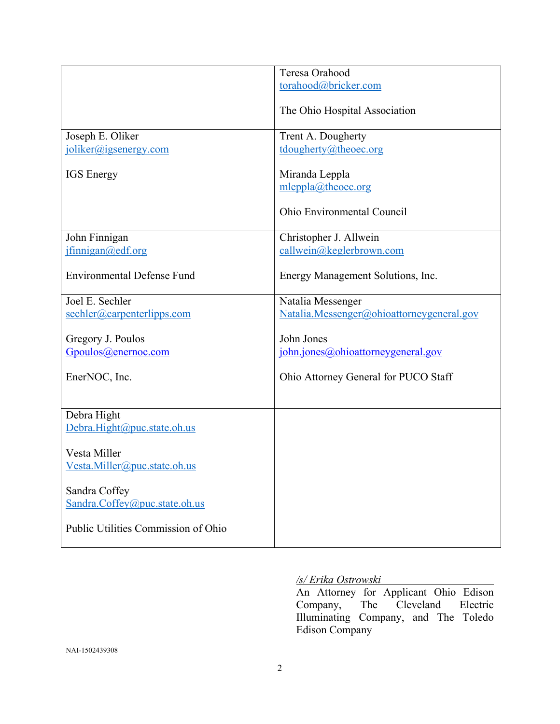|                                     | Teresa Orahood                            |
|-------------------------------------|-------------------------------------------|
|                                     | torahood@bricker.com                      |
|                                     |                                           |
|                                     | The Ohio Hospital Association             |
|                                     |                                           |
| Joseph E. Oliker                    | Trent A. Dougherty                        |
|                                     |                                           |
| joliker@jgsenergy.com               | tdougherty@theoec.org                     |
|                                     |                                           |
| <b>IGS</b> Energy                   | Miranda Leppla                            |
|                                     | mleppla@theoec.org                        |
|                                     |                                           |
|                                     | Ohio Environmental Council                |
|                                     |                                           |
| John Finnigan                       | Christopher J. Allwein                    |
| jfinnigan@edf.org                   | callwein@keglerbrown.com                  |
|                                     |                                           |
| <b>Environmental Defense Fund</b>   |                                           |
|                                     | Energy Management Solutions, Inc.         |
|                                     |                                           |
| Joel E. Sechler                     | Natalia Messenger                         |
| sechler@carpenterlipps.com          | Natalia.Messenger@ohioattorneygeneral.gov |
|                                     |                                           |
| Gregory J. Poulos                   | John Jones                                |
| Gpoulos@enernoc.com                 | john.jones@ohioattorneygeneral.gov        |
|                                     |                                           |
| EnerNOC, Inc.                       | Ohio Attorney General for PUCO Staff      |
|                                     |                                           |
|                                     |                                           |
|                                     |                                           |
| Debra Hight                         |                                           |
| Debra.Hight@puc.state.oh.us         |                                           |
|                                     |                                           |
| Vesta Miller                        |                                           |
| Vesta.Miller@puc.state.oh.us        |                                           |
|                                     |                                           |
| Sandra Coffey                       |                                           |
| Sandra.Coffey@puc.state.oh.us       |                                           |
|                                     |                                           |
|                                     |                                           |
| Public Utilities Commission of Ohio |                                           |
|                                     |                                           |

## */s/ Erika Ostrowski*

An Attorney for Applicant Ohio Edison<br>Company, The Cleveland Electric Company, The Cleveland Electric Illuminating Company, and The Toledo Edison Company